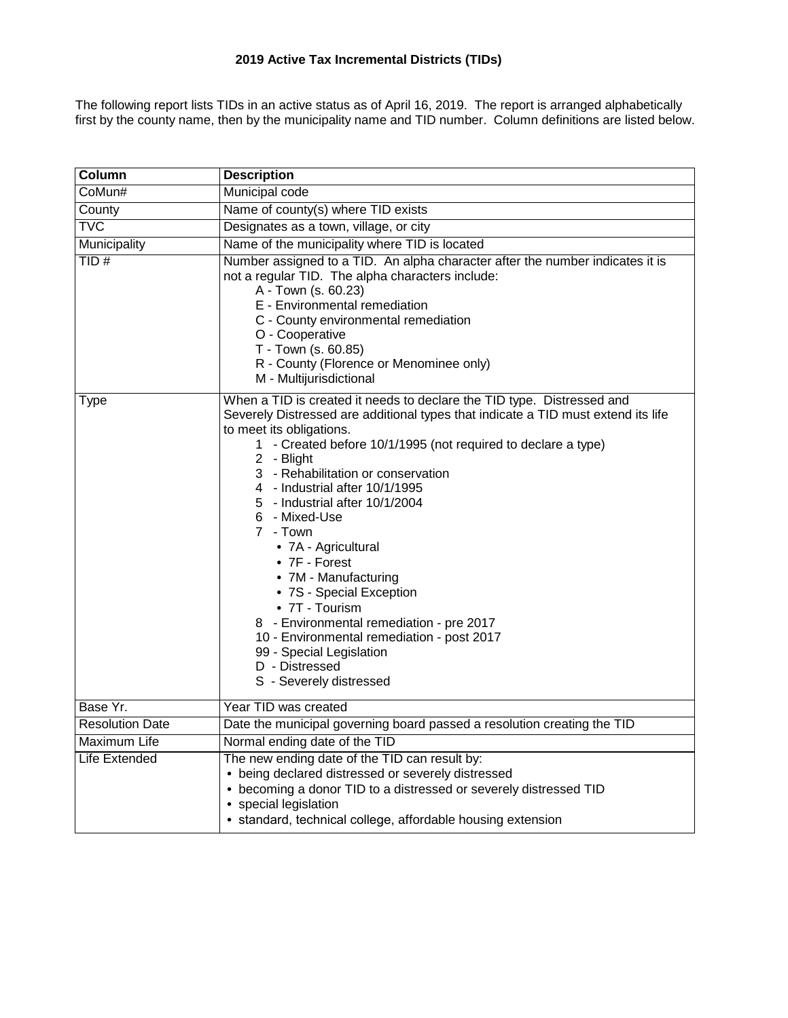# **2019 Active Tax Incremental Districts (TIDs)**

The following report lists TIDs in an active status as of April 16, 2019. The report is arranged alphabetically first by the county name, then by the municipality name and TID number. Column definitions are listed below.

| Column                 | <b>Description</b>                                                                                                                                                                                                                                                                                                                                                                                                                                                                                                                                                                                                                                                                             |
|------------------------|------------------------------------------------------------------------------------------------------------------------------------------------------------------------------------------------------------------------------------------------------------------------------------------------------------------------------------------------------------------------------------------------------------------------------------------------------------------------------------------------------------------------------------------------------------------------------------------------------------------------------------------------------------------------------------------------|
| CoMun#                 | <b>Municipal code</b>                                                                                                                                                                                                                                                                                                                                                                                                                                                                                                                                                                                                                                                                          |
| County                 | Name of county(s) where TID exists                                                                                                                                                                                                                                                                                                                                                                                                                                                                                                                                                                                                                                                             |
| <b>TVC</b>             | Designates as a town, village, or city                                                                                                                                                                                                                                                                                                                                                                                                                                                                                                                                                                                                                                                         |
| Municipality           | Name of the municipality where TID is located                                                                                                                                                                                                                                                                                                                                                                                                                                                                                                                                                                                                                                                  |
| TID#                   | Number assigned to a TID. An alpha character after the number indicates it is<br>not a regular TID. The alpha characters include:<br>A - Town (s. 60.23)<br>E - Environmental remediation<br>C - County environmental remediation<br>O - Cooperative<br>T - Town (s. 60.85)<br>R - County (Florence or Menominee only)<br>M - Multijurisdictional                                                                                                                                                                                                                                                                                                                                              |
| <b>Type</b>            | When a TID is created it needs to declare the TID type. Distressed and<br>Severely Distressed are additional types that indicate a TID must extend its life<br>to meet its obligations.<br>1 - Created before 10/1/1995 (not required to declare a type)<br>2 - Blight<br>3 - Rehabilitation or conservation<br>4 - Industrial after 10/1/1995<br>5 - Industrial after 10/1/2004<br>6 - Mixed-Use<br>7 - Town<br>• 7A - Agricultural<br>• 7F - Forest<br>• 7M - Manufacturing<br>• 7S - Special Exception<br>• 7T - Tourism<br>8 - Environmental remediation - pre 2017<br>10 - Environmental remediation - post 2017<br>99 - Special Legislation<br>D - Distressed<br>S - Severely distressed |
| Base Yr.               | Year TID was created                                                                                                                                                                                                                                                                                                                                                                                                                                                                                                                                                                                                                                                                           |
| <b>Resolution Date</b> | Date the municipal governing board passed a resolution creating the TID                                                                                                                                                                                                                                                                                                                                                                                                                                                                                                                                                                                                                        |
| Maximum Life           | Normal ending date of the TID                                                                                                                                                                                                                                                                                                                                                                                                                                                                                                                                                                                                                                                                  |
| Life Extended          | The new ending date of the TID can result by:<br>• being declared distressed or severely distressed<br>• becoming a donor TID to a distressed or severely distressed TID<br>• special legislation<br>• standard, technical college, affordable housing extension                                                                                                                                                                                                                                                                                                                                                                                                                               |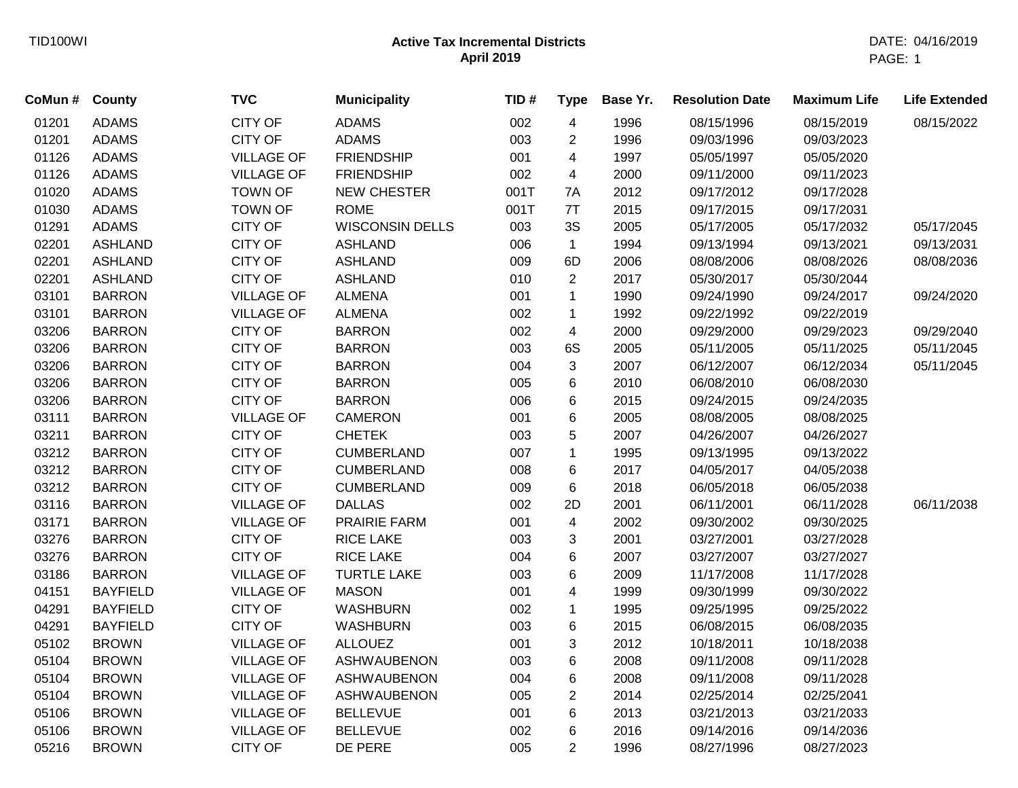| CITY OF<br>002<br>01201<br><b>ADAMS</b><br>4<br>08/15/2019<br>08/15/2022<br><b>ADAMS</b><br>1996<br>08/15/1996<br><b>ADAMS</b><br>01201<br><b>ADAMS</b><br><b>CITY OF</b><br>003<br>$\overline{c}$<br>1996<br>09/03/1996<br>09/03/2023<br>01126<br><b>FRIENDSHIP</b><br>1997<br><b>ADAMS</b><br><b>VILLAGE OF</b><br>001<br>4<br>05/05/1997<br>05/05/2020<br>01126<br><b>ADAMS</b><br><b>VILLAGE OF</b><br><b>FRIENDSHIP</b><br>002<br>4<br>2000<br>09/11/2000<br>09/11/2023<br>01020<br><b>ADAMS</b><br><b>TOWN OF</b><br><b>NEW CHESTER</b><br>2012<br>001T<br>7A<br>09/17/2012<br>09/17/2028<br>01030<br><b>ADAMS</b><br><b>TOWN OF</b><br><b>ROME</b><br>001T<br>7T<br>2015<br>09/17/2015<br>09/17/2031<br>3S<br>01291<br><b>ADAMS</b><br><b>CITY OF</b><br><b>WISCONSIN DELLS</b><br>2005<br>003<br>05/17/2005<br>05/17/2032<br>05/17/2045<br>CITY OF<br>1994<br>02201<br><b>ASHLAND</b><br><b>ASHLAND</b><br>006<br>$\mathbf{1}$<br>09/13/1994<br>09/13/2021<br>09/13/2031<br>02201<br><b>ASHLAND</b><br><b>CITY OF</b><br><b>ASHLAND</b><br>009<br>6D<br>2006<br>08/08/2006<br>08/08/2026<br>08/08/2036<br><b>CITY OF</b><br>$\overline{2}$<br>2017<br>02201<br><b>ASHLAND</b><br><b>ASHLAND</b><br>010<br>05/30/2017<br>05/30/2044<br>03101<br><b>BARRON</b><br><b>VILLAGE OF</b><br><b>ALMENA</b><br>$\mathbf 1$<br>1990<br>09/24/1990<br>001<br>09/24/2017<br>09/24/2020<br>03101<br><b>BARRON</b><br><b>VILLAGE OF</b><br><b>ALMENA</b><br>1992<br>09/22/1992<br>002<br>$\mathbf{1}$<br>09/22/2019<br>03206<br>CITY OF<br><b>BARRON</b><br>4<br>2000<br><b>BARRON</b><br>002<br>09/29/2000<br>09/29/2023<br>09/29/2040<br><b>CITY OF</b><br>6S<br>03206<br><b>BARRON</b><br><b>BARRON</b><br>003<br>2005<br>05/11/2005<br>05/11/2025<br>05/11/2045<br><b>CITY OF</b><br>3<br>03206<br><b>BARRON</b><br><b>BARRON</b><br>004<br>2007<br>06/12/2007<br>06/12/2034<br>05/11/2045<br><b>CITY OF</b><br>03206<br><b>BARRON</b><br>6<br>2010<br>06/08/2010<br>06/08/2030<br><b>BARRON</b><br>005<br><b>CITY OF</b><br>03206<br><b>BARRON</b><br>6<br>2015<br>09/24/2015<br>09/24/2035<br><b>BARRON</b><br>006<br>03111<br><b>VILLAGE OF</b><br>CAMERON<br>6<br>2005<br><b>BARRON</b><br>001<br>08/08/2005<br>08/08/2025<br><b>CITY OF</b><br><b>CHETEK</b><br>5<br>2007<br>03211<br><b>BARRON</b><br>003<br>04/26/2007<br>04/26/2027<br><b>CITY OF</b><br>03212<br><b>BARRON</b><br><b>CUMBERLAND</b><br>007<br>1995<br>09/13/1995<br>09/13/2022<br>1<br>03212<br><b>CITY OF</b><br><b>BARRON</b><br><b>CUMBERLAND</b><br>2017<br>04/05/2017<br>04/05/2038<br>008<br>6<br>03212<br><b>BARRON</b><br><b>CITY OF</b><br><b>CUMBERLAND</b><br>009<br>6<br>2018<br>06/05/2018<br>06/05/2038<br>03116<br><b>VILLAGE OF</b><br><b>DALLAS</b><br>2001<br>06/11/2001<br>06/11/2038<br><b>BARRON</b><br>002<br>2D<br>06/11/2028<br>$\overline{\mathbf{4}}$<br>03171<br><b>BARRON</b><br><b>VILLAGE OF</b><br>PRAIRIE FARM<br>001<br>2002<br>09/30/2002<br>09/30/2025<br>03276<br><b>CITY OF</b><br><b>RICE LAKE</b><br>2001<br><b>BARRON</b><br>003<br>3<br>03/27/2001<br>03/27/2028<br><b>CITY OF</b><br>6<br>03276<br><b>RICE LAKE</b><br>2007<br><b>BARRON</b><br>004<br>03/27/2007<br>03/27/2027<br>6<br>03186<br><b>VILLAGE OF</b><br><b>TURTLE LAKE</b><br>003<br>2009<br><b>BARRON</b><br>11/17/2008<br>11/17/2028<br>04151<br><b>VILLAGE OF</b><br><b>MASON</b><br>4<br>1999<br><b>BAYFIELD</b><br>001<br>09/30/1999<br>09/30/2022<br>04291<br><b>BAYFIELD</b><br><b>CITY OF</b><br><b>WASHBURN</b><br>002<br>$\mathbf{1}$<br>1995<br>09/25/1995<br>09/25/2022<br>CITY OF<br>6<br>04291<br><b>BAYFIELD</b><br><b>WASHBURN</b><br>003<br>2015<br>06/08/2035<br>06/08/2015<br>3<br>2012<br>05102<br><b>BROWN</b><br><b>VILLAGE OF</b><br><b>ALLOUEZ</b><br>001<br>10/18/2011<br>10/18/2038<br>6<br>05104<br><b>BROWN</b><br><b>VILLAGE OF</b><br>003<br>2008<br>09/11/2008<br><b>ASHWAUBENON</b><br>09/11/2028<br>6<br>05104<br><b>VILLAGE OF</b><br>2008<br>09/11/2008<br><b>BROWN</b><br><b>ASHWAUBENON</b><br>004<br>09/11/2028<br>$\overline{\mathbf{c}}$<br>05104<br><b>BROWN</b><br><b>VILLAGE OF</b><br><b>ASHWAUBENON</b><br>005<br>2014<br>02/25/2014<br>02/25/2041<br>6<br>05106<br><b>BROWN</b><br><b>VILLAGE OF</b><br><b>BELLEVUE</b><br>2013<br>03/21/2013<br>001<br>03/21/2033<br>05106<br><b>BROWN</b><br><b>VILLAGE OF</b><br><b>BELLEVUE</b><br>6<br>2016<br>002<br>09/14/2016<br>09/14/2036<br>$\overline{2}$<br>05216<br><b>BROWN</b><br><b>CITY OF</b><br>DE PERE<br>005<br>1996<br>08/27/1996<br>08/27/2023 | CoMun # County | <b>TVC</b> | <b>Municipality</b> | TID# | <b>Type</b> | Base Yr. | <b>Resolution Date</b> | <b>Maximum Life</b> | <b>Life Extended</b> |
|-------------------------------------------------------------------------------------------------------------------------------------------------------------------------------------------------------------------------------------------------------------------------------------------------------------------------------------------------------------------------------------------------------------------------------------------------------------------------------------------------------------------------------------------------------------------------------------------------------------------------------------------------------------------------------------------------------------------------------------------------------------------------------------------------------------------------------------------------------------------------------------------------------------------------------------------------------------------------------------------------------------------------------------------------------------------------------------------------------------------------------------------------------------------------------------------------------------------------------------------------------------------------------------------------------------------------------------------------------------------------------------------------------------------------------------------------------------------------------------------------------------------------------------------------------------------------------------------------------------------------------------------------------------------------------------------------------------------------------------------------------------------------------------------------------------------------------------------------------------------------------------------------------------------------------------------------------------------------------------------------------------------------------------------------------------------------------------------------------------------------------------------------------------------------------------------------------------------------------------------------------------------------------------------------------------------------------------------------------------------------------------------------------------------------------------------------------------------------------------------------------------------------------------------------------------------------------------------------------------------------------------------------------------------------------------------------------------------------------------------------------------------------------------------------------------------------------------------------------------------------------------------------------------------------------------------------------------------------------------------------------------------------------------------------------------------------------------------------------------------------------------------------------------------------------------------------------------------------------------------------------------------------------------------------------------------------------------------------------------------------------------------------------------------------------------------------------------------------------------------------------------------------------------------------------------------------------------------------------------------------------------------------------------------------------------------------------------------------------------------------------------------------------------------------------------------------------------------------------------------------------------------------------------------------------------------------------------------------------------------------------------------------------------------------------------------------------------------------------------------------------------------------------------------------------------------------------------------------------------------------------------------------------------------------------------------------------------------------------------------------------------------------------------------------------------------------------------------------------------------------------------------------------------|----------------|------------|---------------------|------|-------------|----------|------------------------|---------------------|----------------------|
|                                                                                                                                                                                                                                                                                                                                                                                                                                                                                                                                                                                                                                                                                                                                                                                                                                                                                                                                                                                                                                                                                                                                                                                                                                                                                                                                                                                                                                                                                                                                                                                                                                                                                                                                                                                                                                                                                                                                                                                                                                                                                                                                                                                                                                                                                                                                                                                                                                                                                                                                                                                                                                                                                                                                                                                                                                                                                                                                                                                                                                                                                                                                                                                                                                                                                                                                                                                                                                                                                                                                                                                                                                                                                                                                                                                                                                                                                                                                                                                                                                                                                                                                                                                                                                                                                                                                                                                                                                                                                                                                     |                |            |                     |      |             |          |                        |                     |                      |
|                                                                                                                                                                                                                                                                                                                                                                                                                                                                                                                                                                                                                                                                                                                                                                                                                                                                                                                                                                                                                                                                                                                                                                                                                                                                                                                                                                                                                                                                                                                                                                                                                                                                                                                                                                                                                                                                                                                                                                                                                                                                                                                                                                                                                                                                                                                                                                                                                                                                                                                                                                                                                                                                                                                                                                                                                                                                                                                                                                                                                                                                                                                                                                                                                                                                                                                                                                                                                                                                                                                                                                                                                                                                                                                                                                                                                                                                                                                                                                                                                                                                                                                                                                                                                                                                                                                                                                                                                                                                                                                                     |                |            |                     |      |             |          |                        |                     |                      |
|                                                                                                                                                                                                                                                                                                                                                                                                                                                                                                                                                                                                                                                                                                                                                                                                                                                                                                                                                                                                                                                                                                                                                                                                                                                                                                                                                                                                                                                                                                                                                                                                                                                                                                                                                                                                                                                                                                                                                                                                                                                                                                                                                                                                                                                                                                                                                                                                                                                                                                                                                                                                                                                                                                                                                                                                                                                                                                                                                                                                                                                                                                                                                                                                                                                                                                                                                                                                                                                                                                                                                                                                                                                                                                                                                                                                                                                                                                                                                                                                                                                                                                                                                                                                                                                                                                                                                                                                                                                                                                                                     |                |            |                     |      |             |          |                        |                     |                      |
|                                                                                                                                                                                                                                                                                                                                                                                                                                                                                                                                                                                                                                                                                                                                                                                                                                                                                                                                                                                                                                                                                                                                                                                                                                                                                                                                                                                                                                                                                                                                                                                                                                                                                                                                                                                                                                                                                                                                                                                                                                                                                                                                                                                                                                                                                                                                                                                                                                                                                                                                                                                                                                                                                                                                                                                                                                                                                                                                                                                                                                                                                                                                                                                                                                                                                                                                                                                                                                                                                                                                                                                                                                                                                                                                                                                                                                                                                                                                                                                                                                                                                                                                                                                                                                                                                                                                                                                                                                                                                                                                     |                |            |                     |      |             |          |                        |                     |                      |
|                                                                                                                                                                                                                                                                                                                                                                                                                                                                                                                                                                                                                                                                                                                                                                                                                                                                                                                                                                                                                                                                                                                                                                                                                                                                                                                                                                                                                                                                                                                                                                                                                                                                                                                                                                                                                                                                                                                                                                                                                                                                                                                                                                                                                                                                                                                                                                                                                                                                                                                                                                                                                                                                                                                                                                                                                                                                                                                                                                                                                                                                                                                                                                                                                                                                                                                                                                                                                                                                                                                                                                                                                                                                                                                                                                                                                                                                                                                                                                                                                                                                                                                                                                                                                                                                                                                                                                                                                                                                                                                                     |                |            |                     |      |             |          |                        |                     |                      |
|                                                                                                                                                                                                                                                                                                                                                                                                                                                                                                                                                                                                                                                                                                                                                                                                                                                                                                                                                                                                                                                                                                                                                                                                                                                                                                                                                                                                                                                                                                                                                                                                                                                                                                                                                                                                                                                                                                                                                                                                                                                                                                                                                                                                                                                                                                                                                                                                                                                                                                                                                                                                                                                                                                                                                                                                                                                                                                                                                                                                                                                                                                                                                                                                                                                                                                                                                                                                                                                                                                                                                                                                                                                                                                                                                                                                                                                                                                                                                                                                                                                                                                                                                                                                                                                                                                                                                                                                                                                                                                                                     |                |            |                     |      |             |          |                        |                     |                      |
|                                                                                                                                                                                                                                                                                                                                                                                                                                                                                                                                                                                                                                                                                                                                                                                                                                                                                                                                                                                                                                                                                                                                                                                                                                                                                                                                                                                                                                                                                                                                                                                                                                                                                                                                                                                                                                                                                                                                                                                                                                                                                                                                                                                                                                                                                                                                                                                                                                                                                                                                                                                                                                                                                                                                                                                                                                                                                                                                                                                                                                                                                                                                                                                                                                                                                                                                                                                                                                                                                                                                                                                                                                                                                                                                                                                                                                                                                                                                                                                                                                                                                                                                                                                                                                                                                                                                                                                                                                                                                                                                     |                |            |                     |      |             |          |                        |                     |                      |
|                                                                                                                                                                                                                                                                                                                                                                                                                                                                                                                                                                                                                                                                                                                                                                                                                                                                                                                                                                                                                                                                                                                                                                                                                                                                                                                                                                                                                                                                                                                                                                                                                                                                                                                                                                                                                                                                                                                                                                                                                                                                                                                                                                                                                                                                                                                                                                                                                                                                                                                                                                                                                                                                                                                                                                                                                                                                                                                                                                                                                                                                                                                                                                                                                                                                                                                                                                                                                                                                                                                                                                                                                                                                                                                                                                                                                                                                                                                                                                                                                                                                                                                                                                                                                                                                                                                                                                                                                                                                                                                                     |                |            |                     |      |             |          |                        |                     |                      |
|                                                                                                                                                                                                                                                                                                                                                                                                                                                                                                                                                                                                                                                                                                                                                                                                                                                                                                                                                                                                                                                                                                                                                                                                                                                                                                                                                                                                                                                                                                                                                                                                                                                                                                                                                                                                                                                                                                                                                                                                                                                                                                                                                                                                                                                                                                                                                                                                                                                                                                                                                                                                                                                                                                                                                                                                                                                                                                                                                                                                                                                                                                                                                                                                                                                                                                                                                                                                                                                                                                                                                                                                                                                                                                                                                                                                                                                                                                                                                                                                                                                                                                                                                                                                                                                                                                                                                                                                                                                                                                                                     |                |            |                     |      |             |          |                        |                     |                      |
|                                                                                                                                                                                                                                                                                                                                                                                                                                                                                                                                                                                                                                                                                                                                                                                                                                                                                                                                                                                                                                                                                                                                                                                                                                                                                                                                                                                                                                                                                                                                                                                                                                                                                                                                                                                                                                                                                                                                                                                                                                                                                                                                                                                                                                                                                                                                                                                                                                                                                                                                                                                                                                                                                                                                                                                                                                                                                                                                                                                                                                                                                                                                                                                                                                                                                                                                                                                                                                                                                                                                                                                                                                                                                                                                                                                                                                                                                                                                                                                                                                                                                                                                                                                                                                                                                                                                                                                                                                                                                                                                     |                |            |                     |      |             |          |                        |                     |                      |
|                                                                                                                                                                                                                                                                                                                                                                                                                                                                                                                                                                                                                                                                                                                                                                                                                                                                                                                                                                                                                                                                                                                                                                                                                                                                                                                                                                                                                                                                                                                                                                                                                                                                                                                                                                                                                                                                                                                                                                                                                                                                                                                                                                                                                                                                                                                                                                                                                                                                                                                                                                                                                                                                                                                                                                                                                                                                                                                                                                                                                                                                                                                                                                                                                                                                                                                                                                                                                                                                                                                                                                                                                                                                                                                                                                                                                                                                                                                                                                                                                                                                                                                                                                                                                                                                                                                                                                                                                                                                                                                                     |                |            |                     |      |             |          |                        |                     |                      |
|                                                                                                                                                                                                                                                                                                                                                                                                                                                                                                                                                                                                                                                                                                                                                                                                                                                                                                                                                                                                                                                                                                                                                                                                                                                                                                                                                                                                                                                                                                                                                                                                                                                                                                                                                                                                                                                                                                                                                                                                                                                                                                                                                                                                                                                                                                                                                                                                                                                                                                                                                                                                                                                                                                                                                                                                                                                                                                                                                                                                                                                                                                                                                                                                                                                                                                                                                                                                                                                                                                                                                                                                                                                                                                                                                                                                                                                                                                                                                                                                                                                                                                                                                                                                                                                                                                                                                                                                                                                                                                                                     |                |            |                     |      |             |          |                        |                     |                      |
|                                                                                                                                                                                                                                                                                                                                                                                                                                                                                                                                                                                                                                                                                                                                                                                                                                                                                                                                                                                                                                                                                                                                                                                                                                                                                                                                                                                                                                                                                                                                                                                                                                                                                                                                                                                                                                                                                                                                                                                                                                                                                                                                                                                                                                                                                                                                                                                                                                                                                                                                                                                                                                                                                                                                                                                                                                                                                                                                                                                                                                                                                                                                                                                                                                                                                                                                                                                                                                                                                                                                                                                                                                                                                                                                                                                                                                                                                                                                                                                                                                                                                                                                                                                                                                                                                                                                                                                                                                                                                                                                     |                |            |                     |      |             |          |                        |                     |                      |
|                                                                                                                                                                                                                                                                                                                                                                                                                                                                                                                                                                                                                                                                                                                                                                                                                                                                                                                                                                                                                                                                                                                                                                                                                                                                                                                                                                                                                                                                                                                                                                                                                                                                                                                                                                                                                                                                                                                                                                                                                                                                                                                                                                                                                                                                                                                                                                                                                                                                                                                                                                                                                                                                                                                                                                                                                                                                                                                                                                                                                                                                                                                                                                                                                                                                                                                                                                                                                                                                                                                                                                                                                                                                                                                                                                                                                                                                                                                                                                                                                                                                                                                                                                                                                                                                                                                                                                                                                                                                                                                                     |                |            |                     |      |             |          |                        |                     |                      |
|                                                                                                                                                                                                                                                                                                                                                                                                                                                                                                                                                                                                                                                                                                                                                                                                                                                                                                                                                                                                                                                                                                                                                                                                                                                                                                                                                                                                                                                                                                                                                                                                                                                                                                                                                                                                                                                                                                                                                                                                                                                                                                                                                                                                                                                                                                                                                                                                                                                                                                                                                                                                                                                                                                                                                                                                                                                                                                                                                                                                                                                                                                                                                                                                                                                                                                                                                                                                                                                                                                                                                                                                                                                                                                                                                                                                                                                                                                                                                                                                                                                                                                                                                                                                                                                                                                                                                                                                                                                                                                                                     |                |            |                     |      |             |          |                        |                     |                      |
|                                                                                                                                                                                                                                                                                                                                                                                                                                                                                                                                                                                                                                                                                                                                                                                                                                                                                                                                                                                                                                                                                                                                                                                                                                                                                                                                                                                                                                                                                                                                                                                                                                                                                                                                                                                                                                                                                                                                                                                                                                                                                                                                                                                                                                                                                                                                                                                                                                                                                                                                                                                                                                                                                                                                                                                                                                                                                                                                                                                                                                                                                                                                                                                                                                                                                                                                                                                                                                                                                                                                                                                                                                                                                                                                                                                                                                                                                                                                                                                                                                                                                                                                                                                                                                                                                                                                                                                                                                                                                                                                     |                |            |                     |      |             |          |                        |                     |                      |
|                                                                                                                                                                                                                                                                                                                                                                                                                                                                                                                                                                                                                                                                                                                                                                                                                                                                                                                                                                                                                                                                                                                                                                                                                                                                                                                                                                                                                                                                                                                                                                                                                                                                                                                                                                                                                                                                                                                                                                                                                                                                                                                                                                                                                                                                                                                                                                                                                                                                                                                                                                                                                                                                                                                                                                                                                                                                                                                                                                                                                                                                                                                                                                                                                                                                                                                                                                                                                                                                                                                                                                                                                                                                                                                                                                                                                                                                                                                                                                                                                                                                                                                                                                                                                                                                                                                                                                                                                                                                                                                                     |                |            |                     |      |             |          |                        |                     |                      |
|                                                                                                                                                                                                                                                                                                                                                                                                                                                                                                                                                                                                                                                                                                                                                                                                                                                                                                                                                                                                                                                                                                                                                                                                                                                                                                                                                                                                                                                                                                                                                                                                                                                                                                                                                                                                                                                                                                                                                                                                                                                                                                                                                                                                                                                                                                                                                                                                                                                                                                                                                                                                                                                                                                                                                                                                                                                                                                                                                                                                                                                                                                                                                                                                                                                                                                                                                                                                                                                                                                                                                                                                                                                                                                                                                                                                                                                                                                                                                                                                                                                                                                                                                                                                                                                                                                                                                                                                                                                                                                                                     |                |            |                     |      |             |          |                        |                     |                      |
|                                                                                                                                                                                                                                                                                                                                                                                                                                                                                                                                                                                                                                                                                                                                                                                                                                                                                                                                                                                                                                                                                                                                                                                                                                                                                                                                                                                                                                                                                                                                                                                                                                                                                                                                                                                                                                                                                                                                                                                                                                                                                                                                                                                                                                                                                                                                                                                                                                                                                                                                                                                                                                                                                                                                                                                                                                                                                                                                                                                                                                                                                                                                                                                                                                                                                                                                                                                                                                                                                                                                                                                                                                                                                                                                                                                                                                                                                                                                                                                                                                                                                                                                                                                                                                                                                                                                                                                                                                                                                                                                     |                |            |                     |      |             |          |                        |                     |                      |
|                                                                                                                                                                                                                                                                                                                                                                                                                                                                                                                                                                                                                                                                                                                                                                                                                                                                                                                                                                                                                                                                                                                                                                                                                                                                                                                                                                                                                                                                                                                                                                                                                                                                                                                                                                                                                                                                                                                                                                                                                                                                                                                                                                                                                                                                                                                                                                                                                                                                                                                                                                                                                                                                                                                                                                                                                                                                                                                                                                                                                                                                                                                                                                                                                                                                                                                                                                                                                                                                                                                                                                                                                                                                                                                                                                                                                                                                                                                                                                                                                                                                                                                                                                                                                                                                                                                                                                                                                                                                                                                                     |                |            |                     |      |             |          |                        |                     |                      |
|                                                                                                                                                                                                                                                                                                                                                                                                                                                                                                                                                                                                                                                                                                                                                                                                                                                                                                                                                                                                                                                                                                                                                                                                                                                                                                                                                                                                                                                                                                                                                                                                                                                                                                                                                                                                                                                                                                                                                                                                                                                                                                                                                                                                                                                                                                                                                                                                                                                                                                                                                                                                                                                                                                                                                                                                                                                                                                                                                                                                                                                                                                                                                                                                                                                                                                                                                                                                                                                                                                                                                                                                                                                                                                                                                                                                                                                                                                                                                                                                                                                                                                                                                                                                                                                                                                                                                                                                                                                                                                                                     |                |            |                     |      |             |          |                        |                     |                      |
|                                                                                                                                                                                                                                                                                                                                                                                                                                                                                                                                                                                                                                                                                                                                                                                                                                                                                                                                                                                                                                                                                                                                                                                                                                                                                                                                                                                                                                                                                                                                                                                                                                                                                                                                                                                                                                                                                                                                                                                                                                                                                                                                                                                                                                                                                                                                                                                                                                                                                                                                                                                                                                                                                                                                                                                                                                                                                                                                                                                                                                                                                                                                                                                                                                                                                                                                                                                                                                                                                                                                                                                                                                                                                                                                                                                                                                                                                                                                                                                                                                                                                                                                                                                                                                                                                                                                                                                                                                                                                                                                     |                |            |                     |      |             |          |                        |                     |                      |
|                                                                                                                                                                                                                                                                                                                                                                                                                                                                                                                                                                                                                                                                                                                                                                                                                                                                                                                                                                                                                                                                                                                                                                                                                                                                                                                                                                                                                                                                                                                                                                                                                                                                                                                                                                                                                                                                                                                                                                                                                                                                                                                                                                                                                                                                                                                                                                                                                                                                                                                                                                                                                                                                                                                                                                                                                                                                                                                                                                                                                                                                                                                                                                                                                                                                                                                                                                                                                                                                                                                                                                                                                                                                                                                                                                                                                                                                                                                                                                                                                                                                                                                                                                                                                                                                                                                                                                                                                                                                                                                                     |                |            |                     |      |             |          |                        |                     |                      |
|                                                                                                                                                                                                                                                                                                                                                                                                                                                                                                                                                                                                                                                                                                                                                                                                                                                                                                                                                                                                                                                                                                                                                                                                                                                                                                                                                                                                                                                                                                                                                                                                                                                                                                                                                                                                                                                                                                                                                                                                                                                                                                                                                                                                                                                                                                                                                                                                                                                                                                                                                                                                                                                                                                                                                                                                                                                                                                                                                                                                                                                                                                                                                                                                                                                                                                                                                                                                                                                                                                                                                                                                                                                                                                                                                                                                                                                                                                                                                                                                                                                                                                                                                                                                                                                                                                                                                                                                                                                                                                                                     |                |            |                     |      |             |          |                        |                     |                      |
|                                                                                                                                                                                                                                                                                                                                                                                                                                                                                                                                                                                                                                                                                                                                                                                                                                                                                                                                                                                                                                                                                                                                                                                                                                                                                                                                                                                                                                                                                                                                                                                                                                                                                                                                                                                                                                                                                                                                                                                                                                                                                                                                                                                                                                                                                                                                                                                                                                                                                                                                                                                                                                                                                                                                                                                                                                                                                                                                                                                                                                                                                                                                                                                                                                                                                                                                                                                                                                                                                                                                                                                                                                                                                                                                                                                                                                                                                                                                                                                                                                                                                                                                                                                                                                                                                                                                                                                                                                                                                                                                     |                |            |                     |      |             |          |                        |                     |                      |
|                                                                                                                                                                                                                                                                                                                                                                                                                                                                                                                                                                                                                                                                                                                                                                                                                                                                                                                                                                                                                                                                                                                                                                                                                                                                                                                                                                                                                                                                                                                                                                                                                                                                                                                                                                                                                                                                                                                                                                                                                                                                                                                                                                                                                                                                                                                                                                                                                                                                                                                                                                                                                                                                                                                                                                                                                                                                                                                                                                                                                                                                                                                                                                                                                                                                                                                                                                                                                                                                                                                                                                                                                                                                                                                                                                                                                                                                                                                                                                                                                                                                                                                                                                                                                                                                                                                                                                                                                                                                                                                                     |                |            |                     |      |             |          |                        |                     |                      |
|                                                                                                                                                                                                                                                                                                                                                                                                                                                                                                                                                                                                                                                                                                                                                                                                                                                                                                                                                                                                                                                                                                                                                                                                                                                                                                                                                                                                                                                                                                                                                                                                                                                                                                                                                                                                                                                                                                                                                                                                                                                                                                                                                                                                                                                                                                                                                                                                                                                                                                                                                                                                                                                                                                                                                                                                                                                                                                                                                                                                                                                                                                                                                                                                                                                                                                                                                                                                                                                                                                                                                                                                                                                                                                                                                                                                                                                                                                                                                                                                                                                                                                                                                                                                                                                                                                                                                                                                                                                                                                                                     |                |            |                     |      |             |          |                        |                     |                      |
|                                                                                                                                                                                                                                                                                                                                                                                                                                                                                                                                                                                                                                                                                                                                                                                                                                                                                                                                                                                                                                                                                                                                                                                                                                                                                                                                                                                                                                                                                                                                                                                                                                                                                                                                                                                                                                                                                                                                                                                                                                                                                                                                                                                                                                                                                                                                                                                                                                                                                                                                                                                                                                                                                                                                                                                                                                                                                                                                                                                                                                                                                                                                                                                                                                                                                                                                                                                                                                                                                                                                                                                                                                                                                                                                                                                                                                                                                                                                                                                                                                                                                                                                                                                                                                                                                                                                                                                                                                                                                                                                     |                |            |                     |      |             |          |                        |                     |                      |
|                                                                                                                                                                                                                                                                                                                                                                                                                                                                                                                                                                                                                                                                                                                                                                                                                                                                                                                                                                                                                                                                                                                                                                                                                                                                                                                                                                                                                                                                                                                                                                                                                                                                                                                                                                                                                                                                                                                                                                                                                                                                                                                                                                                                                                                                                                                                                                                                                                                                                                                                                                                                                                                                                                                                                                                                                                                                                                                                                                                                                                                                                                                                                                                                                                                                                                                                                                                                                                                                                                                                                                                                                                                                                                                                                                                                                                                                                                                                                                                                                                                                                                                                                                                                                                                                                                                                                                                                                                                                                                                                     |                |            |                     |      |             |          |                        |                     |                      |
|                                                                                                                                                                                                                                                                                                                                                                                                                                                                                                                                                                                                                                                                                                                                                                                                                                                                                                                                                                                                                                                                                                                                                                                                                                                                                                                                                                                                                                                                                                                                                                                                                                                                                                                                                                                                                                                                                                                                                                                                                                                                                                                                                                                                                                                                                                                                                                                                                                                                                                                                                                                                                                                                                                                                                                                                                                                                                                                                                                                                                                                                                                                                                                                                                                                                                                                                                                                                                                                                                                                                                                                                                                                                                                                                                                                                                                                                                                                                                                                                                                                                                                                                                                                                                                                                                                                                                                                                                                                                                                                                     |                |            |                     |      |             |          |                        |                     |                      |
|                                                                                                                                                                                                                                                                                                                                                                                                                                                                                                                                                                                                                                                                                                                                                                                                                                                                                                                                                                                                                                                                                                                                                                                                                                                                                                                                                                                                                                                                                                                                                                                                                                                                                                                                                                                                                                                                                                                                                                                                                                                                                                                                                                                                                                                                                                                                                                                                                                                                                                                                                                                                                                                                                                                                                                                                                                                                                                                                                                                                                                                                                                                                                                                                                                                                                                                                                                                                                                                                                                                                                                                                                                                                                                                                                                                                                                                                                                                                                                                                                                                                                                                                                                                                                                                                                                                                                                                                                                                                                                                                     |                |            |                     |      |             |          |                        |                     |                      |
|                                                                                                                                                                                                                                                                                                                                                                                                                                                                                                                                                                                                                                                                                                                                                                                                                                                                                                                                                                                                                                                                                                                                                                                                                                                                                                                                                                                                                                                                                                                                                                                                                                                                                                                                                                                                                                                                                                                                                                                                                                                                                                                                                                                                                                                                                                                                                                                                                                                                                                                                                                                                                                                                                                                                                                                                                                                                                                                                                                                                                                                                                                                                                                                                                                                                                                                                                                                                                                                                                                                                                                                                                                                                                                                                                                                                                                                                                                                                                                                                                                                                                                                                                                                                                                                                                                                                                                                                                                                                                                                                     |                |            |                     |      |             |          |                        |                     |                      |
|                                                                                                                                                                                                                                                                                                                                                                                                                                                                                                                                                                                                                                                                                                                                                                                                                                                                                                                                                                                                                                                                                                                                                                                                                                                                                                                                                                                                                                                                                                                                                                                                                                                                                                                                                                                                                                                                                                                                                                                                                                                                                                                                                                                                                                                                                                                                                                                                                                                                                                                                                                                                                                                                                                                                                                                                                                                                                                                                                                                                                                                                                                                                                                                                                                                                                                                                                                                                                                                                                                                                                                                                                                                                                                                                                                                                                                                                                                                                                                                                                                                                                                                                                                                                                                                                                                                                                                                                                                                                                                                                     |                |            |                     |      |             |          |                        |                     |                      |
|                                                                                                                                                                                                                                                                                                                                                                                                                                                                                                                                                                                                                                                                                                                                                                                                                                                                                                                                                                                                                                                                                                                                                                                                                                                                                                                                                                                                                                                                                                                                                                                                                                                                                                                                                                                                                                                                                                                                                                                                                                                                                                                                                                                                                                                                                                                                                                                                                                                                                                                                                                                                                                                                                                                                                                                                                                                                                                                                                                                                                                                                                                                                                                                                                                                                                                                                                                                                                                                                                                                                                                                                                                                                                                                                                                                                                                                                                                                                                                                                                                                                                                                                                                                                                                                                                                                                                                                                                                                                                                                                     |                |            |                     |      |             |          |                        |                     |                      |
|                                                                                                                                                                                                                                                                                                                                                                                                                                                                                                                                                                                                                                                                                                                                                                                                                                                                                                                                                                                                                                                                                                                                                                                                                                                                                                                                                                                                                                                                                                                                                                                                                                                                                                                                                                                                                                                                                                                                                                                                                                                                                                                                                                                                                                                                                                                                                                                                                                                                                                                                                                                                                                                                                                                                                                                                                                                                                                                                                                                                                                                                                                                                                                                                                                                                                                                                                                                                                                                                                                                                                                                                                                                                                                                                                                                                                                                                                                                                                                                                                                                                                                                                                                                                                                                                                                                                                                                                                                                                                                                                     |                |            |                     |      |             |          |                        |                     |                      |
|                                                                                                                                                                                                                                                                                                                                                                                                                                                                                                                                                                                                                                                                                                                                                                                                                                                                                                                                                                                                                                                                                                                                                                                                                                                                                                                                                                                                                                                                                                                                                                                                                                                                                                                                                                                                                                                                                                                                                                                                                                                                                                                                                                                                                                                                                                                                                                                                                                                                                                                                                                                                                                                                                                                                                                                                                                                                                                                                                                                                                                                                                                                                                                                                                                                                                                                                                                                                                                                                                                                                                                                                                                                                                                                                                                                                                                                                                                                                                                                                                                                                                                                                                                                                                                                                                                                                                                                                                                                                                                                                     |                |            |                     |      |             |          |                        |                     |                      |
|                                                                                                                                                                                                                                                                                                                                                                                                                                                                                                                                                                                                                                                                                                                                                                                                                                                                                                                                                                                                                                                                                                                                                                                                                                                                                                                                                                                                                                                                                                                                                                                                                                                                                                                                                                                                                                                                                                                                                                                                                                                                                                                                                                                                                                                                                                                                                                                                                                                                                                                                                                                                                                                                                                                                                                                                                                                                                                                                                                                                                                                                                                                                                                                                                                                                                                                                                                                                                                                                                                                                                                                                                                                                                                                                                                                                                                                                                                                                                                                                                                                                                                                                                                                                                                                                                                                                                                                                                                                                                                                                     |                |            |                     |      |             |          |                        |                     |                      |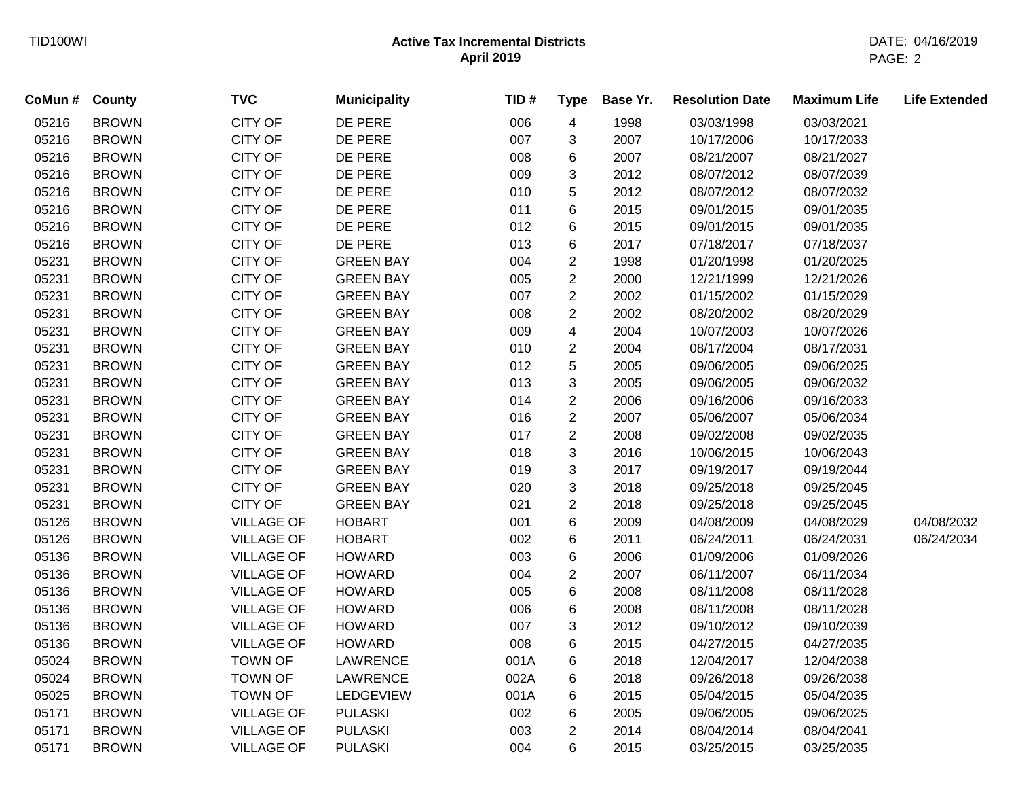| CoMun # County |              | <b>TVC</b>        | <b>Municipality</b> | TID# | <b>Type</b>    | Base Yr. | <b>Resolution Date</b> | <b>Maximum Life</b> | <b>Life Extended</b> |
|----------------|--------------|-------------------|---------------------|------|----------------|----------|------------------------|---------------------|----------------------|
| 05216          | <b>BROWN</b> | <b>CITY OF</b>    | DE PERE             | 006  | 4              | 1998     | 03/03/1998             | 03/03/2021          |                      |
| 05216          | <b>BROWN</b> | <b>CITY OF</b>    | DE PERE             | 007  | 3              | 2007     | 10/17/2006             | 10/17/2033          |                      |
| 05216          | <b>BROWN</b> | <b>CITY OF</b>    | DE PERE             | 008  | 6              | 2007     | 08/21/2007             | 08/21/2027          |                      |
| 05216          | <b>BROWN</b> | <b>CITY OF</b>    | DE PERE             | 009  | 3              | 2012     | 08/07/2012             | 08/07/2039          |                      |
| 05216          | <b>BROWN</b> | <b>CITY OF</b>    | DE PERE             | 010  | 5              | 2012     | 08/07/2012             | 08/07/2032          |                      |
| 05216          | <b>BROWN</b> | <b>CITY OF</b>    | DE PERE             | 011  | 6              | 2015     | 09/01/2015             | 09/01/2035          |                      |
| 05216          | <b>BROWN</b> | CITY OF           | DE PERE             | 012  | 6              | 2015     | 09/01/2015             | 09/01/2035          |                      |
| 05216          | <b>BROWN</b> | <b>CITY OF</b>    | DE PERE             | 013  | 6              | 2017     | 07/18/2017             | 07/18/2037          |                      |
| 05231          | <b>BROWN</b> | <b>CITY OF</b>    | <b>GREEN BAY</b>    | 004  | $\overline{c}$ | 1998     | 01/20/1998             | 01/20/2025          |                      |
| 05231          | <b>BROWN</b> | <b>CITY OF</b>    | <b>GREEN BAY</b>    | 005  | $\overline{2}$ | 2000     | 12/21/1999             | 12/21/2026          |                      |
| 05231          | <b>BROWN</b> | <b>CITY OF</b>    | <b>GREEN BAY</b>    | 007  | $\overline{c}$ | 2002     | 01/15/2002             | 01/15/2029          |                      |
| 05231          | <b>BROWN</b> | CITY OF           | <b>GREEN BAY</b>    | 008  | $\overline{c}$ | 2002     | 08/20/2002             | 08/20/2029          |                      |
| 05231          | <b>BROWN</b> | <b>CITY OF</b>    | <b>GREEN BAY</b>    | 009  | 4              | 2004     | 10/07/2003             | 10/07/2026          |                      |
| 05231          | <b>BROWN</b> | <b>CITY OF</b>    | <b>GREEN BAY</b>    | 010  | $\overline{c}$ | 2004     | 08/17/2004             | 08/17/2031          |                      |
| 05231          | <b>BROWN</b> | <b>CITY OF</b>    | <b>GREEN BAY</b>    | 012  | 5              | 2005     | 09/06/2005             | 09/06/2025          |                      |
| 05231          | <b>BROWN</b> | <b>CITY OF</b>    | <b>GREEN BAY</b>    | 013  | 3              | 2005     | 09/06/2005             | 09/06/2032          |                      |
| 05231          | <b>BROWN</b> | CITY OF           | <b>GREEN BAY</b>    | 014  | $\overline{c}$ | 2006     | 09/16/2006             | 09/16/2033          |                      |
| 05231          | <b>BROWN</b> | <b>CITY OF</b>    | <b>GREEN BAY</b>    | 016  | $\overline{2}$ | 2007     | 05/06/2007             | 05/06/2034          |                      |
| 05231          | <b>BROWN</b> | <b>CITY OF</b>    | <b>GREEN BAY</b>    | 017  | $\overline{2}$ | 2008     | 09/02/2008             | 09/02/2035          |                      |
| 05231          | <b>BROWN</b> | <b>CITY OF</b>    | <b>GREEN BAY</b>    | 018  | 3              | 2016     | 10/06/2015             | 10/06/2043          |                      |
| 05231          | <b>BROWN</b> | <b>CITY OF</b>    | <b>GREEN BAY</b>    | 019  | 3              | 2017     | 09/19/2017             | 09/19/2044          |                      |
| 05231          | <b>BROWN</b> | CITY OF           | <b>GREEN BAY</b>    | 020  | 3              | 2018     | 09/25/2018             | 09/25/2045          |                      |
| 05231          | <b>BROWN</b> | <b>CITY OF</b>    | <b>GREEN BAY</b>    | 021  | $\overline{c}$ | 2018     | 09/25/2018             | 09/25/2045          |                      |
| 05126          | <b>BROWN</b> | <b>VILLAGE OF</b> | <b>HOBART</b>       | 001  | 6              | 2009     | 04/08/2009             | 04/08/2029          | 04/08/2032           |
| 05126          | <b>BROWN</b> | <b>VILLAGE OF</b> | <b>HOBART</b>       | 002  | 6              | 2011     | 06/24/2011             | 06/24/2031          | 06/24/2034           |
| 05136          | <b>BROWN</b> | <b>VILLAGE OF</b> | <b>HOWARD</b>       | 003  | 6              | 2006     | 01/09/2006             | 01/09/2026          |                      |
| 05136          | <b>BROWN</b> | <b>VILLAGE OF</b> | <b>HOWARD</b>       | 004  | $\overline{c}$ | 2007     | 06/11/2007             | 06/11/2034          |                      |
| 05136          | <b>BROWN</b> | <b>VILLAGE OF</b> | <b>HOWARD</b>       | 005  | 6              | 2008     | 08/11/2008             | 08/11/2028          |                      |
| 05136          | <b>BROWN</b> | <b>VILLAGE OF</b> | <b>HOWARD</b>       | 006  | 6              | 2008     | 08/11/2008             | 08/11/2028          |                      |
| 05136          | <b>BROWN</b> | <b>VILLAGE OF</b> | <b>HOWARD</b>       | 007  | 3              | 2012     | 09/10/2012             | 09/10/2039          |                      |
| 05136          | <b>BROWN</b> | <b>VILLAGE OF</b> | <b>HOWARD</b>       | 008  | 6              | 2015     | 04/27/2015             | 04/27/2035          |                      |
| 05024          | <b>BROWN</b> | <b>TOWN OF</b>    | <b>LAWRENCE</b>     | 001A | 6              | 2018     | 12/04/2017             | 12/04/2038          |                      |
| 05024          | <b>BROWN</b> | <b>TOWN OF</b>    | LAWRENCE            | 002A | 6              | 2018     | 09/26/2018             | 09/26/2038          |                      |
| 05025          | <b>BROWN</b> | <b>TOWN OF</b>    | <b>LEDGEVIEW</b>    | 001A | 6              | 2015     | 05/04/2015             | 05/04/2035          |                      |
| 05171          | <b>BROWN</b> | <b>VILLAGE OF</b> | <b>PULASKI</b>      | 002  | 6              | 2005     | 09/06/2005             | 09/06/2025          |                      |
| 05171          | <b>BROWN</b> | <b>VILLAGE OF</b> | <b>PULASKI</b>      | 003  | $\overline{2}$ | 2014     | 08/04/2014             | 08/04/2041          |                      |
| 05171          | <b>BROWN</b> | <b>VILLAGE OF</b> | <b>PULASKI</b>      | 004  | 6              | 2015     | 03/25/2015             | 03/25/2035          |                      |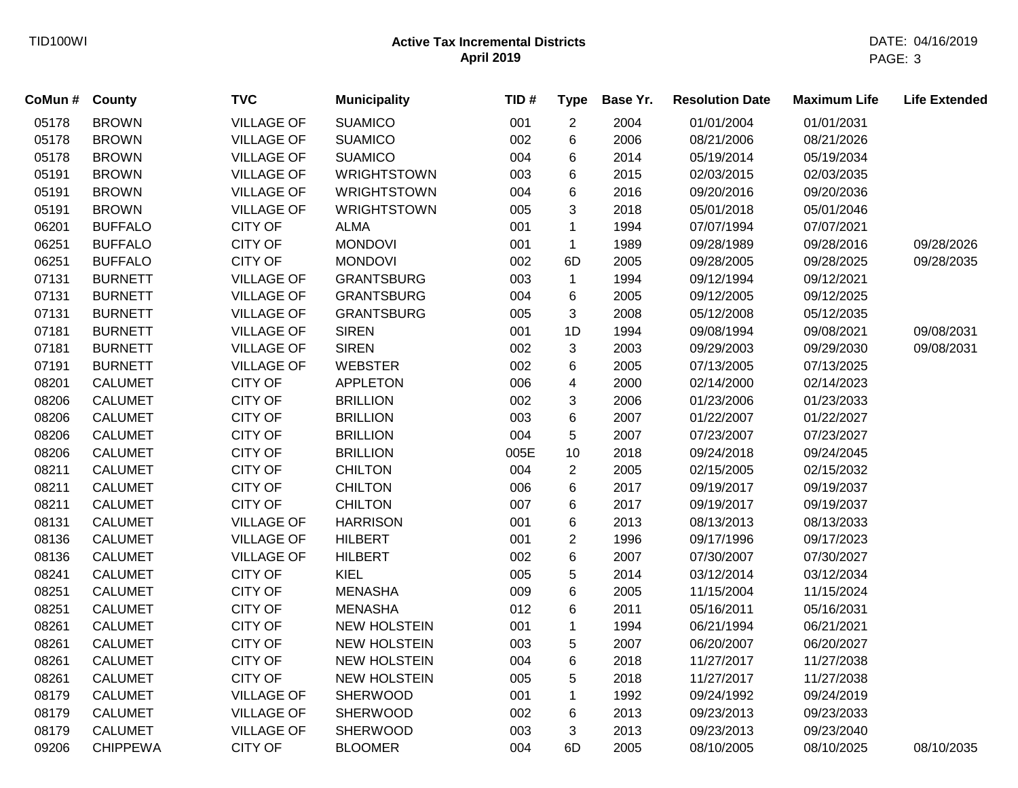| CoMun # | County          | <b>TVC</b>        | <b>Municipality</b> | TID# | <b>Type</b>    | Base Yr. | <b>Resolution Date</b> | <b>Maximum Life</b> | <b>Life Extended</b> |
|---------|-----------------|-------------------|---------------------|------|----------------|----------|------------------------|---------------------|----------------------|
| 05178   | <b>BROWN</b>    | <b>VILLAGE OF</b> | <b>SUAMICO</b>      | 001  | $\overline{c}$ | 2004     | 01/01/2004             | 01/01/2031          |                      |
| 05178   | <b>BROWN</b>    | <b>VILLAGE OF</b> | <b>SUAMICO</b>      | 002  | 6              | 2006     | 08/21/2006             | 08/21/2026          |                      |
| 05178   | <b>BROWN</b>    | <b>VILLAGE OF</b> | <b>SUAMICO</b>      | 004  | 6              | 2014     | 05/19/2014             | 05/19/2034          |                      |
| 05191   | <b>BROWN</b>    | <b>VILLAGE OF</b> | <b>WRIGHTSTOWN</b>  | 003  | 6              | 2015     | 02/03/2015             | 02/03/2035          |                      |
| 05191   | <b>BROWN</b>    | <b>VILLAGE OF</b> | <b>WRIGHTSTOWN</b>  | 004  | 6              | 2016     | 09/20/2016             | 09/20/2036          |                      |
| 05191   | <b>BROWN</b>    | <b>VILLAGE OF</b> | <b>WRIGHTSTOWN</b>  | 005  | 3              | 2018     | 05/01/2018             | 05/01/2046          |                      |
| 06201   | <b>BUFFALO</b>  | <b>CITY OF</b>    | <b>ALMA</b>         | 001  | $\mathbf{1}$   | 1994     | 07/07/1994             | 07/07/2021          |                      |
| 06251   | <b>BUFFALO</b>  | <b>CITY OF</b>    | <b>MONDOVI</b>      | 001  | $\mathbf{1}$   | 1989     | 09/28/1989             | 09/28/2016          | 09/28/2026           |
| 06251   | <b>BUFFALO</b>  | <b>CITY OF</b>    | <b>MONDOVI</b>      | 002  | 6D             | 2005     | 09/28/2005             | 09/28/2025          | 09/28/2035           |
| 07131   | <b>BURNETT</b>  | <b>VILLAGE OF</b> | <b>GRANTSBURG</b>   | 003  | $\mathbf{1}$   | 1994     | 09/12/1994             | 09/12/2021          |                      |
| 07131   | <b>BURNETT</b>  | <b>VILLAGE OF</b> | <b>GRANTSBURG</b>   | 004  | 6              | 2005     | 09/12/2005             | 09/12/2025          |                      |
| 07131   | <b>BURNETT</b>  | <b>VILLAGE OF</b> | <b>GRANTSBURG</b>   | 005  | 3              | 2008     | 05/12/2008             | 05/12/2035          |                      |
| 07181   | <b>BURNETT</b>  | <b>VILLAGE OF</b> | <b>SIREN</b>        | 001  | 1D             | 1994     | 09/08/1994             | 09/08/2021          | 09/08/2031           |
| 07181   | <b>BURNETT</b>  | <b>VILLAGE OF</b> | <b>SIREN</b>        | 002  | 3              | 2003     | 09/29/2003             | 09/29/2030          | 09/08/2031           |
| 07191   | <b>BURNETT</b>  | <b>VILLAGE OF</b> | <b>WEBSTER</b>      | 002  | 6              | 2005     | 07/13/2005             | 07/13/2025          |                      |
| 08201   | <b>CALUMET</b>  | <b>CITY OF</b>    | <b>APPLETON</b>     | 006  | 4              | 2000     | 02/14/2000             | 02/14/2023          |                      |
| 08206   | <b>CALUMET</b>  | <b>CITY OF</b>    | <b>BRILLION</b>     | 002  | 3              | 2006     | 01/23/2006             | 01/23/2033          |                      |
| 08206   | <b>CALUMET</b>  | CITY OF           | <b>BRILLION</b>     | 003  | 6              | 2007     | 01/22/2007             | 01/22/2027          |                      |
| 08206   | <b>CALUMET</b>  | CITY OF           | <b>BRILLION</b>     | 004  | 5              | 2007     | 07/23/2007             | 07/23/2027          |                      |
| 08206   | <b>CALUMET</b>  | <b>CITY OF</b>    | <b>BRILLION</b>     | 005E | 10             | 2018     | 09/24/2018             | 09/24/2045          |                      |
| 08211   | <b>CALUMET</b>  | <b>CITY OF</b>    | <b>CHILTON</b>      | 004  | $\overline{2}$ | 2005     | 02/15/2005             | 02/15/2032          |                      |
| 08211   | <b>CALUMET</b>  | <b>CITY OF</b>    | <b>CHILTON</b>      | 006  | 6              | 2017     | 09/19/2017             | 09/19/2037          |                      |
| 08211   | <b>CALUMET</b>  | <b>CITY OF</b>    | <b>CHILTON</b>      | 007  | 6              | 2017     | 09/19/2017             | 09/19/2037          |                      |
| 08131   | <b>CALUMET</b>  | <b>VILLAGE OF</b> | <b>HARRISON</b>     | 001  | 6              | 2013     | 08/13/2013             | 08/13/2033          |                      |
| 08136   | <b>CALUMET</b>  | <b>VILLAGE OF</b> | <b>HILBERT</b>      | 001  | $\overline{2}$ | 1996     | 09/17/1996             | 09/17/2023          |                      |
| 08136   | <b>CALUMET</b>  | <b>VILLAGE OF</b> | <b>HILBERT</b>      | 002  | 6              | 2007     | 07/30/2007             | 07/30/2027          |                      |
| 08241   | CALUMET         | <b>CITY OF</b>    | KIEL                | 005  | 5              | 2014     | 03/12/2014             | 03/12/2034          |                      |
| 08251   | <b>CALUMET</b>  | <b>CITY OF</b>    | <b>MENASHA</b>      | 009  | 6              | 2005     | 11/15/2004             | 11/15/2024          |                      |
| 08251   | <b>CALUMET</b>  | <b>CITY OF</b>    | <b>MENASHA</b>      | 012  | 6              | 2011     | 05/16/2011             | 05/16/2031          |                      |
| 08261   | <b>CALUMET</b>  | <b>CITY OF</b>    | <b>NEW HOLSTEIN</b> | 001  | 1              | 1994     | 06/21/1994             | 06/21/2021          |                      |
| 08261   | <b>CALUMET</b>  | CITY OF           | <b>NEW HOLSTEIN</b> | 003  | 5              | 2007     | 06/20/2007             | 06/20/2027          |                      |
| 08261   | <b>CALUMET</b>  | CITY OF           | <b>NEW HOLSTEIN</b> | 004  | 6              | 2018     | 11/27/2017             | 11/27/2038          |                      |
| 08261   | <b>CALUMET</b>  | <b>CITY OF</b>    | <b>NEW HOLSTEIN</b> | 005  | 5              | 2018     | 11/27/2017             | 11/27/2038          |                      |
| 08179   | <b>CALUMET</b>  | <b>VILLAGE OF</b> | <b>SHERWOOD</b>     | 001  | $\mathbf{1}$   | 1992     | 09/24/1992             | 09/24/2019          |                      |
| 08179   | <b>CALUMET</b>  | <b>VILLAGE OF</b> | <b>SHERWOOD</b>     | 002  | 6              | 2013     | 09/23/2013             | 09/23/2033          |                      |
| 08179   | <b>CALUMET</b>  | <b>VILLAGE OF</b> | <b>SHERWOOD</b>     | 003  | 3              | 2013     | 09/23/2013             | 09/23/2040          |                      |
| 09206   | <b>CHIPPEWA</b> | <b>CITY OF</b>    | <b>BLOOMER</b>      | 004  | 6D             | 2005     | 08/10/2005             | 08/10/2025          | 08/10/2035           |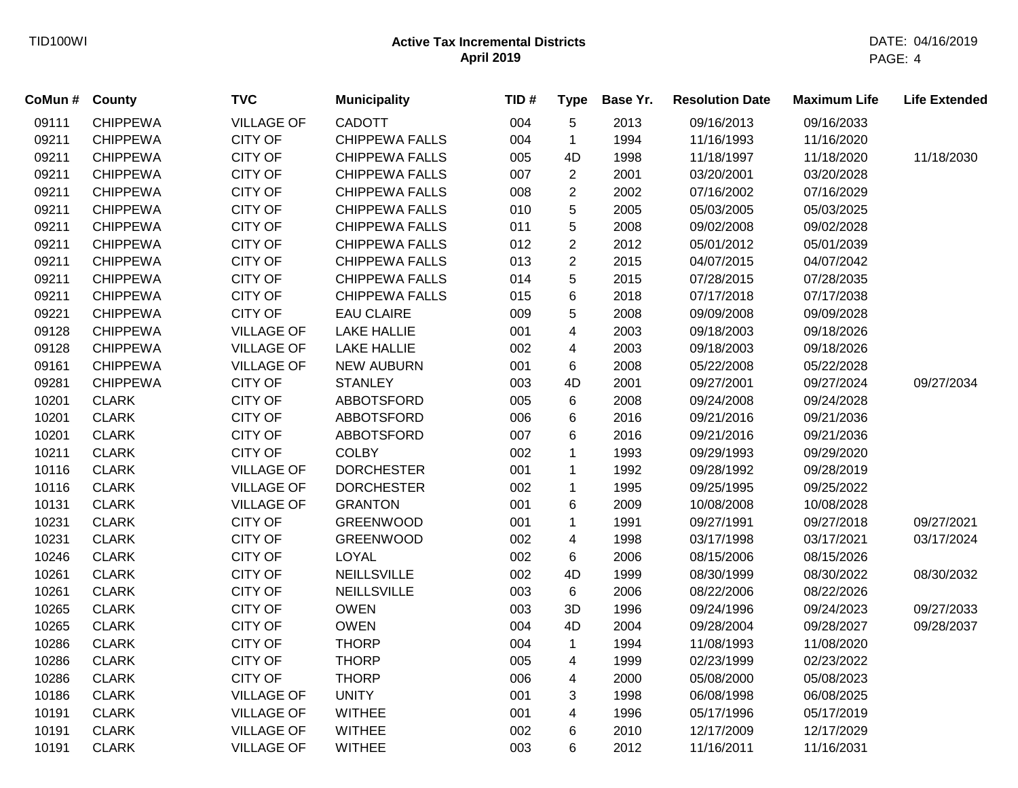| CoMun # County |                 | <b>TVC</b>        | <b>Municipality</b>   | TID# | <b>Type</b>             | Base Yr. | <b>Resolution Date</b> | <b>Maximum Life</b> | <b>Life Extended</b> |
|----------------|-----------------|-------------------|-----------------------|------|-------------------------|----------|------------------------|---------------------|----------------------|
| 09111          | <b>CHIPPEWA</b> | <b>VILLAGE OF</b> | <b>CADOTT</b>         | 004  | 5                       | 2013     | 09/16/2013             | 09/16/2033          |                      |
| 09211          | <b>CHIPPEWA</b> | <b>CITY OF</b>    | <b>CHIPPEWA FALLS</b> | 004  | $\mathbf 1$             | 1994     | 11/16/1993             | 11/16/2020          |                      |
| 09211          | <b>CHIPPEWA</b> | <b>CITY OF</b>    | <b>CHIPPEWA FALLS</b> | 005  | 4D                      | 1998     | 11/18/1997             | 11/18/2020          | 11/18/2030           |
| 09211          | <b>CHIPPEWA</b> | <b>CITY OF</b>    | <b>CHIPPEWA FALLS</b> | 007  | $\overline{2}$          | 2001     | 03/20/2001             | 03/20/2028          |                      |
| 09211          | <b>CHIPPEWA</b> | CITY OF           | <b>CHIPPEWA FALLS</b> | 008  | $\overline{2}$          | 2002     | 07/16/2002             | 07/16/2029          |                      |
| 09211          | <b>CHIPPEWA</b> | CITY OF           | <b>CHIPPEWA FALLS</b> | 010  | 5                       | 2005     | 05/03/2005             | 05/03/2025          |                      |
| 09211          | <b>CHIPPEWA</b> | <b>CITY OF</b>    | <b>CHIPPEWA FALLS</b> | 011  | 5                       | 2008     | 09/02/2008             | 09/02/2028          |                      |
| 09211          | <b>CHIPPEWA</b> | <b>CITY OF</b>    | <b>CHIPPEWA FALLS</b> | 012  | $\overline{2}$          | 2012     | 05/01/2012             | 05/01/2039          |                      |
| 09211          | <b>CHIPPEWA</b> | CITY OF           | <b>CHIPPEWA FALLS</b> | 013  | $\overline{2}$          | 2015     | 04/07/2015             | 04/07/2042          |                      |
| 09211          | <b>CHIPPEWA</b> | CITY OF           | <b>CHIPPEWA FALLS</b> | 014  | 5                       | 2015     | 07/28/2015             | 07/28/2035          |                      |
| 09211          | <b>CHIPPEWA</b> | CITY OF           | <b>CHIPPEWA FALLS</b> | 015  | 6                       | 2018     | 07/17/2018             | 07/17/2038          |                      |
| 09221          | <b>CHIPPEWA</b> | <b>CITY OF</b>    | <b>EAU CLAIRE</b>     | 009  | 5                       | 2008     | 09/09/2008             | 09/09/2028          |                      |
| 09128          | <b>CHIPPEWA</b> | <b>VILLAGE OF</b> | <b>LAKE HALLIE</b>    | 001  | $\overline{\mathbf{4}}$ | 2003     | 09/18/2003             | 09/18/2026          |                      |
| 09128          | <b>CHIPPEWA</b> | <b>VILLAGE OF</b> | <b>LAKE HALLIE</b>    | 002  | $\overline{\mathbf{4}}$ | 2003     | 09/18/2003             | 09/18/2026          |                      |
| 09161          | <b>CHIPPEWA</b> | <b>VILLAGE OF</b> | <b>NEW AUBURN</b>     | 001  | 6                       | 2008     | 05/22/2008             | 05/22/2028          |                      |
| 09281          | <b>CHIPPEWA</b> | <b>CITY OF</b>    | <b>STANLEY</b>        | 003  | 4D                      | 2001     | 09/27/2001             | 09/27/2024          | 09/27/2034           |
| 10201          | <b>CLARK</b>    | <b>CITY OF</b>    | <b>ABBOTSFORD</b>     | 005  | 6                       | 2008     | 09/24/2008             | 09/24/2028          |                      |
| 10201          | <b>CLARK</b>    | <b>CITY OF</b>    | <b>ABBOTSFORD</b>     | 006  | 6                       | 2016     | 09/21/2016             | 09/21/2036          |                      |
| 10201          | <b>CLARK</b>    | <b>CITY OF</b>    | ABBOTSFORD            | 007  | 6                       | 2016     | 09/21/2016             | 09/21/2036          |                      |
| 10211          | <b>CLARK</b>    | <b>CITY OF</b>    | <b>COLBY</b>          | 002  | 1                       | 1993     | 09/29/1993             | 09/29/2020          |                      |
| 10116          | <b>CLARK</b>    | <b>VILLAGE OF</b> | <b>DORCHESTER</b>     | 001  | 1                       | 1992     | 09/28/1992             | 09/28/2019          |                      |
| 10116          | <b>CLARK</b>    | <b>VILLAGE OF</b> | <b>DORCHESTER</b>     | 002  | $\mathbf{1}$            | 1995     | 09/25/1995             | 09/25/2022          |                      |
| 10131          | <b>CLARK</b>    | <b>VILLAGE OF</b> | <b>GRANTON</b>        | 001  | 6                       | 2009     | 10/08/2008             | 10/08/2028          |                      |
| 10231          | <b>CLARK</b>    | <b>CITY OF</b>    | <b>GREENWOOD</b>      | 001  | 1                       | 1991     | 09/27/1991             | 09/27/2018          | 09/27/2021           |
| 10231          | <b>CLARK</b>    | <b>CITY OF</b>    | <b>GREENWOOD</b>      | 002  | 4                       | 1998     | 03/17/1998             | 03/17/2021          | 03/17/2024           |
| 10246          | <b>CLARK</b>    | CITY OF           | <b>LOYAL</b>          | 002  | 6                       | 2006     | 08/15/2006             | 08/15/2026          |                      |
| 10261          | <b>CLARK</b>    | <b>CITY OF</b>    | <b>NEILLSVILLE</b>    | 002  | 4D                      | 1999     | 08/30/1999             | 08/30/2022          | 08/30/2032           |
| 10261          | <b>CLARK</b>    | <b>CITY OF</b>    | <b>NEILLSVILLE</b>    | 003  | 6                       | 2006     | 08/22/2006             | 08/22/2026          |                      |
| 10265          | <b>CLARK</b>    | <b>CITY OF</b>    | <b>OWEN</b>           | 003  | 3D                      | 1996     | 09/24/1996             | 09/24/2023          | 09/27/2033           |
| 10265          | <b>CLARK</b>    | <b>CITY OF</b>    | <b>OWEN</b>           | 004  | 4D                      | 2004     | 09/28/2004             | 09/28/2027          | 09/28/2037           |
| 10286          | <b>CLARK</b>    | CITY OF           | <b>THORP</b>          | 004  | $\mathbf{1}$            | 1994     | 11/08/1993             | 11/08/2020          |                      |
| 10286          | <b>CLARK</b>    | <b>CITY OF</b>    | <b>THORP</b>          | 005  | $\overline{\mathbf{4}}$ | 1999     | 02/23/1999             | 02/23/2022          |                      |
| 10286          | <b>CLARK</b>    | <b>CITY OF</b>    | <b>THORP</b>          | 006  | 4                       | 2000     | 05/08/2000             | 05/08/2023          |                      |
| 10186          | <b>CLARK</b>    | <b>VILLAGE OF</b> | <b>UNITY</b>          | 001  | 3                       | 1998     | 06/08/1998             | 06/08/2025          |                      |
| 10191          | <b>CLARK</b>    | <b>VILLAGE OF</b> | <b>WITHEE</b>         | 001  | $\overline{\mathbf{4}}$ | 1996     | 05/17/1996             | 05/17/2019          |                      |
| 10191          | <b>CLARK</b>    | <b>VILLAGE OF</b> | <b>WITHEE</b>         | 002  | 6                       | 2010     | 12/17/2009             | 12/17/2029          |                      |
| 10191          | <b>CLARK</b>    | <b>VILLAGE OF</b> | <b>WITHEE</b>         | 003  | 6                       | 2012     | 11/16/2011             | 11/16/2031          |                      |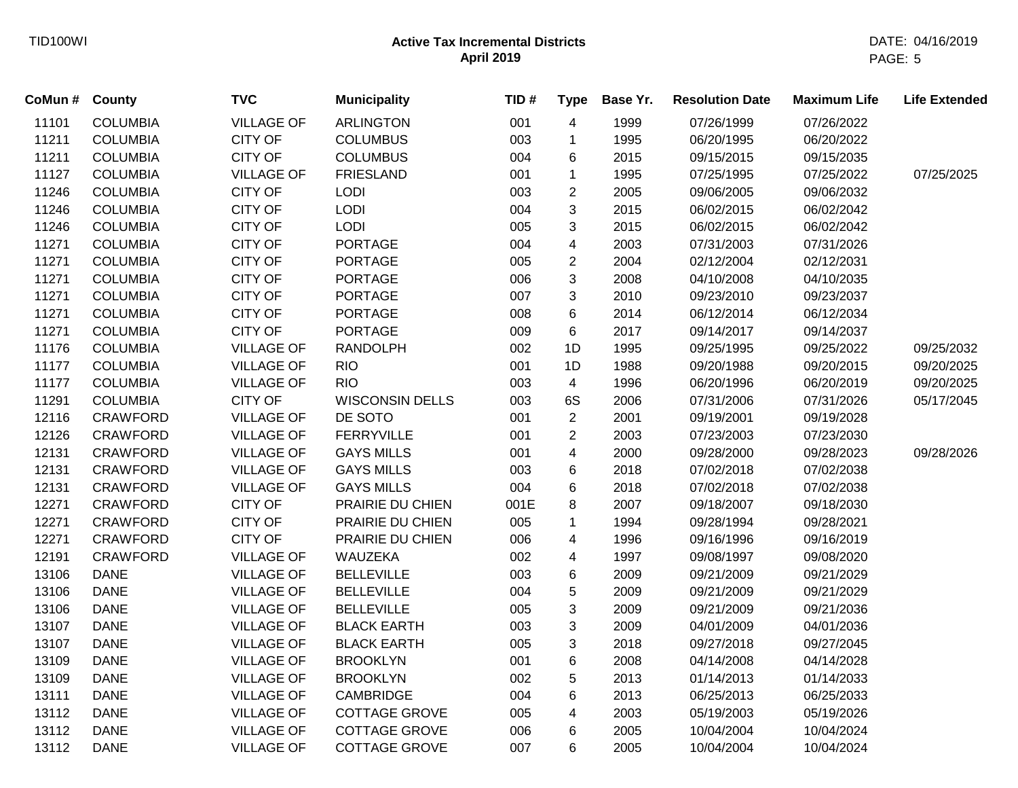| CoMun # County |                 | <b>TVC</b>        | <b>Municipality</b>    | TID# | <b>Type</b>    | Base Yr. | <b>Resolution Date</b> | <b>Maximum Life</b> | <b>Life Extended</b> |
|----------------|-----------------|-------------------|------------------------|------|----------------|----------|------------------------|---------------------|----------------------|
| 11101          | <b>COLUMBIA</b> | <b>VILLAGE OF</b> | <b>ARLINGTON</b>       | 001  | 4              | 1999     | 07/26/1999             | 07/26/2022          |                      |
| 11211          | <b>COLUMBIA</b> | <b>CITY OF</b>    | <b>COLUMBUS</b>        | 003  | $\mathbf 1$    | 1995     | 06/20/1995             | 06/20/2022          |                      |
| 11211          | <b>COLUMBIA</b> | <b>CITY OF</b>    | <b>COLUMBUS</b>        | 004  | 6              | 2015     | 09/15/2015             | 09/15/2035          |                      |
| 11127          | <b>COLUMBIA</b> | <b>VILLAGE OF</b> | <b>FRIESLAND</b>       | 001  | $\mathbf{1}$   | 1995     | 07/25/1995             | 07/25/2022          | 07/25/2025           |
| 11246          | <b>COLUMBIA</b> | <b>CITY OF</b>    | <b>LODI</b>            | 003  | $\overline{2}$ | 2005     | 09/06/2005             | 09/06/2032          |                      |
| 11246          | <b>COLUMBIA</b> | CITY OF           | <b>LODI</b>            | 004  | 3              | 2015     | 06/02/2015             | 06/02/2042          |                      |
| 11246          | <b>COLUMBIA</b> | <b>CITY OF</b>    | <b>LODI</b>            | 005  | 3              | 2015     | 06/02/2015             | 06/02/2042          |                      |
| 11271          | <b>COLUMBIA</b> | <b>CITY OF</b>    | <b>PORTAGE</b>         | 004  | 4              | 2003     | 07/31/2003             | 07/31/2026          |                      |
| 11271          | <b>COLUMBIA</b> | CITY OF           | <b>PORTAGE</b>         | 005  | $\overline{2}$ | 2004     | 02/12/2004             | 02/12/2031          |                      |
| 11271          | <b>COLUMBIA</b> | CITY OF           | <b>PORTAGE</b>         | 006  | $\mathfrak{S}$ | 2008     | 04/10/2008             | 04/10/2035          |                      |
| 11271          | <b>COLUMBIA</b> | CITY OF           | <b>PORTAGE</b>         | 007  | $\mathbf{3}$   | 2010     | 09/23/2010             | 09/23/2037          |                      |
| 11271          | <b>COLUMBIA</b> | CITY OF           | <b>PORTAGE</b>         | 008  | 6              | 2014     | 06/12/2014             | 06/12/2034          |                      |
| 11271          | <b>COLUMBIA</b> | <b>CITY OF</b>    | <b>PORTAGE</b>         | 009  | 6              | 2017     | 09/14/2017             | 09/14/2037          |                      |
| 11176          | <b>COLUMBIA</b> | <b>VILLAGE OF</b> | <b>RANDOLPH</b>        | 002  | 1D             | 1995     | 09/25/1995             | 09/25/2022          | 09/25/2032           |
| 11177          | <b>COLUMBIA</b> | <b>VILLAGE OF</b> | <b>RIO</b>             | 001  | 1D             | 1988     | 09/20/1988             | 09/20/2015          | 09/20/2025           |
| 11177          | <b>COLUMBIA</b> | <b>VILLAGE OF</b> | <b>RIO</b>             | 003  | 4              | 1996     | 06/20/1996             | 06/20/2019          | 09/20/2025           |
| 11291          | <b>COLUMBIA</b> | CITY OF           | <b>WISCONSIN DELLS</b> | 003  | 6S             | 2006     | 07/31/2006             | 07/31/2026          | 05/17/2045           |
| 12116          | <b>CRAWFORD</b> | <b>VILLAGE OF</b> | DE SOTO                | 001  | $\overline{2}$ | 2001     | 09/19/2001             | 09/19/2028          |                      |
| 12126          | <b>CRAWFORD</b> | <b>VILLAGE OF</b> | <b>FERRYVILLE</b>      | 001  | $\overline{2}$ | 2003     | 07/23/2003             | 07/23/2030          |                      |
| 12131          | <b>CRAWFORD</b> | <b>VILLAGE OF</b> | <b>GAYS MILLS</b>      | 001  | 4              | 2000     | 09/28/2000             | 09/28/2023          | 09/28/2026           |
| 12131          | <b>CRAWFORD</b> | <b>VILLAGE OF</b> | <b>GAYS MILLS</b>      | 003  | 6              | 2018     | 07/02/2018             | 07/02/2038          |                      |
| 12131          | <b>CRAWFORD</b> | <b>VILLAGE OF</b> | <b>GAYS MILLS</b>      | 004  | 6              | 2018     | 07/02/2018             | 07/02/2038          |                      |
| 12271          | <b>CRAWFORD</b> | <b>CITY OF</b>    | PRAIRIE DU CHIEN       | 001E | 8              | 2007     | 09/18/2007             | 09/18/2030          |                      |
| 12271          | <b>CRAWFORD</b> | CITY OF           | PRAIRIE DU CHIEN       | 005  | 1              | 1994     | 09/28/1994             | 09/28/2021          |                      |
| 12271          | <b>CRAWFORD</b> | CITY OF           | PRAIRIE DU CHIEN       | 006  | 4              | 1996     | 09/16/1996             | 09/16/2019          |                      |
| 12191          | <b>CRAWFORD</b> | <b>VILLAGE OF</b> | WAUZEKA                | 002  | 4              | 1997     | 09/08/1997             | 09/08/2020          |                      |
| 13106          | <b>DANE</b>     | <b>VILLAGE OF</b> | <b>BELLEVILLE</b>      | 003  | 6              | 2009     | 09/21/2009             | 09/21/2029          |                      |
| 13106          | <b>DANE</b>     | <b>VILLAGE OF</b> | <b>BELLEVILLE</b>      | 004  | 5              | 2009     | 09/21/2009             | 09/21/2029          |                      |
| 13106          | <b>DANE</b>     | <b>VILLAGE OF</b> | <b>BELLEVILLE</b>      | 005  | 3              | 2009     | 09/21/2009             | 09/21/2036          |                      |
| 13107          | <b>DANE</b>     | <b>VILLAGE OF</b> | <b>BLACK EARTH</b>     | 003  | $\mathfrak{S}$ | 2009     | 04/01/2009             | 04/01/2036          |                      |
| 13107          | <b>DANE</b>     | <b>VILLAGE OF</b> | <b>BLACK EARTH</b>     | 005  | 3              | 2018     | 09/27/2018             | 09/27/2045          |                      |
| 13109          | <b>DANE</b>     | <b>VILLAGE OF</b> | <b>BROOKLYN</b>        | 001  | 6              | 2008     | 04/14/2008             | 04/14/2028          |                      |
| 13109          | <b>DANE</b>     | <b>VILLAGE OF</b> | <b>BROOKLYN</b>        | 002  | 5              | 2013     | 01/14/2013             | 01/14/2033          |                      |
| 13111          | <b>DANE</b>     | <b>VILLAGE OF</b> | <b>CAMBRIDGE</b>       | 004  | 6              | 2013     | 06/25/2013             | 06/25/2033          |                      |
| 13112          | <b>DANE</b>     | <b>VILLAGE OF</b> | <b>COTTAGE GROVE</b>   | 005  | 4              | 2003     | 05/19/2003             | 05/19/2026          |                      |
| 13112          | <b>DANE</b>     | <b>VILLAGE OF</b> | <b>COTTAGE GROVE</b>   | 006  | 6              | 2005     | 10/04/2004             | 10/04/2024          |                      |
| 13112          | <b>DANE</b>     | <b>VILLAGE OF</b> | <b>COTTAGE GROVE</b>   | 007  | 6              | 2005     | 10/04/2004             | 10/04/2024          |                      |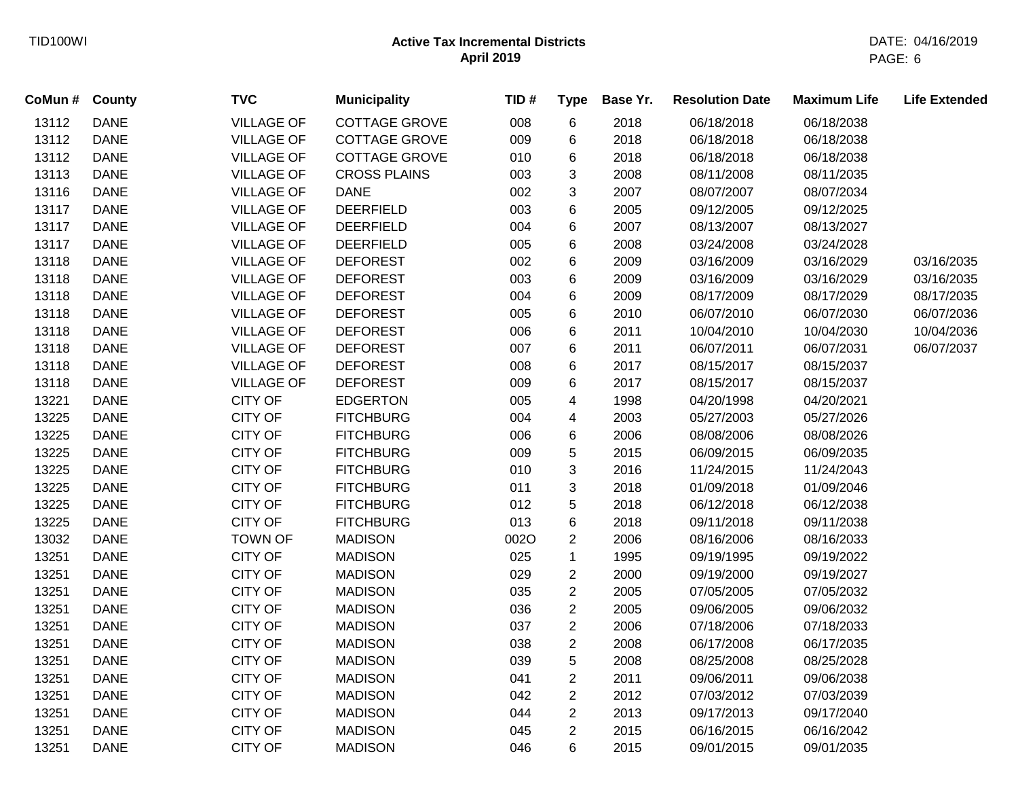| CoMun # County |             | <b>TVC</b>        | <b>Municipality</b>  | TID# | <b>Type</b>    | Base Yr. | <b>Resolution Date</b> | <b>Maximum Life</b> | <b>Life Extended</b> |
|----------------|-------------|-------------------|----------------------|------|----------------|----------|------------------------|---------------------|----------------------|
| 13112          | <b>DANE</b> | <b>VILLAGE OF</b> | <b>COTTAGE GROVE</b> | 008  | 6              | 2018     | 06/18/2018             | 06/18/2038          |                      |
| 13112          | <b>DANE</b> | <b>VILLAGE OF</b> | <b>COTTAGE GROVE</b> | 009  | 6              | 2018     | 06/18/2018             | 06/18/2038          |                      |
| 13112          | <b>DANE</b> | <b>VILLAGE OF</b> | <b>COTTAGE GROVE</b> | 010  | 6              | 2018     | 06/18/2018             | 06/18/2038          |                      |
| 13113          | <b>DANE</b> | <b>VILLAGE OF</b> | <b>CROSS PLAINS</b>  | 003  | 3              | 2008     | 08/11/2008             | 08/11/2035          |                      |
| 13116          | <b>DANE</b> | <b>VILLAGE OF</b> | <b>DANE</b>          | 002  | 3              | 2007     | 08/07/2007             | 08/07/2034          |                      |
| 13117          | <b>DANE</b> | <b>VILLAGE OF</b> | <b>DEERFIELD</b>     | 003  | 6              | 2005     | 09/12/2005             | 09/12/2025          |                      |
| 13117          | <b>DANE</b> | <b>VILLAGE OF</b> | <b>DEERFIELD</b>     | 004  | 6              | 2007     | 08/13/2007             | 08/13/2027          |                      |
| 13117          | <b>DANE</b> | <b>VILLAGE OF</b> | <b>DEERFIELD</b>     | 005  | 6              | 2008     | 03/24/2008             | 03/24/2028          |                      |
| 13118          | <b>DANE</b> | <b>VILLAGE OF</b> | <b>DEFOREST</b>      | 002  | 6              | 2009     | 03/16/2009             | 03/16/2029          | 03/16/2035           |
| 13118          | <b>DANE</b> | <b>VILLAGE OF</b> | <b>DEFOREST</b>      | 003  | 6              | 2009     | 03/16/2009             | 03/16/2029          | 03/16/2035           |
| 13118          | <b>DANE</b> | <b>VILLAGE OF</b> | <b>DEFOREST</b>      | 004  | 6              | 2009     | 08/17/2009             | 08/17/2029          | 08/17/2035           |
| 13118          | <b>DANE</b> | <b>VILLAGE OF</b> | <b>DEFOREST</b>      | 005  | 6              | 2010     | 06/07/2010             | 06/07/2030          | 06/07/2036           |
| 13118          | <b>DANE</b> | <b>VILLAGE OF</b> | <b>DEFOREST</b>      | 006  | 6              | 2011     | 10/04/2010             | 10/04/2030          | 10/04/2036           |
| 13118          | <b>DANE</b> | <b>VILLAGE OF</b> | <b>DEFOREST</b>      | 007  | 6              | 2011     | 06/07/2011             | 06/07/2031          | 06/07/2037           |
| 13118          | <b>DANE</b> | <b>VILLAGE OF</b> | <b>DEFOREST</b>      | 008  | 6              | 2017     | 08/15/2017             | 08/15/2037          |                      |
| 13118          | <b>DANE</b> | <b>VILLAGE OF</b> | <b>DEFOREST</b>      | 009  | 6              | 2017     | 08/15/2017             | 08/15/2037          |                      |
| 13221          | <b>DANE</b> | <b>CITY OF</b>    | <b>EDGERTON</b>      | 005  | 4              | 1998     | 04/20/1998             | 04/20/2021          |                      |
| 13225          | <b>DANE</b> | <b>CITY OF</b>    | <b>FITCHBURG</b>     | 004  | 4              | 2003     | 05/27/2003             | 05/27/2026          |                      |
| 13225          | <b>DANE</b> | CITY OF           | <b>FITCHBURG</b>     | 006  | 6              | 2006     | 08/08/2006             | 08/08/2026          |                      |
| 13225          | <b>DANE</b> | CITY OF           | <b>FITCHBURG</b>     | 009  | 5              | 2015     | 06/09/2015             | 06/09/2035          |                      |
| 13225          | <b>DANE</b> | <b>CITY OF</b>    | <b>FITCHBURG</b>     | 010  | 3              | 2016     | 11/24/2015             | 11/24/2043          |                      |
| 13225          | <b>DANE</b> | CITY OF           | <b>FITCHBURG</b>     | 011  | 3              | 2018     | 01/09/2018             | 01/09/2046          |                      |
| 13225          | <b>DANE</b> | CITY OF           | <b>FITCHBURG</b>     | 012  | 5              | 2018     | 06/12/2018             | 06/12/2038          |                      |
| 13225          | <b>DANE</b> | <b>CITY OF</b>    | <b>FITCHBURG</b>     | 013  | 6              | 2018     | 09/11/2018             | 09/11/2038          |                      |
| 13032          | <b>DANE</b> | <b>TOWN OF</b>    | <b>MADISON</b>       | 002O | $\overline{c}$ | 2006     | 08/16/2006             | 08/16/2033          |                      |
| 13251          | <b>DANE</b> | CITY OF           | <b>MADISON</b>       | 025  | $\mathbf 1$    | 1995     | 09/19/1995             | 09/19/2022          |                      |
| 13251          | <b>DANE</b> | <b>CITY OF</b>    | <b>MADISON</b>       | 029  | $\overline{c}$ | 2000     | 09/19/2000             | 09/19/2027          |                      |
| 13251          | <b>DANE</b> | CITY OF           | <b>MADISON</b>       | 035  | $\overline{c}$ | 2005     | 07/05/2005             | 07/05/2032          |                      |
| 13251          | <b>DANE</b> | CITY OF           | <b>MADISON</b>       | 036  | $\overline{2}$ | 2005     | 09/06/2005             | 09/06/2032          |                      |
| 13251          | <b>DANE</b> | CITY OF           | <b>MADISON</b>       | 037  | $\overline{2}$ | 2006     | 07/18/2006             | 07/18/2033          |                      |
| 13251          | <b>DANE</b> | <b>CITY OF</b>    | <b>MADISON</b>       | 038  | $\overline{c}$ | 2008     | 06/17/2008             | 06/17/2035          |                      |
| 13251          | <b>DANE</b> | CITY OF           | <b>MADISON</b>       | 039  | 5              | 2008     | 08/25/2008             | 08/25/2028          |                      |
| 13251          | <b>DANE</b> | CITY OF           | <b>MADISON</b>       | 041  | $\overline{2}$ | 2011     | 09/06/2011             | 09/06/2038          |                      |
| 13251          | <b>DANE</b> | <b>CITY OF</b>    | <b>MADISON</b>       | 042  | $\overline{c}$ | 2012     | 07/03/2012             | 07/03/2039          |                      |
| 13251          | <b>DANE</b> | <b>CITY OF</b>    | <b>MADISON</b>       | 044  | $\overline{c}$ | 2013     | 09/17/2013             | 09/17/2040          |                      |
| 13251          | <b>DANE</b> | CITY OF           | <b>MADISON</b>       | 045  | $\overline{2}$ | 2015     | 06/16/2015             | 06/16/2042          |                      |
| 13251          | <b>DANE</b> | <b>CITY OF</b>    | <b>MADISON</b>       | 046  | 6              | 2015     | 09/01/2015             | 09/01/2035          |                      |
|                |             |                   |                      |      |                |          |                        |                     |                      |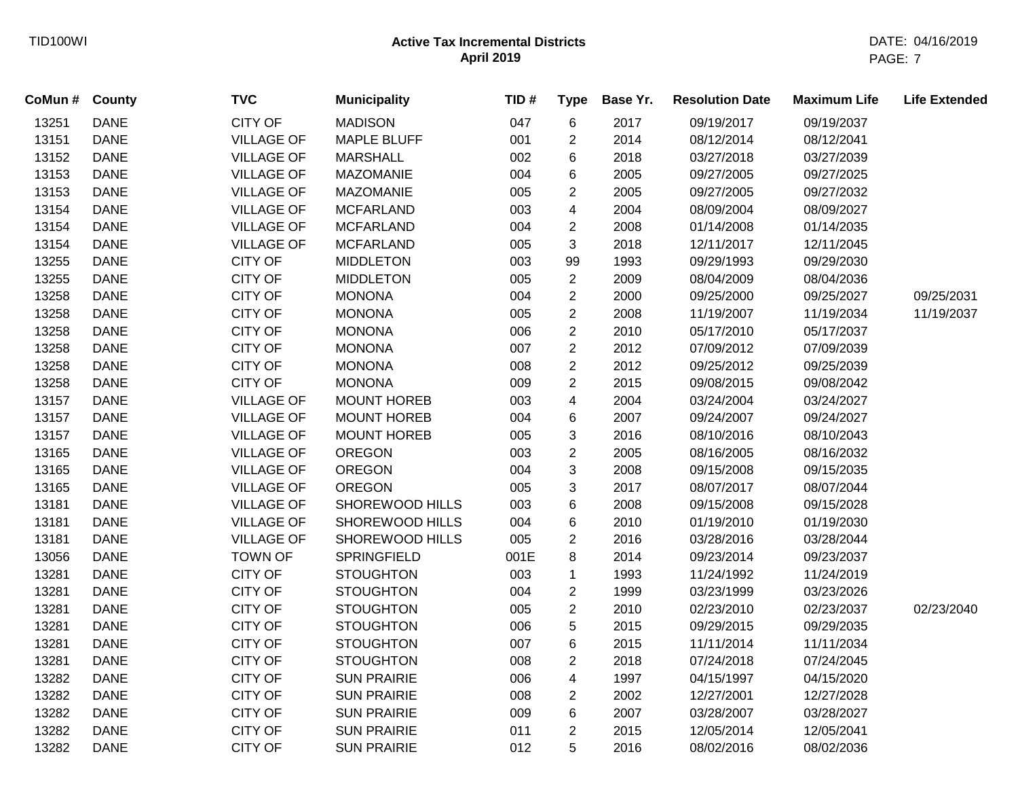| CoMun # County |             | <b>TVC</b>        | <b>Municipality</b>    | TID# | <b>Type</b>    | Base Yr. | <b>Resolution Date</b> | <b>Maximum Life</b> | <b>Life Extended</b> |
|----------------|-------------|-------------------|------------------------|------|----------------|----------|------------------------|---------------------|----------------------|
| 13251          | <b>DANE</b> | <b>CITY OF</b>    | <b>MADISON</b>         | 047  | 6              | 2017     | 09/19/2017             | 09/19/2037          |                      |
| 13151          | <b>DANE</b> | <b>VILLAGE OF</b> | <b>MAPLE BLUFF</b>     | 001  | $\overline{2}$ | 2014     | 08/12/2014             | 08/12/2041          |                      |
| 13152          | <b>DANE</b> | <b>VILLAGE OF</b> | <b>MARSHALL</b>        | 002  | 6              | 2018     | 03/27/2018             | 03/27/2039          |                      |
| 13153          | <b>DANE</b> | <b>VILLAGE OF</b> | <b>MAZOMANIE</b>       | 004  | 6              | 2005     | 09/27/2005             | 09/27/2025          |                      |
| 13153          | <b>DANE</b> | <b>VILLAGE OF</b> | <b>MAZOMANIE</b>       | 005  | $\overline{2}$ | 2005     | 09/27/2005             | 09/27/2032          |                      |
| 13154          | <b>DANE</b> | <b>VILLAGE OF</b> | <b>MCFARLAND</b>       | 003  | 4              | 2004     | 08/09/2004             | 08/09/2027          |                      |
| 13154          | <b>DANE</b> | <b>VILLAGE OF</b> | <b>MCFARLAND</b>       | 004  | $\overline{a}$ | 2008     | 01/14/2008             | 01/14/2035          |                      |
| 13154          | <b>DANE</b> | <b>VILLAGE OF</b> | <b>MCFARLAND</b>       | 005  | 3              | 2018     | 12/11/2017             | 12/11/2045          |                      |
| 13255          | <b>DANE</b> | <b>CITY OF</b>    | <b>MIDDLETON</b>       | 003  | 99             | 1993     | 09/29/1993             | 09/29/2030          |                      |
| 13255          | <b>DANE</b> | <b>CITY OF</b>    | <b>MIDDLETON</b>       | 005  | $\overline{2}$ | 2009     | 08/04/2009             | 08/04/2036          |                      |
| 13258          | <b>DANE</b> | CITY OF           | <b>MONONA</b>          | 004  | $\overline{2}$ | 2000     | 09/25/2000             | 09/25/2027          | 09/25/2031           |
| 13258          | <b>DANE</b> | <b>CITY OF</b>    | <b>MONONA</b>          | 005  | $\overline{2}$ | 2008     | 11/19/2007             | 11/19/2034          | 11/19/2037           |
| 13258          | <b>DANE</b> | <b>CITY OF</b>    | <b>MONONA</b>          | 006  | $\overline{2}$ | 2010     | 05/17/2010             | 05/17/2037          |                      |
| 13258          | <b>DANE</b> | <b>CITY OF</b>    | <b>MONONA</b>          | 007  | $\overline{2}$ | 2012     | 07/09/2012             | 07/09/2039          |                      |
| 13258          | <b>DANE</b> | <b>CITY OF</b>    | <b>MONONA</b>          | 008  | $\overline{2}$ | 2012     | 09/25/2012             | 09/25/2039          |                      |
| 13258          | <b>DANE</b> | CITY OF           | <b>MONONA</b>          | 009  | $\overline{2}$ | 2015     | 09/08/2015             | 09/08/2042          |                      |
| 13157          | <b>DANE</b> | <b>VILLAGE OF</b> | <b>MOUNT HOREB</b>     | 003  | 4              | 2004     | 03/24/2004             | 03/24/2027          |                      |
| 13157          | <b>DANE</b> | <b>VILLAGE OF</b> | <b>MOUNT HOREB</b>     | 004  | 6              | 2007     | 09/24/2007             | 09/24/2027          |                      |
| 13157          | <b>DANE</b> | <b>VILLAGE OF</b> | <b>MOUNT HOREB</b>     | 005  | 3              | 2016     | 08/10/2016             | 08/10/2043          |                      |
| 13165          | <b>DANE</b> | <b>VILLAGE OF</b> | <b>OREGON</b>          | 003  | $\overline{2}$ | 2005     | 08/16/2005             | 08/16/2032          |                      |
| 13165          | <b>DANE</b> | <b>VILLAGE OF</b> | <b>OREGON</b>          | 004  | 3              | 2008     | 09/15/2008             | 09/15/2035          |                      |
| 13165          | <b>DANE</b> | <b>VILLAGE OF</b> | <b>OREGON</b>          | 005  | 3              | 2017     | 08/07/2017             | 08/07/2044          |                      |
| 13181          | <b>DANE</b> | <b>VILLAGE OF</b> | SHOREWOOD HILLS        | 003  | 6              | 2008     | 09/15/2008             | 09/15/2028          |                      |
| 13181          | <b>DANE</b> | <b>VILLAGE OF</b> | SHOREWOOD HILLS        | 004  | 6              | 2010     | 01/19/2010             | 01/19/2030          |                      |
| 13181          | <b>DANE</b> | <b>VILLAGE OF</b> | <b>SHOREWOOD HILLS</b> | 005  | $\overline{c}$ | 2016     | 03/28/2016             | 03/28/2044          |                      |
| 13056          | <b>DANE</b> | <b>TOWN OF</b>    | <b>SPRINGFIELD</b>     | 001E | 8              | 2014     | 09/23/2014             | 09/23/2037          |                      |
| 13281          | <b>DANE</b> | <b>CITY OF</b>    | <b>STOUGHTON</b>       | 003  | $\mathbf{1}$   | 1993     | 11/24/1992             | 11/24/2019          |                      |
| 13281          | <b>DANE</b> | <b>CITY OF</b>    | <b>STOUGHTON</b>       | 004  | $\overline{c}$ | 1999     | 03/23/1999             | 03/23/2026          |                      |
| 13281          | <b>DANE</b> | <b>CITY OF</b>    | <b>STOUGHTON</b>       | 005  | $\overline{2}$ | 2010     | 02/23/2010             | 02/23/2037          | 02/23/2040           |
| 13281          | <b>DANE</b> | CITY OF           | <b>STOUGHTON</b>       | 006  | 5              | 2015     | 09/29/2015             | 09/29/2035          |                      |
| 13281          | <b>DANE</b> | <b>CITY OF</b>    | <b>STOUGHTON</b>       | 007  | 6              | 2015     | 11/11/2014             | 11/11/2034          |                      |
| 13281          | <b>DANE</b> | <b>CITY OF</b>    | <b>STOUGHTON</b>       | 008  | $\overline{2}$ | 2018     | 07/24/2018             | 07/24/2045          |                      |
| 13282          | <b>DANE</b> | <b>CITY OF</b>    | <b>SUN PRAIRIE</b>     | 006  | 4              | 1997     | 04/15/1997             | 04/15/2020          |                      |
| 13282          | <b>DANE</b> | CITY OF           | <b>SUN PRAIRIE</b>     | 008  | $\overline{2}$ | 2002     | 12/27/2001             | 12/27/2028          |                      |
| 13282          | <b>DANE</b> | <b>CITY OF</b>    | <b>SUN PRAIRIE</b>     | 009  | 6              | 2007     | 03/28/2007             | 03/28/2027          |                      |
| 13282          | <b>DANE</b> | <b>CITY OF</b>    | <b>SUN PRAIRIE</b>     | 011  | $\overline{2}$ | 2015     | 12/05/2014             | 12/05/2041          |                      |
| 13282          | <b>DANE</b> | <b>CITY OF</b>    | <b>SUN PRAIRIE</b>     | 012  | 5              | 2016     | 08/02/2016             | 08/02/2036          |                      |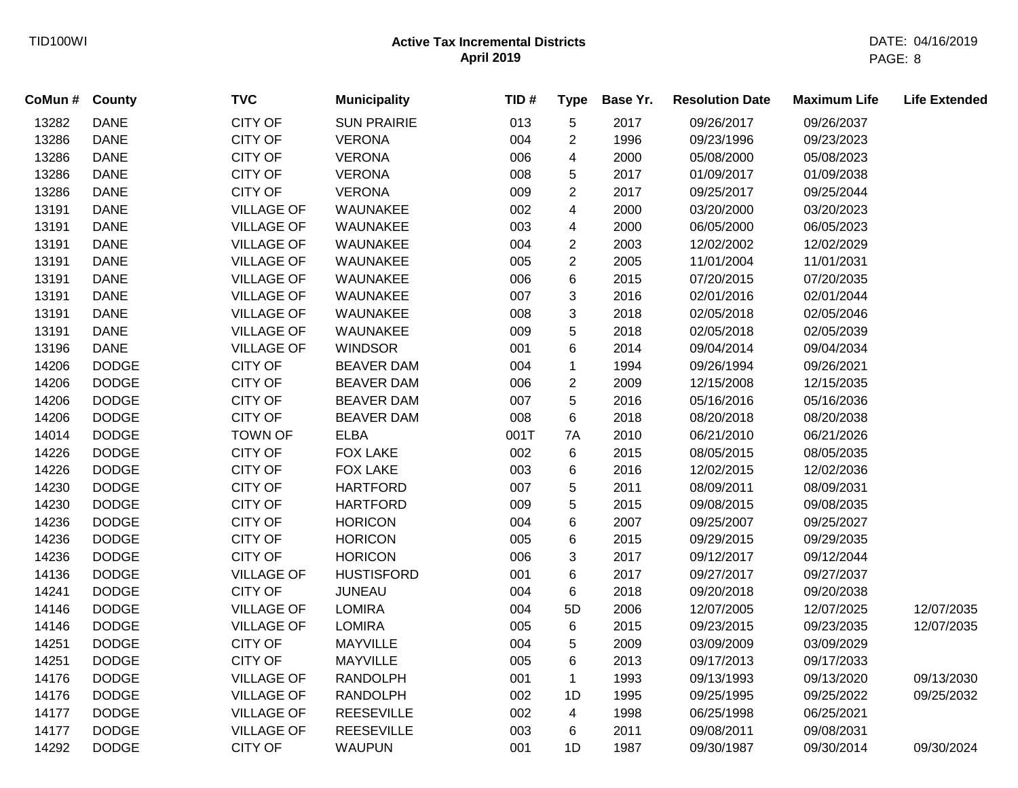| CoMun # | <b>County</b> | <b>TVC</b>        | <b>Municipality</b> | TID# | <b>Type</b>    | Base Yr. | <b>Resolution Date</b> | <b>Maximum Life</b> | <b>Life Extended</b> |
|---------|---------------|-------------------|---------------------|------|----------------|----------|------------------------|---------------------|----------------------|
| 13282   | <b>DANE</b>   | <b>CITY OF</b>    | <b>SUN PRAIRIE</b>  | 013  | 5              | 2017     | 09/26/2017             | 09/26/2037          |                      |
| 13286   | <b>DANE</b>   | <b>CITY OF</b>    | <b>VERONA</b>       | 004  | $\overline{2}$ | 1996     | 09/23/1996             | 09/23/2023          |                      |
| 13286   | <b>DANE</b>   | <b>CITY OF</b>    | <b>VERONA</b>       | 006  | 4              | 2000     | 05/08/2000             | 05/08/2023          |                      |
| 13286   | <b>DANE</b>   | <b>CITY OF</b>    | <b>VERONA</b>       | 008  | 5              | 2017     | 01/09/2017             | 01/09/2038          |                      |
| 13286   | <b>DANE</b>   | <b>CITY OF</b>    | <b>VERONA</b>       | 009  | $\overline{c}$ | 2017     | 09/25/2017             | 09/25/2044          |                      |
| 13191   | <b>DANE</b>   | <b>VILLAGE OF</b> | WAUNAKEE            | 002  | 4              | 2000     | 03/20/2000             | 03/20/2023          |                      |
| 13191   | <b>DANE</b>   | <b>VILLAGE OF</b> | WAUNAKEE            | 003  | 4              | 2000     | 06/05/2000             | 06/05/2023          |                      |
| 13191   | <b>DANE</b>   | <b>VILLAGE OF</b> | WAUNAKEE            | 004  | $\overline{2}$ | 2003     | 12/02/2002             | 12/02/2029          |                      |
| 13191   | <b>DANE</b>   | <b>VILLAGE OF</b> | WAUNAKEE            | 005  | $\overline{2}$ | 2005     | 11/01/2004             | 11/01/2031          |                      |
| 13191   | <b>DANE</b>   | <b>VILLAGE OF</b> | WAUNAKEE            | 006  | 6              | 2015     | 07/20/2015             | 07/20/2035          |                      |
| 13191   | <b>DANE</b>   | <b>VILLAGE OF</b> | WAUNAKEE            | 007  | 3              | 2016     | 02/01/2016             | 02/01/2044          |                      |
| 13191   | <b>DANE</b>   | <b>VILLAGE OF</b> | WAUNAKEE            | 008  | 3              | 2018     | 02/05/2018             | 02/05/2046          |                      |
| 13191   | <b>DANE</b>   | <b>VILLAGE OF</b> | WAUNAKEE            | 009  | 5              | 2018     | 02/05/2018             | 02/05/2039          |                      |
| 13196   | <b>DANE</b>   | <b>VILLAGE OF</b> | <b>WINDSOR</b>      | 001  | 6              | 2014     | 09/04/2014             | 09/04/2034          |                      |
| 14206   | <b>DODGE</b>  | <b>CITY OF</b>    | <b>BEAVER DAM</b>   | 004  | $\mathbf 1$    | 1994     | 09/26/1994             | 09/26/2021          |                      |
| 14206   | <b>DODGE</b>  | CITY OF           | <b>BEAVER DAM</b>   | 006  | $\overline{c}$ | 2009     | 12/15/2008             | 12/15/2035          |                      |
| 14206   | <b>DODGE</b>  | CITY OF           | <b>BEAVER DAM</b>   | 007  | 5              | 2016     | 05/16/2016             | 05/16/2036          |                      |
| 14206   | <b>DODGE</b>  | CITY OF           | <b>BEAVER DAM</b>   | 008  | 6              | 2018     | 08/20/2018             | 08/20/2038          |                      |
| 14014   | <b>DODGE</b>  | <b>TOWN OF</b>    | <b>ELBA</b>         | 001T | 7A             | 2010     | 06/21/2010             | 06/21/2026          |                      |
| 14226   | <b>DODGE</b>  | <b>CITY OF</b>    | <b>FOX LAKE</b>     | 002  | 6              | 2015     | 08/05/2015             | 08/05/2035          |                      |
| 14226   | <b>DODGE</b>  | <b>CITY OF</b>    | <b>FOX LAKE</b>     | 003  | 6              | 2016     | 12/02/2015             | 12/02/2036          |                      |
| 14230   | <b>DODGE</b>  | <b>CITY OF</b>    | <b>HARTFORD</b>     | 007  | 5              | 2011     | 08/09/2011             | 08/09/2031          |                      |
| 14230   | <b>DODGE</b>  | <b>CITY OF</b>    | <b>HARTFORD</b>     | 009  | 5              | 2015     | 09/08/2015             | 09/08/2035          |                      |
| 14236   | <b>DODGE</b>  | <b>CITY OF</b>    | <b>HORICON</b>      | 004  | 6              | 2007     | 09/25/2007             | 09/25/2027          |                      |
| 14236   | <b>DODGE</b>  | <b>CITY OF</b>    | <b>HORICON</b>      | 005  | 6              | 2015     | 09/29/2015             | 09/29/2035          |                      |
| 14236   | <b>DODGE</b>  | <b>CITY OF</b>    | <b>HORICON</b>      | 006  | 3              | 2017     | 09/12/2017             | 09/12/2044          |                      |
| 14136   | <b>DODGE</b>  | <b>VILLAGE OF</b> | <b>HUSTISFORD</b>   | 001  | 6              | 2017     | 09/27/2017             | 09/27/2037          |                      |
| 14241   | <b>DODGE</b>  | <b>CITY OF</b>    | <b>JUNEAU</b>       | 004  | 6              | 2018     | 09/20/2018             | 09/20/2038          |                      |
| 14146   | <b>DODGE</b>  | <b>VILLAGE OF</b> | <b>LOMIRA</b>       | 004  | 5D             | 2006     | 12/07/2005             | 12/07/2025          | 12/07/2035           |
| 14146   | <b>DODGE</b>  | <b>VILLAGE OF</b> | <b>LOMIRA</b>       | 005  | $\,6\,$        | 2015     | 09/23/2015             | 09/23/2035          | 12/07/2035           |
| 14251   | <b>DODGE</b>  | <b>CITY OF</b>    | <b>MAYVILLE</b>     | 004  | 5              | 2009     | 03/09/2009             | 03/09/2029          |                      |
| 14251   | <b>DODGE</b>  | <b>CITY OF</b>    | <b>MAYVILLE</b>     | 005  | 6              | 2013     | 09/17/2013             | 09/17/2033          |                      |
| 14176   | <b>DODGE</b>  | <b>VILLAGE OF</b> | <b>RANDOLPH</b>     | 001  | $\mathbf{1}$   | 1993     | 09/13/1993             | 09/13/2020          | 09/13/2030           |
| 14176   | <b>DODGE</b>  | <b>VILLAGE OF</b> | <b>RANDOLPH</b>     | 002  | 1D             | 1995     | 09/25/1995             | 09/25/2022          | 09/25/2032           |
| 14177   | <b>DODGE</b>  | <b>VILLAGE OF</b> | <b>REESEVILLE</b>   | 002  | 4              | 1998     | 06/25/1998             | 06/25/2021          |                      |
| 14177   | <b>DODGE</b>  | <b>VILLAGE OF</b> | <b>REESEVILLE</b>   | 003  | 6              | 2011     | 09/08/2011             | 09/08/2031          |                      |
| 14292   | <b>DODGE</b>  | <b>CITY OF</b>    | <b>WAUPUN</b>       | 001  | 1D             | 1987     | 09/30/1987             | 09/30/2014          | 09/30/2024           |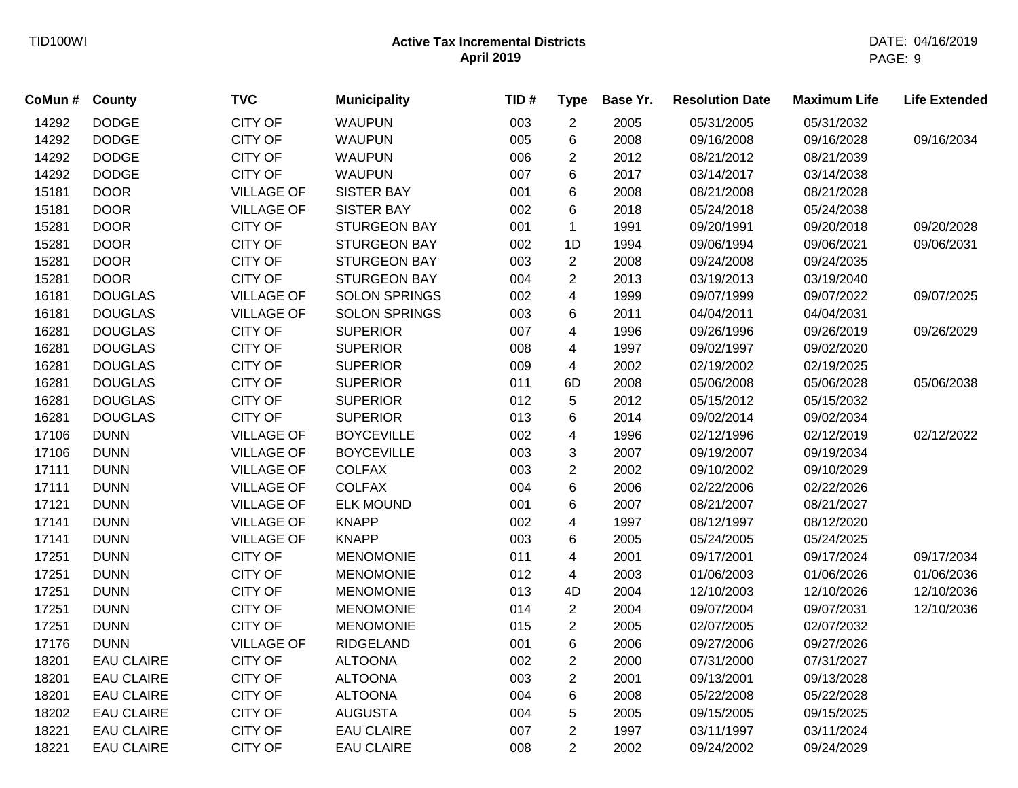| CoMun# | County            | <b>TVC</b>        | <b>Municipality</b>  | TID# | <b>Type</b>             | Base Yr. | <b>Resolution Date</b> | <b>Maximum Life</b> | <b>Life Extended</b> |
|--------|-------------------|-------------------|----------------------|------|-------------------------|----------|------------------------|---------------------|----------------------|
| 14292  | <b>DODGE</b>      | <b>CITY OF</b>    | <b>WAUPUN</b>        | 003  | $\overline{2}$          | 2005     | 05/31/2005             | 05/31/2032          |                      |
| 14292  | <b>DODGE</b>      | <b>CITY OF</b>    | <b>WAUPUN</b>        | 005  | 6                       | 2008     | 09/16/2008             | 09/16/2028          | 09/16/2034           |
| 14292  | <b>DODGE</b>      | <b>CITY OF</b>    | <b>WAUPUN</b>        | 006  | $\overline{2}$          | 2012     | 08/21/2012             | 08/21/2039          |                      |
| 14292  | <b>DODGE</b>      | <b>CITY OF</b>    | <b>WAUPUN</b>        | 007  | 6                       | 2017     | 03/14/2017             | 03/14/2038          |                      |
| 15181  | <b>DOOR</b>       | <b>VILLAGE OF</b> | <b>SISTER BAY</b>    | 001  | 6                       | 2008     | 08/21/2008             | 08/21/2028          |                      |
| 15181  | <b>DOOR</b>       | <b>VILLAGE OF</b> | <b>SISTER BAY</b>    | 002  | 6                       | 2018     | 05/24/2018             | 05/24/2038          |                      |
| 15281  | <b>DOOR</b>       | <b>CITY OF</b>    | <b>STURGEON BAY</b>  | 001  | $\mathbf{1}$            | 1991     | 09/20/1991             | 09/20/2018          | 09/20/2028           |
| 15281  | <b>DOOR</b>       | <b>CITY OF</b>    | <b>STURGEON BAY</b>  | 002  | 1D                      | 1994     | 09/06/1994             | 09/06/2021          | 09/06/2031           |
| 15281  | <b>DOOR</b>       | <b>CITY OF</b>    | <b>STURGEON BAY</b>  | 003  | $\overline{c}$          | 2008     | 09/24/2008             | 09/24/2035          |                      |
| 15281  | <b>DOOR</b>       | <b>CITY OF</b>    | <b>STURGEON BAY</b>  | 004  | $\overline{c}$          | 2013     | 03/19/2013             | 03/19/2040          |                      |
| 16181  | <b>DOUGLAS</b>    | <b>VILLAGE OF</b> | <b>SOLON SPRINGS</b> | 002  | $\overline{\mathbf{4}}$ | 1999     | 09/07/1999             | 09/07/2022          | 09/07/2025           |
| 16181  | <b>DOUGLAS</b>    | <b>VILLAGE OF</b> | <b>SOLON SPRINGS</b> | 003  | $\,6$                   | 2011     | 04/04/2011             | 04/04/2031          |                      |
| 16281  | <b>DOUGLAS</b>    | <b>CITY OF</b>    | <b>SUPERIOR</b>      | 007  | 4                       | 1996     | 09/26/1996             | 09/26/2019          | 09/26/2029           |
| 16281  | <b>DOUGLAS</b>    | <b>CITY OF</b>    | <b>SUPERIOR</b>      | 008  | 4                       | 1997     | 09/02/1997             | 09/02/2020          |                      |
| 16281  | <b>DOUGLAS</b>    | <b>CITY OF</b>    | <b>SUPERIOR</b>      | 009  | 4                       | 2002     | 02/19/2002             | 02/19/2025          |                      |
| 16281  | <b>DOUGLAS</b>    | CITY OF           | <b>SUPERIOR</b>      | 011  | 6D                      | 2008     | 05/06/2008             | 05/06/2028          | 05/06/2038           |
| 16281  | <b>DOUGLAS</b>    | <b>CITY OF</b>    | <b>SUPERIOR</b>      | 012  | 5                       | 2012     | 05/15/2012             | 05/15/2032          |                      |
| 16281  | <b>DOUGLAS</b>    | <b>CITY OF</b>    | <b>SUPERIOR</b>      | 013  | 6                       | 2014     | 09/02/2014             | 09/02/2034          |                      |
| 17106  | <b>DUNN</b>       | <b>VILLAGE OF</b> | <b>BOYCEVILLE</b>    | 002  | 4                       | 1996     | 02/12/1996             | 02/12/2019          | 02/12/2022           |
| 17106  | <b>DUNN</b>       | <b>VILLAGE OF</b> | <b>BOYCEVILLE</b>    | 003  | 3                       | 2007     | 09/19/2007             | 09/19/2034          |                      |
| 17111  | <b>DUNN</b>       | <b>VILLAGE OF</b> | <b>COLFAX</b>        | 003  | $\overline{c}$          | 2002     | 09/10/2002             | 09/10/2029          |                      |
| 17111  | <b>DUNN</b>       | <b>VILLAGE OF</b> | <b>COLFAX</b>        | 004  | 6                       | 2006     | 02/22/2006             | 02/22/2026          |                      |
| 17121  | <b>DUNN</b>       | <b>VILLAGE OF</b> | <b>ELK MOUND</b>     | 001  | 6                       | 2007     | 08/21/2007             | 08/21/2027          |                      |
| 17141  | <b>DUNN</b>       | <b>VILLAGE OF</b> | <b>KNAPP</b>         | 002  | 4                       | 1997     | 08/12/1997             | 08/12/2020          |                      |
| 17141  | <b>DUNN</b>       | <b>VILLAGE OF</b> | <b>KNAPP</b>         | 003  | 6                       | 2005     | 05/24/2005             | 05/24/2025          |                      |
| 17251  | <b>DUNN</b>       | <b>CITY OF</b>    | <b>MENOMONIE</b>     | 011  | 4                       | 2001     | 09/17/2001             | 09/17/2024          | 09/17/2034           |
| 17251  | <b>DUNN</b>       | <b>CITY OF</b>    | <b>MENOMONIE</b>     | 012  | $\overline{\mathbf{4}}$ | 2003     | 01/06/2003             | 01/06/2026          | 01/06/2036           |
| 17251  | <b>DUNN</b>       | <b>CITY OF</b>    | <b>MENOMONIE</b>     | 013  | 4D                      | 2004     | 12/10/2003             | 12/10/2026          | 12/10/2036           |
| 17251  | <b>DUNN</b>       | CITY OF           | <b>MENOMONIE</b>     | 014  | $\overline{2}$          | 2004     | 09/07/2004             | 09/07/2031          | 12/10/2036           |
| 17251  | <b>DUNN</b>       | <b>CITY OF</b>    | <b>MENOMONIE</b>     | 015  | $\overline{2}$          | 2005     | 02/07/2005             | 02/07/2032          |                      |
| 17176  | <b>DUNN</b>       | <b>VILLAGE OF</b> | <b>RIDGELAND</b>     | 001  | 6                       | 2006     | 09/27/2006             | 09/27/2026          |                      |
| 18201  | <b>EAU CLAIRE</b> | <b>CITY OF</b>    | <b>ALTOONA</b>       | 002  | $\overline{c}$          | 2000     | 07/31/2000             | 07/31/2027          |                      |
| 18201  | <b>EAU CLAIRE</b> | <b>CITY OF</b>    | <b>ALTOONA</b>       | 003  | $\overline{2}$          | 2001     | 09/13/2001             | 09/13/2028          |                      |
| 18201  | <b>EAU CLAIRE</b> | <b>CITY OF</b>    | <b>ALTOONA</b>       | 004  | 6                       | 2008     | 05/22/2008             | 05/22/2028          |                      |
| 18202  | <b>EAU CLAIRE</b> | <b>CITY OF</b>    | <b>AUGUSTA</b>       | 004  | 5                       | 2005     | 09/15/2005             | 09/15/2025          |                      |
| 18221  | <b>EAU CLAIRE</b> | <b>CITY OF</b>    | <b>EAU CLAIRE</b>    | 007  | $\overline{2}$          | 1997     | 03/11/1997             | 03/11/2024          |                      |
| 18221  | <b>EAU CLAIRE</b> | <b>CITY OF</b>    | <b>EAU CLAIRE</b>    | 008  | $\overline{2}$          | 2002     | 09/24/2002             | 09/24/2029          |                      |
|        |                   |                   |                      |      |                         |          |                        |                     |                      |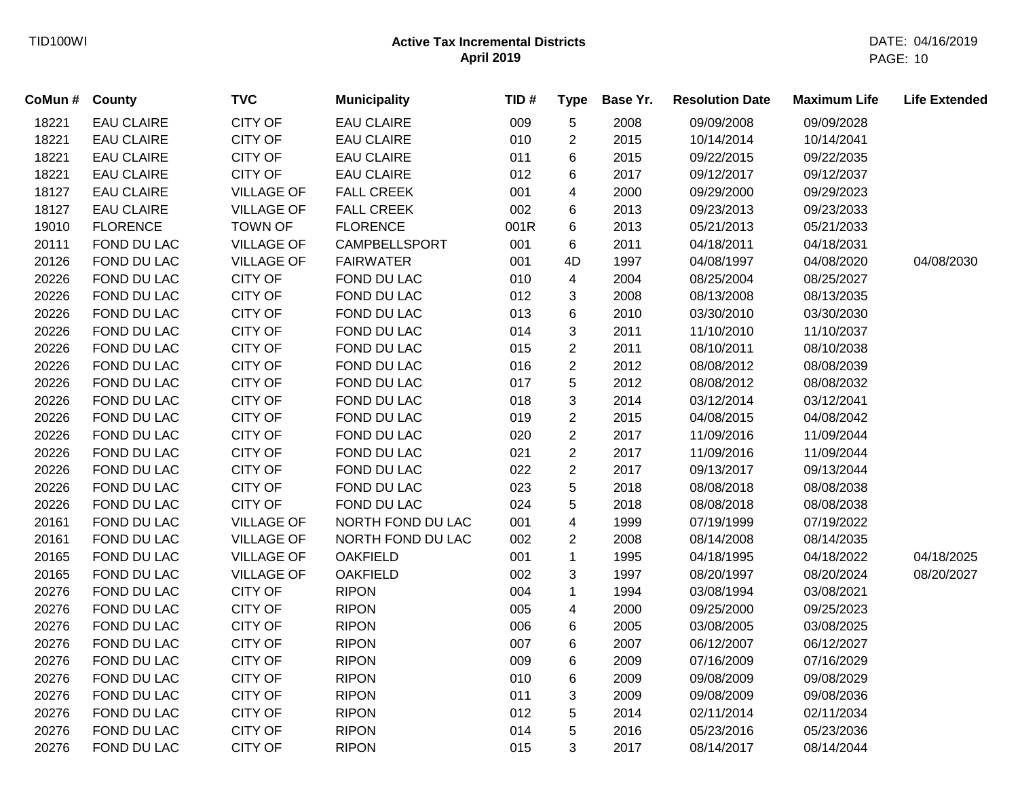| CoMun # | County            | <b>TVC</b>        | <b>Municipality</b> | TID# | <b>Type</b>    | Base Yr. | <b>Resolution Date</b> | <b>Maximum Life</b> | <b>Life Extended</b> |
|---------|-------------------|-------------------|---------------------|------|----------------|----------|------------------------|---------------------|----------------------|
| 18221   | <b>EAU CLAIRE</b> | <b>CITY OF</b>    | <b>EAU CLAIRE</b>   | 009  | 5              | 2008     | 09/09/2008             | 09/09/2028          |                      |
| 18221   | <b>EAU CLAIRE</b> | <b>CITY OF</b>    | <b>EAU CLAIRE</b>   | 010  | $\overline{2}$ | 2015     | 10/14/2014             | 10/14/2041          |                      |
| 18221   | <b>EAU CLAIRE</b> | <b>CITY OF</b>    | <b>EAU CLAIRE</b>   | 011  | 6              | 2015     | 09/22/2015             | 09/22/2035          |                      |
| 18221   | <b>EAU CLAIRE</b> | <b>CITY OF</b>    | <b>EAU CLAIRE</b>   | 012  | 6              | 2017     | 09/12/2017             | 09/12/2037          |                      |
| 18127   | <b>EAU CLAIRE</b> | <b>VILLAGE OF</b> | <b>FALL CREEK</b>   | 001  | 4              | 2000     | 09/29/2000             | 09/29/2023          |                      |
| 18127   | <b>EAU CLAIRE</b> | <b>VILLAGE OF</b> | <b>FALL CREEK</b>   | 002  | 6              | 2013     | 09/23/2013             | 09/23/2033          |                      |
| 19010   | <b>FLORENCE</b>   | <b>TOWN OF</b>    | <b>FLORENCE</b>     | 001R | 6              | 2013     | 05/21/2013             | 05/21/2033          |                      |
| 20111   | FOND DU LAC       | <b>VILLAGE OF</b> | CAMPBELLSPORT       | 001  | 6              | 2011     | 04/18/2011             | 04/18/2031          |                      |
| 20126   | FOND DU LAC       | <b>VILLAGE OF</b> | <b>FAIRWATER</b>    | 001  | 4D             | 1997     | 04/08/1997             | 04/08/2020          | 04/08/2030           |
| 20226   | FOND DU LAC       | <b>CITY OF</b>    | FOND DU LAC         | 010  | $\overline{4}$ | 2004     | 08/25/2004             | 08/25/2027          |                      |
| 20226   | FOND DU LAC       | CITY OF           | FOND DU LAC         | 012  | 3              | 2008     | 08/13/2008             | 08/13/2035          |                      |
| 20226   | FOND DU LAC       | <b>CITY OF</b>    | FOND DU LAC         | 013  | 6              | 2010     | 03/30/2010             | 03/30/2030          |                      |
| 20226   | FOND DU LAC       | CITY OF           | FOND DU LAC         | 014  | 3              | 2011     | 11/10/2010             | 11/10/2037          |                      |
| 20226   | FOND DU LAC       | <b>CITY OF</b>    | FOND DU LAC         | 015  | $\overline{2}$ | 2011     | 08/10/2011             | 08/10/2038          |                      |
| 20226   | FOND DU LAC       | <b>CITY OF</b>    | FOND DU LAC         | 016  | $\overline{c}$ | 2012     | 08/08/2012             | 08/08/2039          |                      |
| 20226   | FOND DU LAC       | <b>CITY OF</b>    | FOND DU LAC         | 017  | 5              | 2012     | 08/08/2012             | 08/08/2032          |                      |
| 20226   | FOND DU LAC       | <b>CITY OF</b>    | FOND DU LAC         | 018  | 3              | 2014     | 03/12/2014             | 03/12/2041          |                      |
| 20226   | FOND DU LAC       | <b>CITY OF</b>    | FOND DU LAC         | 019  | $\overline{c}$ | 2015     | 04/08/2015             | 04/08/2042          |                      |
| 20226   | FOND DU LAC       | CITY OF           | FOND DU LAC         | 020  | $\overline{c}$ | 2017     | 11/09/2016             | 11/09/2044          |                      |
| 20226   | FOND DU LAC       | <b>CITY OF</b>    | FOND DU LAC         | 021  | $\overline{c}$ | 2017     | 11/09/2016             | 11/09/2044          |                      |
| 20226   | FOND DU LAC       | CITY OF           | FOND DU LAC         | 022  | $\overline{c}$ | 2017     | 09/13/2017             | 09/13/2044          |                      |
| 20226   | FOND DU LAC       | CITY OF           | FOND DU LAC         | 023  | 5              | 2018     | 08/08/2018             | 08/08/2038          |                      |
| 20226   | FOND DU LAC       | <b>CITY OF</b>    | FOND DU LAC         | 024  | 5              | 2018     | 08/08/2018             | 08/08/2038          |                      |
| 20161   | FOND DU LAC       | <b>VILLAGE OF</b> | NORTH FOND DU LAC   | 001  | 4              | 1999     | 07/19/1999             | 07/19/2022          |                      |
| 20161   | FOND DU LAC       | <b>VILLAGE OF</b> | NORTH FOND DU LAC   | 002  | 2              | 2008     | 08/14/2008             | 08/14/2035          |                      |
| 20165   | FOND DU LAC       | <b>VILLAGE OF</b> | <b>OAKFIELD</b>     | 001  | $\mathbf{1}$   | 1995     | 04/18/1995             | 04/18/2022          | 04/18/2025           |
| 20165   | FOND DU LAC       | <b>VILLAGE OF</b> | <b>OAKFIELD</b>     | 002  | 3              | 1997     | 08/20/1997             | 08/20/2024          | 08/20/2027           |
| 20276   | FOND DU LAC       | <b>CITY OF</b>    | <b>RIPON</b>        | 004  | 1              | 1994     | 03/08/1994             | 03/08/2021          |                      |
| 20276   | FOND DU LAC       | <b>CITY OF</b>    | <b>RIPON</b>        | 005  | 4              | 2000     | 09/25/2000             | 09/25/2023          |                      |
| 20276   | FOND DU LAC       | <b>CITY OF</b>    | <b>RIPON</b>        | 006  | 6              | 2005     | 03/08/2005             | 03/08/2025          |                      |
| 20276   | FOND DU LAC       | <b>CITY OF</b>    | <b>RIPON</b>        | 007  | 6              | 2007     | 06/12/2007             | 06/12/2027          |                      |
| 20276   | FOND DU LAC       | <b>CITY OF</b>    | <b>RIPON</b>        | 009  | 6              | 2009     | 07/16/2009             | 07/16/2029          |                      |
| 20276   | FOND DU LAC       | <b>CITY OF</b>    | <b>RIPON</b>        | 010  | 6              | 2009     | 09/08/2009             | 09/08/2029          |                      |
| 20276   | FOND DU LAC       | <b>CITY OF</b>    | <b>RIPON</b>        | 011  | 3              | 2009     | 09/08/2009             | 09/08/2036          |                      |
| 20276   | FOND DU LAC       | <b>CITY OF</b>    | <b>RIPON</b>        | 012  | 5              | 2014     | 02/11/2014             | 02/11/2034          |                      |
| 20276   | FOND DU LAC       | <b>CITY OF</b>    | <b>RIPON</b>        | 014  | 5              | 2016     | 05/23/2016             | 05/23/2036          |                      |
| 20276   | FOND DU LAC       | <b>CITY OF</b>    | <b>RIPON</b>        | 015  | 3              | 2017     | 08/14/2017             | 08/14/2044          |                      |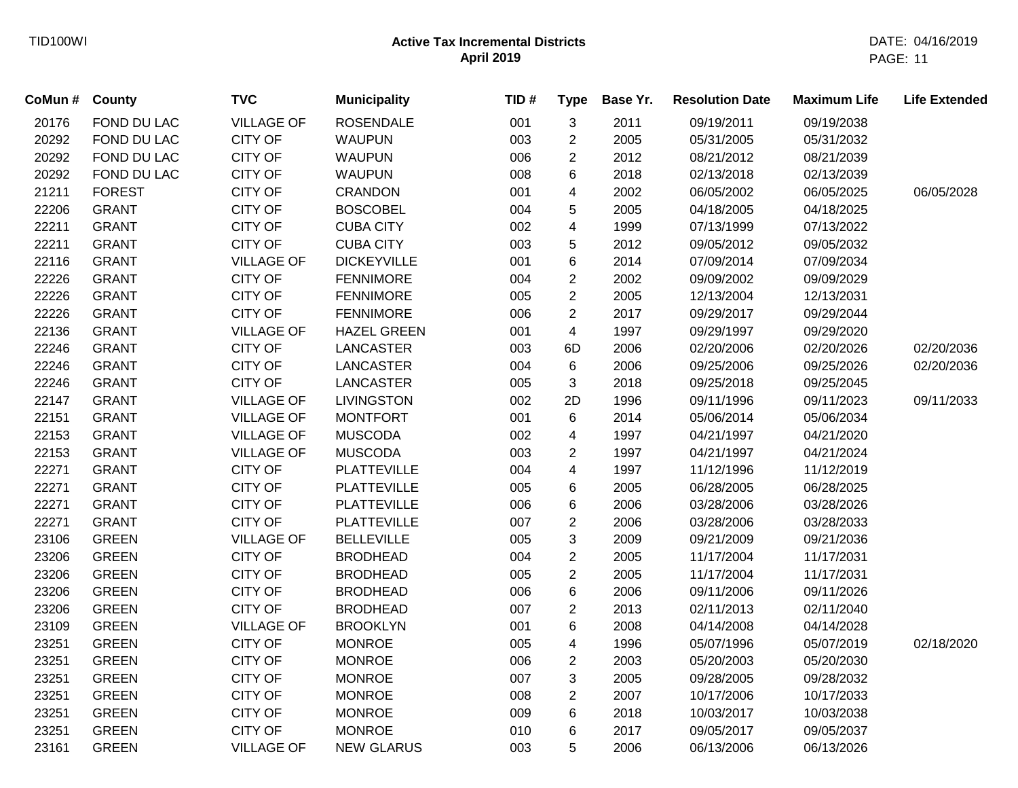| CoMun # | County        | <b>TVC</b>        | <b>Municipality</b> | TID# | <b>Type</b>    | Base Yr. | <b>Resolution Date</b> | <b>Maximum Life</b> | <b>Life Extended</b> |
|---------|---------------|-------------------|---------------------|------|----------------|----------|------------------------|---------------------|----------------------|
| 20176   | FOND DU LAC   | <b>VILLAGE OF</b> | <b>ROSENDALE</b>    | 001  | 3              | 2011     | 09/19/2011             | 09/19/2038          |                      |
| 20292   | FOND DU LAC   | <b>CITY OF</b>    | <b>WAUPUN</b>       | 003  | $\overline{c}$ | 2005     | 05/31/2005             | 05/31/2032          |                      |
| 20292   | FOND DU LAC   | <b>CITY OF</b>    | <b>WAUPUN</b>       | 006  | $\overline{c}$ | 2012     | 08/21/2012             | 08/21/2039          |                      |
| 20292   | FOND DU LAC   | <b>CITY OF</b>    | <b>WAUPUN</b>       | 008  | 6              | 2018     | 02/13/2018             | 02/13/2039          |                      |
| 21211   | <b>FOREST</b> | <b>CITY OF</b>    | <b>CRANDON</b>      | 001  | 4              | 2002     | 06/05/2002             | 06/05/2025          | 06/05/2028           |
| 22206   | <b>GRANT</b>  | CITY OF           | <b>BOSCOBEL</b>     | 004  | 5              | 2005     | 04/18/2005             | 04/18/2025          |                      |
| 22211   | <b>GRANT</b>  | <b>CITY OF</b>    | <b>CUBA CITY</b>    | 002  | 4              | 1999     | 07/13/1999             | 07/13/2022          |                      |
| 22211   | <b>GRANT</b>  | <b>CITY OF</b>    | <b>CUBA CITY</b>    | 003  | 5              | 2012     | 09/05/2012             | 09/05/2032          |                      |
| 22116   | <b>GRANT</b>  | <b>VILLAGE OF</b> | <b>DICKEYVILLE</b>  | 001  | 6              | 2014     | 07/09/2014             | 07/09/2034          |                      |
| 22226   | <b>GRANT</b>  | <b>CITY OF</b>    | <b>FENNIMORE</b>    | 004  | $\overline{2}$ | 2002     | 09/09/2002             | 09/09/2029          |                      |
| 22226   | <b>GRANT</b>  | <b>CITY OF</b>    | <b>FENNIMORE</b>    | 005  | $\overline{2}$ | 2005     | 12/13/2004             | 12/13/2031          |                      |
| 22226   | <b>GRANT</b>  | <b>CITY OF</b>    | <b>FENNIMORE</b>    | 006  | $\overline{2}$ | 2017     | 09/29/2017             | 09/29/2044          |                      |
| 22136   | <b>GRANT</b>  | <b>VILLAGE OF</b> | <b>HAZEL GREEN</b>  | 001  | 4              | 1997     | 09/29/1997             | 09/29/2020          |                      |
| 22246   | <b>GRANT</b>  | <b>CITY OF</b>    | <b>LANCASTER</b>    | 003  | 6D             | 2006     | 02/20/2006             | 02/20/2026          | 02/20/2036           |
| 22246   | <b>GRANT</b>  | <b>CITY OF</b>    | <b>LANCASTER</b>    | 004  | 6              | 2006     | 09/25/2006             | 09/25/2026          | 02/20/2036           |
| 22246   | <b>GRANT</b>  | <b>CITY OF</b>    | <b>LANCASTER</b>    | 005  | 3              | 2018     | 09/25/2018             | 09/25/2045          |                      |
| 22147   | <b>GRANT</b>  | <b>VILLAGE OF</b> | <b>LIVINGSTON</b>   | 002  | 2D             | 1996     | 09/11/1996             | 09/11/2023          | 09/11/2033           |
| 22151   | <b>GRANT</b>  | <b>VILLAGE OF</b> | <b>MONTFORT</b>     | 001  | 6              | 2014     | 05/06/2014             | 05/06/2034          |                      |
| 22153   | <b>GRANT</b>  | <b>VILLAGE OF</b> | <b>MUSCODA</b>      | 002  | 4              | 1997     | 04/21/1997             | 04/21/2020          |                      |
| 22153   | <b>GRANT</b>  | <b>VILLAGE OF</b> | <b>MUSCODA</b>      | 003  | $\overline{c}$ | 1997     | 04/21/1997             | 04/21/2024          |                      |
| 22271   | <b>GRANT</b>  | <b>CITY OF</b>    | <b>PLATTEVILLE</b>  | 004  | 4              | 1997     | 11/12/1996             | 11/12/2019          |                      |
| 22271   | <b>GRANT</b>  | CITY OF           | <b>PLATTEVILLE</b>  | 005  | 6              | 2005     | 06/28/2005             | 06/28/2025          |                      |
| 22271   | <b>GRANT</b>  | <b>CITY OF</b>    | <b>PLATTEVILLE</b>  | 006  | 6              | 2006     | 03/28/2006             | 03/28/2026          |                      |
| 22271   | <b>GRANT</b>  | <b>CITY OF</b>    | <b>PLATTEVILLE</b>  | 007  | $\overline{2}$ | 2006     | 03/28/2006             | 03/28/2033          |                      |
| 23106   | <b>GREEN</b>  | <b>VILLAGE OF</b> | <b>BELLEVILLE</b>   | 005  | 3              | 2009     | 09/21/2009             | 09/21/2036          |                      |
| 23206   | <b>GREEN</b>  | <b>CITY OF</b>    | <b>BRODHEAD</b>     | 004  | $\overline{2}$ | 2005     | 11/17/2004             | 11/17/2031          |                      |
| 23206   | <b>GREEN</b>  | <b>CITY OF</b>    | <b>BRODHEAD</b>     | 005  | $\overline{2}$ | 2005     | 11/17/2004             | 11/17/2031          |                      |
| 23206   | <b>GREEN</b>  | <b>CITY OF</b>    | <b>BRODHEAD</b>     | 006  | 6              | 2006     | 09/11/2006             | 09/11/2026          |                      |
| 23206   | <b>GREEN</b>  | <b>CITY OF</b>    | <b>BRODHEAD</b>     | 007  | $\overline{c}$ | 2013     | 02/11/2013             | 02/11/2040          |                      |
| 23109   | <b>GREEN</b>  | <b>VILLAGE OF</b> | <b>BROOKLYN</b>     | 001  | 6              | 2008     | 04/14/2008             | 04/14/2028          |                      |
| 23251   | <b>GREEN</b>  | <b>CITY OF</b>    | <b>MONROE</b>       | 005  | 4              | 1996     | 05/07/1996             | 05/07/2019          | 02/18/2020           |
| 23251   | <b>GREEN</b>  | <b>CITY OF</b>    | <b>MONROE</b>       | 006  | $\overline{c}$ | 2003     | 05/20/2003             | 05/20/2030          |                      |
| 23251   | <b>GREEN</b>  | <b>CITY OF</b>    | <b>MONROE</b>       | 007  | 3              | 2005     | 09/28/2005             | 09/28/2032          |                      |
| 23251   | <b>GREEN</b>  | <b>CITY OF</b>    | <b>MONROE</b>       | 008  | $\overline{c}$ | 2007     | 10/17/2006             | 10/17/2033          |                      |
| 23251   | <b>GREEN</b>  | <b>CITY OF</b>    | <b>MONROE</b>       | 009  | 6              | 2018     | 10/03/2017             | 10/03/2038          |                      |
| 23251   | <b>GREEN</b>  | CITY OF           | <b>MONROE</b>       | 010  | 6              | 2017     | 09/05/2017             | 09/05/2037          |                      |
| 23161   | <b>GREEN</b>  | <b>VILLAGE OF</b> | <b>NEW GLARUS</b>   | 003  | 5              | 2006     | 06/13/2006             | 06/13/2026          |                      |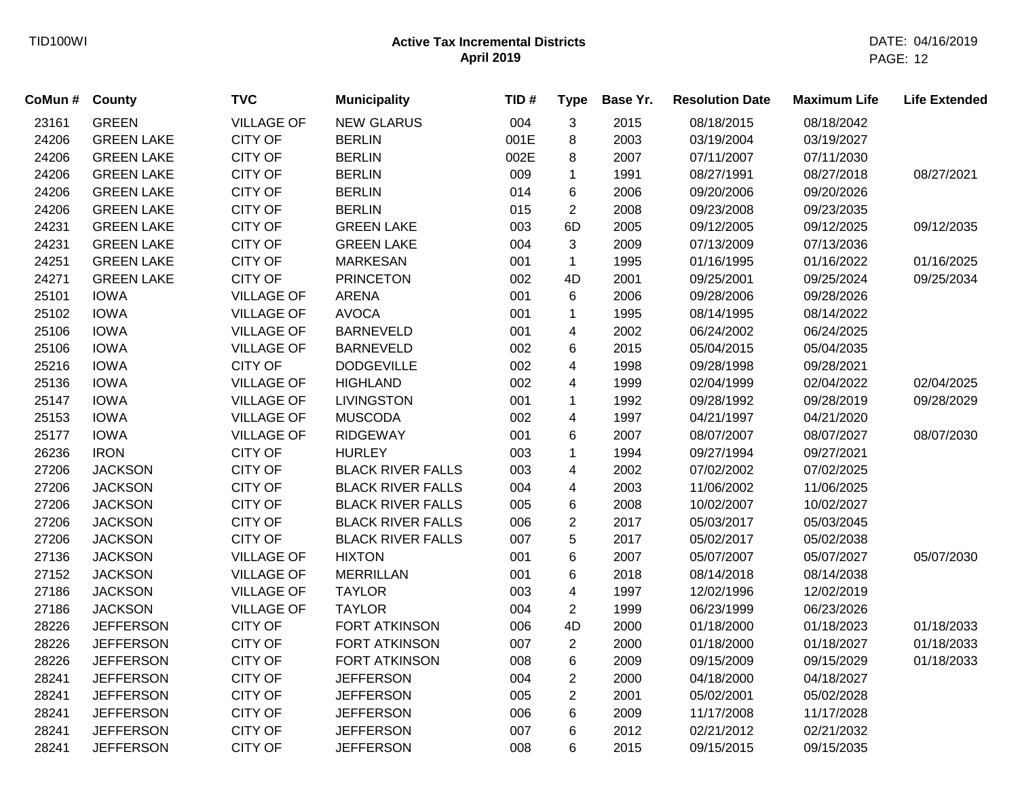| CoMun # | <b>County</b>     | <b>TVC</b>        | <b>Municipality</b>      | TID# | <b>Type</b>    | Base Yr. | <b>Resolution Date</b> | <b>Maximum Life</b> | <b>Life Extended</b> |
|---------|-------------------|-------------------|--------------------------|------|----------------|----------|------------------------|---------------------|----------------------|
| 23161   | <b>GREEN</b>      | <b>VILLAGE OF</b> | <b>NEW GLARUS</b>        | 004  | 3              | 2015     | 08/18/2015             | 08/18/2042          |                      |
| 24206   | <b>GREEN LAKE</b> | <b>CITY OF</b>    | <b>BERLIN</b>            | 001E | 8              | 2003     | 03/19/2004             | 03/19/2027          |                      |
| 24206   | <b>GREEN LAKE</b> | <b>CITY OF</b>    | <b>BERLIN</b>            | 002E | 8              | 2007     | 07/11/2007             | 07/11/2030          |                      |
| 24206   | <b>GREEN LAKE</b> | <b>CITY OF</b>    | <b>BERLIN</b>            | 009  | $\mathbf{1}$   | 1991     | 08/27/1991             | 08/27/2018          | 08/27/2021           |
| 24206   | <b>GREEN LAKE</b> | <b>CITY OF</b>    | <b>BERLIN</b>            | 014  | 6              | 2006     | 09/20/2006             | 09/20/2026          |                      |
| 24206   | <b>GREEN LAKE</b> | <b>CITY OF</b>    | <b>BERLIN</b>            | 015  | $\overline{2}$ | 2008     | 09/23/2008             | 09/23/2035          |                      |
| 24231   | <b>GREEN LAKE</b> | <b>CITY OF</b>    | <b>GREEN LAKE</b>        | 003  | 6D             | 2005     | 09/12/2005             | 09/12/2025          | 09/12/2035           |
| 24231   | <b>GREEN LAKE</b> | <b>CITY OF</b>    | <b>GREEN LAKE</b>        | 004  | 3              | 2009     | 07/13/2009             | 07/13/2036          |                      |
| 24251   | <b>GREEN LAKE</b> | <b>CITY OF</b>    | <b>MARKESAN</b>          | 001  | $\mathbf{1}$   | 1995     | 01/16/1995             | 01/16/2022          | 01/16/2025           |
| 24271   | <b>GREEN LAKE</b> | <b>CITY OF</b>    | <b>PRINCETON</b>         | 002  | 4D             | 2001     | 09/25/2001             | 09/25/2024          | 09/25/2034           |
| 25101   | <b>IOWA</b>       | <b>VILLAGE OF</b> | <b>ARENA</b>             | 001  | 6              | 2006     | 09/28/2006             | 09/28/2026          |                      |
| 25102   | <b>IOWA</b>       | <b>VILLAGE OF</b> | <b>AVOCA</b>             | 001  | $\mathbf{1}$   | 1995     | 08/14/1995             | 08/14/2022          |                      |
| 25106   | <b>IOWA</b>       | <b>VILLAGE OF</b> | <b>BARNEVELD</b>         | 001  | 4              | 2002     | 06/24/2002             | 06/24/2025          |                      |
| 25106   | <b>IOWA</b>       | <b>VILLAGE OF</b> | <b>BARNEVELD</b>         | 002  | 6              | 2015     | 05/04/2015             | 05/04/2035          |                      |
| 25216   | <b>IOWA</b>       | <b>CITY OF</b>    | <b>DODGEVILLE</b>        | 002  | 4              | 1998     | 09/28/1998             | 09/28/2021          |                      |
| 25136   | <b>IOWA</b>       | <b>VILLAGE OF</b> | <b>HIGHLAND</b>          | 002  | 4              | 1999     | 02/04/1999             | 02/04/2022          | 02/04/2025           |
| 25147   | <b>IOWA</b>       | <b>VILLAGE OF</b> | <b>LIVINGSTON</b>        | 001  | $\mathbf{1}$   | 1992     | 09/28/1992             | 09/28/2019          | 09/28/2029           |
| 25153   | <b>IOWA</b>       | <b>VILLAGE OF</b> | <b>MUSCODA</b>           | 002  | 4              | 1997     | 04/21/1997             | 04/21/2020          |                      |
| 25177   | <b>IOWA</b>       | <b>VILLAGE OF</b> | <b>RIDGEWAY</b>          | 001  | 6              | 2007     | 08/07/2007             | 08/07/2027          | 08/07/2030           |
| 26236   | <b>IRON</b>       | <b>CITY OF</b>    | <b>HURLEY</b>            | 003  | $\mathbf{1}$   | 1994     | 09/27/1994             | 09/27/2021          |                      |
| 27206   | <b>JACKSON</b>    | <b>CITY OF</b>    | <b>BLACK RIVER FALLS</b> | 003  | 4              | 2002     | 07/02/2002             | 07/02/2025          |                      |
| 27206   | <b>JACKSON</b>    | <b>CITY OF</b>    | <b>BLACK RIVER FALLS</b> | 004  | 4              | 2003     | 11/06/2002             | 11/06/2025          |                      |
| 27206   | <b>JACKSON</b>    | <b>CITY OF</b>    | <b>BLACK RIVER FALLS</b> | 005  | 6              | 2008     | 10/02/2007             | 10/02/2027          |                      |
| 27206   | <b>JACKSON</b>    | <b>CITY OF</b>    | <b>BLACK RIVER FALLS</b> | 006  | $\overline{c}$ | 2017     | 05/03/2017             | 05/03/2045          |                      |
| 27206   | <b>JACKSON</b>    | <b>CITY OF</b>    | <b>BLACK RIVER FALLS</b> | 007  | 5              | 2017     | 05/02/2017             | 05/02/2038          |                      |
| 27136   | <b>JACKSON</b>    | <b>VILLAGE OF</b> | <b>HIXTON</b>            | 001  | 6              | 2007     | 05/07/2007             | 05/07/2027          | 05/07/2030           |
| 27152   | <b>JACKSON</b>    | <b>VILLAGE OF</b> | <b>MERRILLAN</b>         | 001  | 6              | 2018     | 08/14/2018             | 08/14/2038          |                      |
| 27186   | <b>JACKSON</b>    | <b>VILLAGE OF</b> | <b>TAYLOR</b>            | 003  | 4              | 1997     | 12/02/1996             | 12/02/2019          |                      |
| 27186   | <b>JACKSON</b>    | <b>VILLAGE OF</b> | <b>TAYLOR</b>            | 004  | $\overline{2}$ | 1999     | 06/23/1999             | 06/23/2026          |                      |
| 28226   | <b>JEFFERSON</b>  | <b>CITY OF</b>    | <b>FORT ATKINSON</b>     | 006  | 4D             | 2000     | 01/18/2000             | 01/18/2023          | 01/18/2033           |
| 28226   | <b>JEFFERSON</b>  | <b>CITY OF</b>    | <b>FORT ATKINSON</b>     | 007  | $\overline{c}$ | 2000     | 01/18/2000             | 01/18/2027          | 01/18/2033           |
| 28226   | <b>JEFFERSON</b>  | <b>CITY OF</b>    | <b>FORT ATKINSON</b>     | 008  | 6              | 2009     | 09/15/2009             | 09/15/2029          | 01/18/2033           |
| 28241   | <b>JEFFERSON</b>  | <b>CITY OF</b>    | <b>JEFFERSON</b>         | 004  | $\overline{2}$ | 2000     | 04/18/2000             | 04/18/2027          |                      |
| 28241   | <b>JEFFERSON</b>  | <b>CITY OF</b>    | <b>JEFFERSON</b>         | 005  | $\overline{2}$ | 2001     | 05/02/2001             | 05/02/2028          |                      |
| 28241   | <b>JEFFERSON</b>  | <b>CITY OF</b>    | <b>JEFFERSON</b>         | 006  | 6              | 2009     | 11/17/2008             | 11/17/2028          |                      |
| 28241   | <b>JEFFERSON</b>  | <b>CITY OF</b>    | <b>JEFFERSON</b>         | 007  | 6              | 2012     | 02/21/2012             | 02/21/2032          |                      |
| 28241   | <b>JEFFERSON</b>  | <b>CITY OF</b>    | <b>JEFFERSON</b>         | 008  | 6              | 2015     | 09/15/2015             | 09/15/2035          |                      |
|         |                   |                   |                          |      |                |          |                        |                     |                      |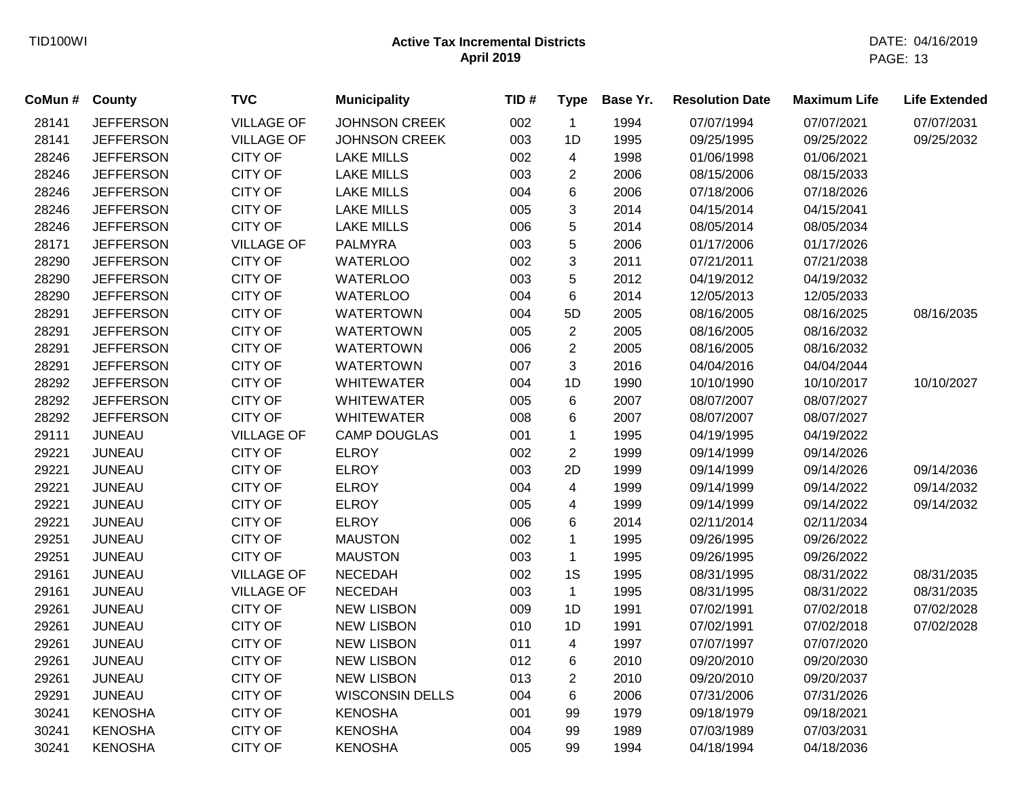| CoMun # | County           | <b>TVC</b>        | <b>Municipality</b>    | TID# | <b>Type</b>    | Base Yr. | <b>Resolution Date</b> | <b>Maximum Life</b> | <b>Life Extended</b> |
|---------|------------------|-------------------|------------------------|------|----------------|----------|------------------------|---------------------|----------------------|
| 28141   | <b>JEFFERSON</b> | <b>VILLAGE OF</b> | <b>JOHNSON CREEK</b>   | 002  | $\mathbf{1}$   | 1994     | 07/07/1994             | 07/07/2021          | 07/07/2031           |
| 28141   | <b>JEFFERSON</b> | <b>VILLAGE OF</b> | <b>JOHNSON CREEK</b>   | 003  | 1D             | 1995     | 09/25/1995             | 09/25/2022          | 09/25/2032           |
| 28246   | <b>JEFFERSON</b> | <b>CITY OF</b>    | <b>LAKE MILLS</b>      | 002  | 4              | 1998     | 01/06/1998             | 01/06/2021          |                      |
| 28246   | <b>JEFFERSON</b> | <b>CITY OF</b>    | <b>LAKE MILLS</b>      | 003  | 2              | 2006     | 08/15/2006             | 08/15/2033          |                      |
| 28246   | <b>JEFFERSON</b> | CITY OF           | <b>LAKE MILLS</b>      | 004  | 6              | 2006     | 07/18/2006             | 07/18/2026          |                      |
| 28246   | <b>JEFFERSON</b> | <b>CITY OF</b>    | <b>LAKE MILLS</b>      | 005  | 3              | 2014     | 04/15/2014             | 04/15/2041          |                      |
| 28246   | <b>JEFFERSON</b> | <b>CITY OF</b>    | <b>LAKE MILLS</b>      | 006  | 5              | 2014     | 08/05/2014             | 08/05/2034          |                      |
| 28171   | <b>JEFFERSON</b> | <b>VILLAGE OF</b> | <b>PALMYRA</b>         | 003  | $\sqrt{5}$     | 2006     | 01/17/2006             | 01/17/2026          |                      |
| 28290   | <b>JEFFERSON</b> | <b>CITY OF</b>    | <b>WATERLOO</b>        | 002  | $\mathfrak{S}$ | 2011     | 07/21/2011             | 07/21/2038          |                      |
| 28290   | <b>JEFFERSON</b> | CITY OF           | <b>WATERLOO</b>        | 003  | 5              | 2012     | 04/19/2012             | 04/19/2032          |                      |
| 28290   | <b>JEFFERSON</b> | <b>CITY OF</b>    | <b>WATERLOO</b>        | 004  | $\,6$          | 2014     | 12/05/2013             | 12/05/2033          |                      |
| 28291   | <b>JEFFERSON</b> | <b>CITY OF</b>    | <b>WATERTOWN</b>       | 004  | 5D             | 2005     | 08/16/2005             | 08/16/2025          | 08/16/2035           |
| 28291   | <b>JEFFERSON</b> | <b>CITY OF</b>    | <b>WATERTOWN</b>       | 005  | $\overline{2}$ | 2005     | 08/16/2005             | 08/16/2032          |                      |
| 28291   | <b>JEFFERSON</b> | <b>CITY OF</b>    | <b>WATERTOWN</b>       | 006  | $\sqrt{2}$     | 2005     | 08/16/2005             | 08/16/2032          |                      |
| 28291   | <b>JEFFERSON</b> | <b>CITY OF</b>    | <b>WATERTOWN</b>       | 007  | 3              | 2016     | 04/04/2016             | 04/04/2044          |                      |
| 28292   | <b>JEFFERSON</b> | <b>CITY OF</b>    | <b>WHITEWATER</b>      | 004  | 1D             | 1990     | 10/10/1990             | 10/10/2017          | 10/10/2027           |
| 28292   | <b>JEFFERSON</b> | <b>CITY OF</b>    | <b>WHITEWATER</b>      | 005  | 6              | 2007     | 08/07/2007             | 08/07/2027          |                      |
| 28292   | <b>JEFFERSON</b> | CITY OF           | <b>WHITEWATER</b>      | 008  | 6              | 2007     | 08/07/2007             | 08/07/2027          |                      |
| 29111   | <b>JUNEAU</b>    | <b>VILLAGE OF</b> | <b>CAMP DOUGLAS</b>    | 001  | $\mathbf{1}$   | 1995     | 04/19/1995             | 04/19/2022          |                      |
| 29221   | <b>JUNEAU</b>    | <b>CITY OF</b>    | <b>ELROY</b>           | 002  | $\overline{2}$ | 1999     | 09/14/1999             | 09/14/2026          |                      |
| 29221   | <b>JUNEAU</b>    | <b>CITY OF</b>    | <b>ELROY</b>           | 003  | 2D             | 1999     | 09/14/1999             | 09/14/2026          | 09/14/2036           |
| 29221   | <b>JUNEAU</b>    | <b>CITY OF</b>    | <b>ELROY</b>           | 004  | $\overline{4}$ | 1999     | 09/14/1999             | 09/14/2022          | 09/14/2032           |
| 29221   | <b>JUNEAU</b>    | <b>CITY OF</b>    | <b>ELROY</b>           | 005  | 4              | 1999     | 09/14/1999             | 09/14/2022          | 09/14/2032           |
| 29221   | <b>JUNEAU</b>    | <b>CITY OF</b>    | <b>ELROY</b>           | 006  | 6              | 2014     | 02/11/2014             | 02/11/2034          |                      |
| 29251   | <b>JUNEAU</b>    | <b>CITY OF</b>    | <b>MAUSTON</b>         | 002  | $\mathbf 1$    | 1995     | 09/26/1995             | 09/26/2022          |                      |
| 29251   | <b>JUNEAU</b>    | <b>CITY OF</b>    | <b>MAUSTON</b>         | 003  | $\mathbf{1}$   | 1995     | 09/26/1995             | 09/26/2022          |                      |
| 29161   | <b>JUNEAU</b>    | <b>VILLAGE OF</b> | <b>NECEDAH</b>         | 002  | 1S             | 1995     | 08/31/1995             | 08/31/2022          | 08/31/2035           |
| 29161   | <b>JUNEAU</b>    | <b>VILLAGE OF</b> | <b>NECEDAH</b>         | 003  | $\mathbf{1}$   | 1995     | 08/31/1995             | 08/31/2022          | 08/31/2035           |
| 29261   | <b>JUNEAU</b>    | <b>CITY OF</b>    | <b>NEW LISBON</b>      | 009  | 1D             | 1991     | 07/02/1991             | 07/02/2018          | 07/02/2028           |
| 29261   | <b>JUNEAU</b>    | <b>CITY OF</b>    | <b>NEW LISBON</b>      | 010  | 1D             | 1991     | 07/02/1991             | 07/02/2018          | 07/02/2028           |
| 29261   | <b>JUNEAU</b>    | <b>CITY OF</b>    | <b>NEW LISBON</b>      | 011  | $\overline{4}$ | 1997     | 07/07/1997             | 07/07/2020          |                      |
| 29261   | <b>JUNEAU</b>    | <b>CITY OF</b>    | <b>NEW LISBON</b>      | 012  | 6              | 2010     | 09/20/2010             | 09/20/2030          |                      |
| 29261   | <b>JUNEAU</b>    | <b>CITY OF</b>    | <b>NEW LISBON</b>      | 013  | $\sqrt{2}$     | 2010     | 09/20/2010             | 09/20/2037          |                      |
| 29291   | <b>JUNEAU</b>    | <b>CITY OF</b>    | <b>WISCONSIN DELLS</b> | 004  | 6              | 2006     | 07/31/2006             | 07/31/2026          |                      |
| 30241   | <b>KENOSHA</b>   | <b>CITY OF</b>    | <b>KENOSHA</b>         | 001  | 99             | 1979     | 09/18/1979             | 09/18/2021          |                      |
| 30241   | <b>KENOSHA</b>   | <b>CITY OF</b>    | <b>KENOSHA</b>         | 004  | 99             | 1989     | 07/03/1989             | 07/03/2031          |                      |
| 30241   | <b>KENOSHA</b>   | <b>CITY OF</b>    | <b>KENOSHA</b>         | 005  | 99             | 1994     | 04/18/1994             | 04/18/2036          |                      |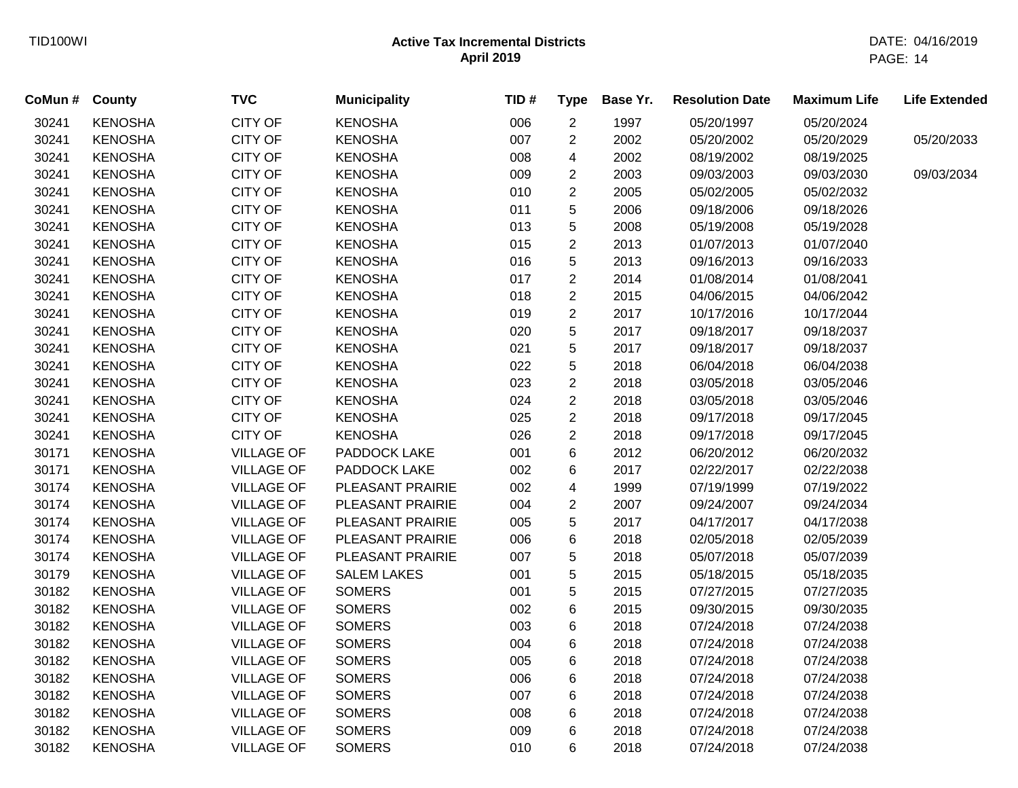| CoMun # County |                | <b>TVC</b>        | <b>Municipality</b> | TID# | <b>Type</b>             | Base Yr. | <b>Resolution Date</b> | <b>Maximum Life</b> | <b>Life Extended</b> |
|----------------|----------------|-------------------|---------------------|------|-------------------------|----------|------------------------|---------------------|----------------------|
| 30241          | <b>KENOSHA</b> | CITY OF           | <b>KENOSHA</b>      | 006  | $\overline{2}$          | 1997     | 05/20/1997             | 05/20/2024          |                      |
| 30241          | <b>KENOSHA</b> | CITY OF           | <b>KENOSHA</b>      | 007  | $\overline{2}$          | 2002     | 05/20/2002             | 05/20/2029          | 05/20/2033           |
| 30241          | <b>KENOSHA</b> | CITY OF           | <b>KENOSHA</b>      | 008  | 4                       | 2002     | 08/19/2002             | 08/19/2025          |                      |
| 30241          | <b>KENOSHA</b> | <b>CITY OF</b>    | <b>KENOSHA</b>      | 009  | $\overline{2}$          | 2003     | 09/03/2003             | 09/03/2030          | 09/03/2034           |
| 30241          | <b>KENOSHA</b> | <b>CITY OF</b>    | <b>KENOSHA</b>      | 010  | $\overline{2}$          | 2005     | 05/02/2005             | 05/02/2032          |                      |
| 30241          | <b>KENOSHA</b> | CITY OF           | <b>KENOSHA</b>      | 011  | 5                       | 2006     | 09/18/2006             | 09/18/2026          |                      |
| 30241          | <b>KENOSHA</b> | CITY OF           | <b>KENOSHA</b>      | 013  | 5                       | 2008     | 05/19/2008             | 05/19/2028          |                      |
| 30241          | <b>KENOSHA</b> | CITY OF           | <b>KENOSHA</b>      | 015  | $\overline{c}$          | 2013     | 01/07/2013             | 01/07/2040          |                      |
| 30241          | <b>KENOSHA</b> | CITY OF           | <b>KENOSHA</b>      | 016  | 5                       | 2013     | 09/16/2013             | 09/16/2033          |                      |
| 30241          | <b>KENOSHA</b> | CITY OF           | <b>KENOSHA</b>      | 017  | $\overline{2}$          | 2014     | 01/08/2014             | 01/08/2041          |                      |
| 30241          | <b>KENOSHA</b> | <b>CITY OF</b>    | <b>KENOSHA</b>      | 018  | $\overline{\mathbf{c}}$ | 2015     | 04/06/2015             | 04/06/2042          |                      |
| 30241          | <b>KENOSHA</b> | CITY OF           | <b>KENOSHA</b>      | 019  | $\overline{\mathbf{c}}$ | 2017     | 10/17/2016             | 10/17/2044          |                      |
| 30241          | <b>KENOSHA</b> | CITY OF           | <b>KENOSHA</b>      | 020  | 5                       | 2017     | 09/18/2017             | 09/18/2037          |                      |
| 30241          | <b>KENOSHA</b> | CITY OF           | <b>KENOSHA</b>      | 021  | 5                       | 2017     | 09/18/2017             | 09/18/2037          |                      |
| 30241          | <b>KENOSHA</b> | CITY OF           | <b>KENOSHA</b>      | 022  | 5                       | 2018     | 06/04/2018             | 06/04/2038          |                      |
| 30241          | <b>KENOSHA</b> | <b>CITY OF</b>    | <b>KENOSHA</b>      | 023  | 2                       | 2018     | 03/05/2018             | 03/05/2046          |                      |
| 30241          | <b>KENOSHA</b> | CITY OF           | <b>KENOSHA</b>      | 024  | 2                       | 2018     | 03/05/2018             | 03/05/2046          |                      |
| 30241          | <b>KENOSHA</b> | CITY OF           | <b>KENOSHA</b>      | 025  | $\overline{2}$          | 2018     | 09/17/2018             | 09/17/2045          |                      |
| 30241          | <b>KENOSHA</b> | CITY OF           | <b>KENOSHA</b>      | 026  | $\overline{2}$          | 2018     | 09/17/2018             | 09/17/2045          |                      |
| 30171          | <b>KENOSHA</b> | <b>VILLAGE OF</b> | PADDOCK LAKE        | 001  | 6                       | 2012     | 06/20/2012             | 06/20/2032          |                      |
| 30171          | <b>KENOSHA</b> | <b>VILLAGE OF</b> | PADDOCK LAKE        | 002  | 6                       | 2017     | 02/22/2017             | 02/22/2038          |                      |
| 30174          | <b>KENOSHA</b> | <b>VILLAGE OF</b> | PLEASANT PRAIRIE    | 002  | 4                       | 1999     | 07/19/1999             | 07/19/2022          |                      |
| 30174          | <b>KENOSHA</b> | <b>VILLAGE OF</b> | PLEASANT PRAIRIE    | 004  | 2                       | 2007     | 09/24/2007             | 09/24/2034          |                      |
| 30174          | <b>KENOSHA</b> | <b>VILLAGE OF</b> | PLEASANT PRAIRIE    | 005  | 5                       | 2017     | 04/17/2017             | 04/17/2038          |                      |
| 30174          | <b>KENOSHA</b> | <b>VILLAGE OF</b> | PLEASANT PRAIRIE    | 006  | 6                       | 2018     | 02/05/2018             | 02/05/2039          |                      |
| 30174          | <b>KENOSHA</b> | <b>VILLAGE OF</b> | PLEASANT PRAIRIE    | 007  | 5                       | 2018     | 05/07/2018             | 05/07/2039          |                      |
| 30179          | <b>KENOSHA</b> | <b>VILLAGE OF</b> | <b>SALEM LAKES</b>  | 001  | 5                       | 2015     | 05/18/2015             | 05/18/2035          |                      |
| 30182          | <b>KENOSHA</b> | <b>VILLAGE OF</b> | <b>SOMERS</b>       | 001  | 5                       | 2015     | 07/27/2015             | 07/27/2035          |                      |
| 30182          | <b>KENOSHA</b> | <b>VILLAGE OF</b> | <b>SOMERS</b>       | 002  | 6                       | 2015     | 09/30/2015             | 09/30/2035          |                      |
| 30182          | <b>KENOSHA</b> | <b>VILLAGE OF</b> | <b>SOMERS</b>       | 003  | 6                       | 2018     | 07/24/2018             | 07/24/2038          |                      |
| 30182          | <b>KENOSHA</b> | <b>VILLAGE OF</b> | <b>SOMERS</b>       | 004  | 6                       | 2018     | 07/24/2018             | 07/24/2038          |                      |
| 30182          | <b>KENOSHA</b> | <b>VILLAGE OF</b> | <b>SOMERS</b>       | 005  | 6                       | 2018     | 07/24/2018             | 07/24/2038          |                      |
| 30182          | <b>KENOSHA</b> | <b>VILLAGE OF</b> | <b>SOMERS</b>       | 006  | 6                       | 2018     | 07/24/2018             | 07/24/2038          |                      |
| 30182          | <b>KENOSHA</b> | <b>VILLAGE OF</b> | <b>SOMERS</b>       | 007  | 6                       | 2018     | 07/24/2018             | 07/24/2038          |                      |
| 30182          | <b>KENOSHA</b> | <b>VILLAGE OF</b> | <b>SOMERS</b>       | 008  | 6                       | 2018     | 07/24/2018             | 07/24/2038          |                      |
| 30182          | <b>KENOSHA</b> | <b>VILLAGE OF</b> | <b>SOMERS</b>       | 009  | 6                       | 2018     | 07/24/2018             | 07/24/2038          |                      |
| 30182          | <b>KENOSHA</b> | <b>VILLAGE OF</b> | <b>SOMERS</b>       | 010  | 6                       | 2018     | 07/24/2018             | 07/24/2038          |                      |
|                |                |                   |                     |      |                         |          |                        |                     |                      |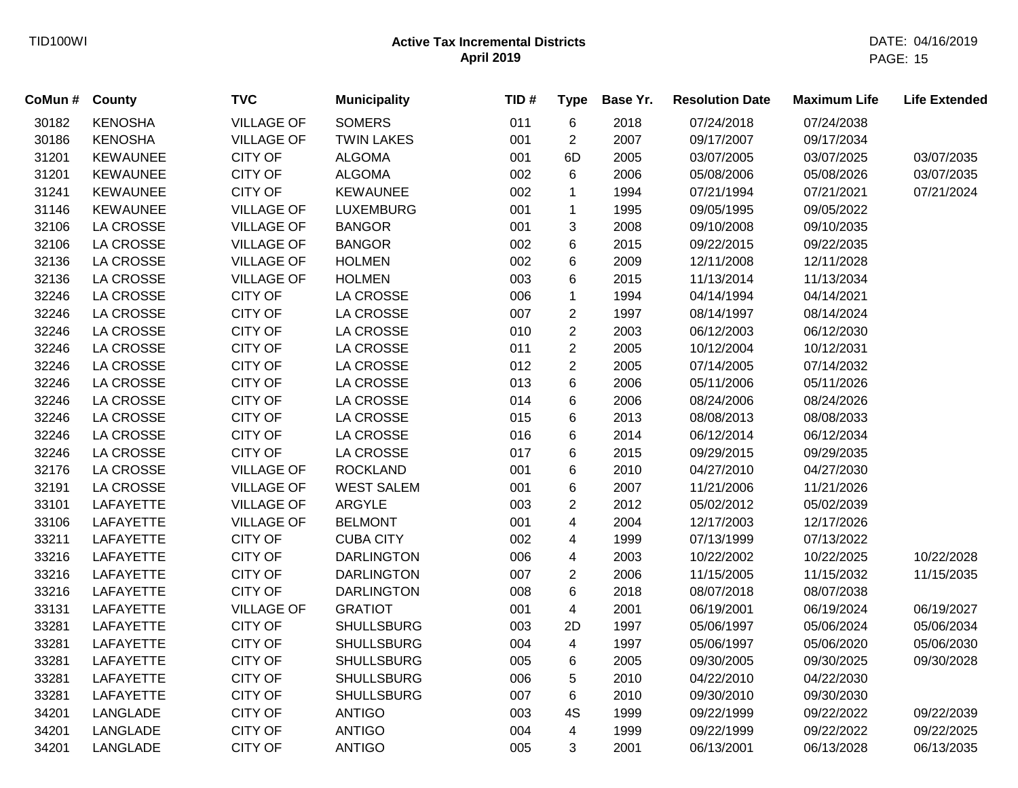| CoMun # | County           | <b>TVC</b>        | <b>Municipality</b> | TID# | <b>Type</b>             | Base Yr. | <b>Resolution Date</b> | <b>Maximum Life</b> | <b>Life Extended</b> |
|---------|------------------|-------------------|---------------------|------|-------------------------|----------|------------------------|---------------------|----------------------|
| 30182   | <b>KENOSHA</b>   | <b>VILLAGE OF</b> | <b>SOMERS</b>       | 011  | 6                       | 2018     | 07/24/2018             | 07/24/2038          |                      |
| 30186   | <b>KENOSHA</b>   | <b>VILLAGE OF</b> | <b>TWIN LAKES</b>   | 001  | $\overline{2}$          | 2007     | 09/17/2007             | 09/17/2034          |                      |
| 31201   | <b>KEWAUNEE</b>  | <b>CITY OF</b>    | <b>ALGOMA</b>       | 001  | 6D                      | 2005     | 03/07/2005             | 03/07/2025          | 03/07/2035           |
| 31201   | <b>KEWAUNEE</b>  | <b>CITY OF</b>    | <b>ALGOMA</b>       | 002  | 6                       | 2006     | 05/08/2006             | 05/08/2026          | 03/07/2035           |
| 31241   | <b>KEWAUNEE</b>  | <b>CITY OF</b>    | <b>KEWAUNEE</b>     | 002  | 1                       | 1994     | 07/21/1994             | 07/21/2021          | 07/21/2024           |
| 31146   | <b>KEWAUNEE</b>  | <b>VILLAGE OF</b> | <b>LUXEMBURG</b>    | 001  | $\mathbf{1}$            | 1995     | 09/05/1995             | 09/05/2022          |                      |
| 32106   | LA CROSSE        | <b>VILLAGE OF</b> | <b>BANGOR</b>       | 001  | 3                       | 2008     | 09/10/2008             | 09/10/2035          |                      |
| 32106   | LA CROSSE        | <b>VILLAGE OF</b> | <b>BANGOR</b>       | 002  | 6                       | 2015     | 09/22/2015             | 09/22/2035          |                      |
| 32136   | <b>LA CROSSE</b> | <b>VILLAGE OF</b> | <b>HOLMEN</b>       | 002  | 6                       | 2009     | 12/11/2008             | 12/11/2028          |                      |
| 32136   | LA CROSSE        | <b>VILLAGE OF</b> | <b>HOLMEN</b>       | 003  | 6                       | 2015     | 11/13/2014             | 11/13/2034          |                      |
| 32246   | LA CROSSE        | <b>CITY OF</b>    | <b>LA CROSSE</b>    | 006  | $\mathbf{1}$            | 1994     | 04/14/1994             | 04/14/2021          |                      |
| 32246   | LA CROSSE        | <b>CITY OF</b>    | <b>LA CROSSE</b>    | 007  | $\overline{c}$          | 1997     | 08/14/1997             | 08/14/2024          |                      |
| 32246   | LA CROSSE        | <b>CITY OF</b>    | <b>LA CROSSE</b>    | 010  | $\overline{2}$          | 2003     | 06/12/2003             | 06/12/2030          |                      |
| 32246   | <b>LA CROSSE</b> | <b>CITY OF</b>    | <b>LA CROSSE</b>    | 011  | $\overline{2}$          | 2005     | 10/12/2004             | 10/12/2031          |                      |
| 32246   | LA CROSSE        | <b>CITY OF</b>    | LA CROSSE           | 012  | $\overline{2}$          | 2005     | 07/14/2005             | 07/14/2032          |                      |
| 32246   | LA CROSSE        | <b>CITY OF</b>    | LA CROSSE           | 013  | 6                       | 2006     | 05/11/2006             | 05/11/2026          |                      |
| 32246   | <b>LA CROSSE</b> | <b>CITY OF</b>    | <b>LA CROSSE</b>    | 014  | 6                       | 2006     | 08/24/2006             | 08/24/2026          |                      |
| 32246   | LA CROSSE        | <b>CITY OF</b>    | <b>LA CROSSE</b>    | 015  | 6                       | 2013     | 08/08/2013             | 08/08/2033          |                      |
| 32246   | LA CROSSE        | <b>CITY OF</b>    | <b>LA CROSSE</b>    | 016  | 6                       | 2014     | 06/12/2014             | 06/12/2034          |                      |
| 32246   | LA CROSSE        | <b>CITY OF</b>    | LA CROSSE           | 017  | 6                       | 2015     | 09/29/2015             | 09/29/2035          |                      |
| 32176   | LA CROSSE        | <b>VILLAGE OF</b> | <b>ROCKLAND</b>     | 001  | 6                       | 2010     | 04/27/2010             | 04/27/2030          |                      |
| 32191   | LA CROSSE        | <b>VILLAGE OF</b> | <b>WEST SALEM</b>   | 001  | 6                       | 2007     | 11/21/2006             | 11/21/2026          |                      |
| 33101   | LAFAYETTE        | <b>VILLAGE OF</b> | ARGYLE              | 003  | $\overline{2}$          | 2012     | 05/02/2012             | 05/02/2039          |                      |
| 33106   | LAFAYETTE        | <b>VILLAGE OF</b> | <b>BELMONT</b>      | 001  | 4                       | 2004     | 12/17/2003             | 12/17/2026          |                      |
| 33211   | LAFAYETTE        | <b>CITY OF</b>    | <b>CUBA CITY</b>    | 002  | 4                       | 1999     | 07/13/1999             | 07/13/2022          |                      |
| 33216   | LAFAYETTE        | <b>CITY OF</b>    | <b>DARLINGTON</b>   | 006  | 4                       | 2003     | 10/22/2002             | 10/22/2025          | 10/22/2028           |
| 33216   | <b>LAFAYETTE</b> | <b>CITY OF</b>    | <b>DARLINGTON</b>   | 007  | $\overline{c}$          | 2006     | 11/15/2005             | 11/15/2032          | 11/15/2035           |
| 33216   | LAFAYETTE        | <b>CITY OF</b>    | <b>DARLINGTON</b>   | 008  | 6                       | 2018     | 08/07/2018             | 08/07/2038          |                      |
| 33131   | LAFAYETTE        | <b>VILLAGE OF</b> | <b>GRATIOT</b>      | 001  | $\overline{\mathbf{4}}$ | 2001     | 06/19/2001             | 06/19/2024          | 06/19/2027           |
| 33281   | LAFAYETTE        | <b>CITY OF</b>    | <b>SHULLSBURG</b>   | 003  | 2D                      | 1997     | 05/06/1997             | 05/06/2024          | 05/06/2034           |
| 33281   | LAFAYETTE        | <b>CITY OF</b>    | <b>SHULLSBURG</b>   | 004  | $\overline{4}$          | 1997     | 05/06/1997             | 05/06/2020          | 05/06/2030           |
| 33281   | LAFAYETTE        | CITY OF           | <b>SHULLSBURG</b>   | 005  | 6                       | 2005     | 09/30/2005             | 09/30/2025          | 09/30/2028           |
| 33281   | LAFAYETTE        | <b>CITY OF</b>    | <b>SHULLSBURG</b>   | 006  | 5                       | 2010     | 04/22/2010             | 04/22/2030          |                      |
| 33281   | <b>LAFAYETTE</b> | <b>CITY OF</b>    | <b>SHULLSBURG</b>   | 007  | 6                       | 2010     | 09/30/2010             | 09/30/2030          |                      |
| 34201   | LANGLADE         | <b>CITY OF</b>    | <b>ANTIGO</b>       | 003  | 4S                      | 1999     | 09/22/1999             | 09/22/2022          | 09/22/2039           |
| 34201   | LANGLADE         | <b>CITY OF</b>    | <b>ANTIGO</b>       | 004  | $\overline{4}$          | 1999     | 09/22/1999             | 09/22/2022          | 09/22/2025           |
| 34201   | LANGLADE         | <b>CITY OF</b>    | <b>ANTIGO</b>       | 005  | 3                       | 2001     | 06/13/2001             | 06/13/2028          | 06/13/2035           |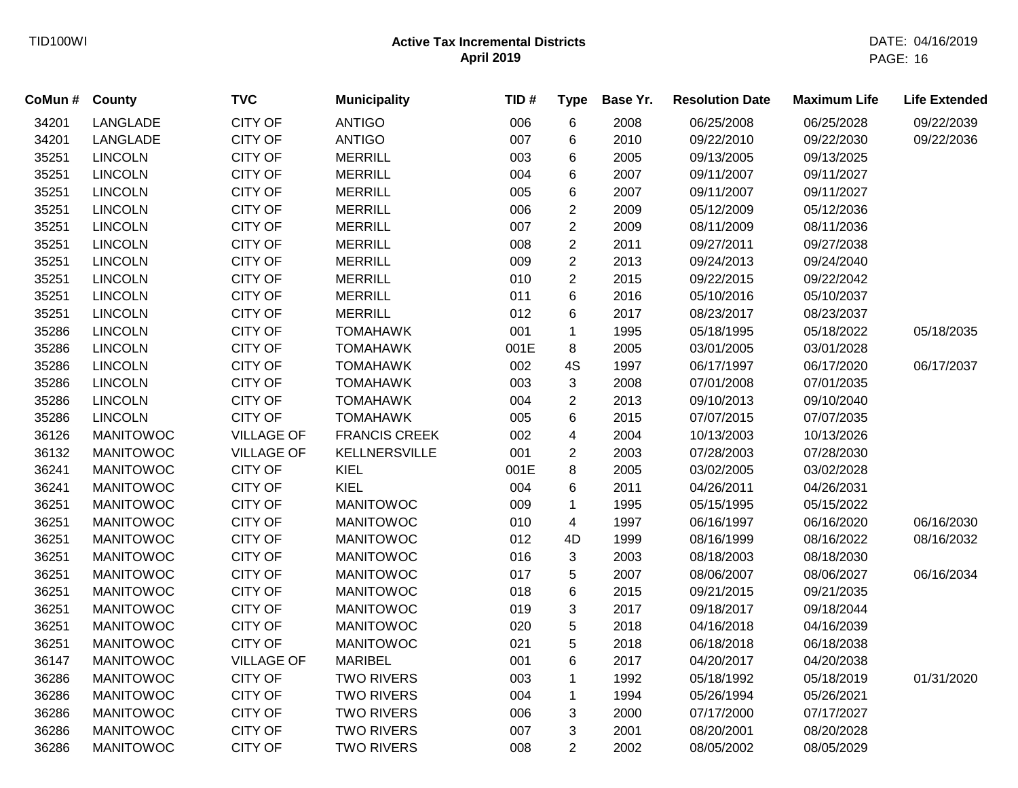| CoMun # | <b>County</b>    | <b>TVC</b>        | <b>Municipality</b>  | TID# | <b>Type</b>             | Base Yr. | <b>Resolution Date</b> | <b>Maximum Life</b> | <b>Life Extended</b> |
|---------|------------------|-------------------|----------------------|------|-------------------------|----------|------------------------|---------------------|----------------------|
| 34201   | LANGLADE         | <b>CITY OF</b>    | <b>ANTIGO</b>        | 006  | 6                       | 2008     | 06/25/2008             | 06/25/2028          | 09/22/2039           |
| 34201   | LANGLADE         | <b>CITY OF</b>    | <b>ANTIGO</b>        | 007  | 6                       | 2010     | 09/22/2010             | 09/22/2030          | 09/22/2036           |
| 35251   | <b>LINCOLN</b>   | <b>CITY OF</b>    | <b>MERRILL</b>       | 003  | 6                       | 2005     | 09/13/2005             | 09/13/2025          |                      |
| 35251   | <b>LINCOLN</b>   | <b>CITY OF</b>    | <b>MERRILL</b>       | 004  | 6                       | 2007     | 09/11/2007             | 09/11/2027          |                      |
| 35251   | <b>LINCOLN</b>   | <b>CITY OF</b>    | <b>MERRILL</b>       | 005  | 6                       | 2007     | 09/11/2007             | 09/11/2027          |                      |
| 35251   | <b>LINCOLN</b>   | <b>CITY OF</b>    | <b>MERRILL</b>       | 006  | $\overline{\mathbf{c}}$ | 2009     | 05/12/2009             | 05/12/2036          |                      |
| 35251   | <b>LINCOLN</b>   | <b>CITY OF</b>    | <b>MERRILL</b>       | 007  | $\overline{c}$          | 2009     | 08/11/2009             | 08/11/2036          |                      |
| 35251   | <b>LINCOLN</b>   | <b>CITY OF</b>    | <b>MERRILL</b>       | 008  | $\sqrt{2}$              | 2011     | 09/27/2011             | 09/27/2038          |                      |
| 35251   | <b>LINCOLN</b>   | <b>CITY OF</b>    | <b>MERRILL</b>       | 009  | $\overline{c}$          | 2013     | 09/24/2013             | 09/24/2040          |                      |
| 35251   | <b>LINCOLN</b>   | <b>CITY OF</b>    | <b>MERRILL</b>       | 010  | $\overline{2}$          | 2015     | 09/22/2015             | 09/22/2042          |                      |
| 35251   | <b>LINCOLN</b>   | <b>CITY OF</b>    | <b>MERRILL</b>       | 011  | 6                       | 2016     | 05/10/2016             | 05/10/2037          |                      |
| 35251   | <b>LINCOLN</b>   | <b>CITY OF</b>    | <b>MERRILL</b>       | 012  | 6                       | 2017     | 08/23/2017             | 08/23/2037          |                      |
| 35286   | <b>LINCOLN</b>   | <b>CITY OF</b>    | <b>TOMAHAWK</b>      | 001  | $\mathbf{1}$            | 1995     | 05/18/1995             | 05/18/2022          | 05/18/2035           |
| 35286   | <b>LINCOLN</b>   | <b>CITY OF</b>    | <b>TOMAHAWK</b>      | 001E | 8                       | 2005     | 03/01/2005             | 03/01/2028          |                      |
| 35286   | <b>LINCOLN</b>   | <b>CITY OF</b>    | <b>TOMAHAWK</b>      | 002  | 4S                      | 1997     | 06/17/1997             | 06/17/2020          | 06/17/2037           |
| 35286   | <b>LINCOLN</b>   | <b>CITY OF</b>    | <b>TOMAHAWK</b>      | 003  | 3                       | 2008     | 07/01/2008             | 07/01/2035          |                      |
| 35286   | <b>LINCOLN</b>   | <b>CITY OF</b>    | <b>TOMAHAWK</b>      | 004  | 2                       | 2013     | 09/10/2013             | 09/10/2040          |                      |
| 35286   | <b>LINCOLN</b>   | <b>CITY OF</b>    | <b>TOMAHAWK</b>      | 005  | 6                       | 2015     | 07/07/2015             | 07/07/2035          |                      |
| 36126   | <b>MANITOWOC</b> | <b>VILLAGE OF</b> | <b>FRANCIS CREEK</b> | 002  | 4                       | 2004     | 10/13/2003             | 10/13/2026          |                      |
| 36132   | <b>MANITOWOC</b> | <b>VILLAGE OF</b> | <b>KELLNERSVILLE</b> | 001  | 2                       | 2003     | 07/28/2003             | 07/28/2030          |                      |
| 36241   | <b>MANITOWOC</b> | <b>CITY OF</b>    | <b>KIEL</b>          | 001E | 8                       | 2005     | 03/02/2005             | 03/02/2028          |                      |
| 36241   | <b>MANITOWOC</b> | <b>CITY OF</b>    | <b>KIEL</b>          | 004  | 6                       | 2011     | 04/26/2011             | 04/26/2031          |                      |
| 36251   | <b>MANITOWOC</b> | <b>CITY OF</b>    | <b>MANITOWOC</b>     | 009  | $\mathbf{1}$            | 1995     | 05/15/1995             | 05/15/2022          |                      |
| 36251   | <b>MANITOWOC</b> | <b>CITY OF</b>    | <b>MANITOWOC</b>     | 010  | 4                       | 1997     | 06/16/1997             | 06/16/2020          | 06/16/2030           |
| 36251   | <b>MANITOWOC</b> | <b>CITY OF</b>    | <b>MANITOWOC</b>     | 012  | 4D                      | 1999     | 08/16/1999             | 08/16/2022          | 08/16/2032           |
| 36251   | <b>MANITOWOC</b> | <b>CITY OF</b>    | <b>MANITOWOC</b>     | 016  | 3                       | 2003     | 08/18/2003             | 08/18/2030          |                      |
| 36251   | <b>MANITOWOC</b> | <b>CITY OF</b>    | <b>MANITOWOC</b>     | 017  | $\sqrt{5}$              | 2007     | 08/06/2007             | 08/06/2027          | 06/16/2034           |
| 36251   | <b>MANITOWOC</b> | <b>CITY OF</b>    | <b>MANITOWOC</b>     | 018  | $\,6$                   | 2015     | 09/21/2015             | 09/21/2035          |                      |
| 36251   | <b>MANITOWOC</b> | <b>CITY OF</b>    | <b>MANITOWOC</b>     | 019  | 3                       | 2017     | 09/18/2017             | 09/18/2044          |                      |
| 36251   | <b>MANITOWOC</b> | <b>CITY OF</b>    | <b>MANITOWOC</b>     | 020  | 5                       | 2018     | 04/16/2018             | 04/16/2039          |                      |
| 36251   | <b>MANITOWOC</b> | <b>CITY OF</b>    | <b>MANITOWOC</b>     | 021  | 5                       | 2018     | 06/18/2018             | 06/18/2038          |                      |
| 36147   | <b>MANITOWOC</b> | <b>VILLAGE OF</b> | <b>MARIBEL</b>       | 001  | 6                       | 2017     | 04/20/2017             | 04/20/2038          |                      |
| 36286   | <b>MANITOWOC</b> | <b>CITY OF</b>    | <b>TWO RIVERS</b>    | 003  | $\mathbf 1$             | 1992     | 05/18/1992             | 05/18/2019          | 01/31/2020           |
| 36286   | <b>MANITOWOC</b> | <b>CITY OF</b>    | <b>TWO RIVERS</b>    | 004  | $\mathbf 1$             | 1994     | 05/26/1994             | 05/26/2021          |                      |
| 36286   | <b>MANITOWOC</b> | <b>CITY OF</b>    | <b>TWO RIVERS</b>    | 006  | 3                       | 2000     | 07/17/2000             | 07/17/2027          |                      |
| 36286   | <b>MANITOWOC</b> | <b>CITY OF</b>    | <b>TWO RIVERS</b>    | 007  | 3                       | 2001     | 08/20/2001             | 08/20/2028          |                      |
| 36286   | <b>MANITOWOC</b> | <b>CITY OF</b>    | <b>TWO RIVERS</b>    | 008  | $\overline{2}$          | 2002     | 08/05/2002             | 08/05/2029          |                      |
|         |                  |                   |                      |      |                         |          |                        |                     |                      |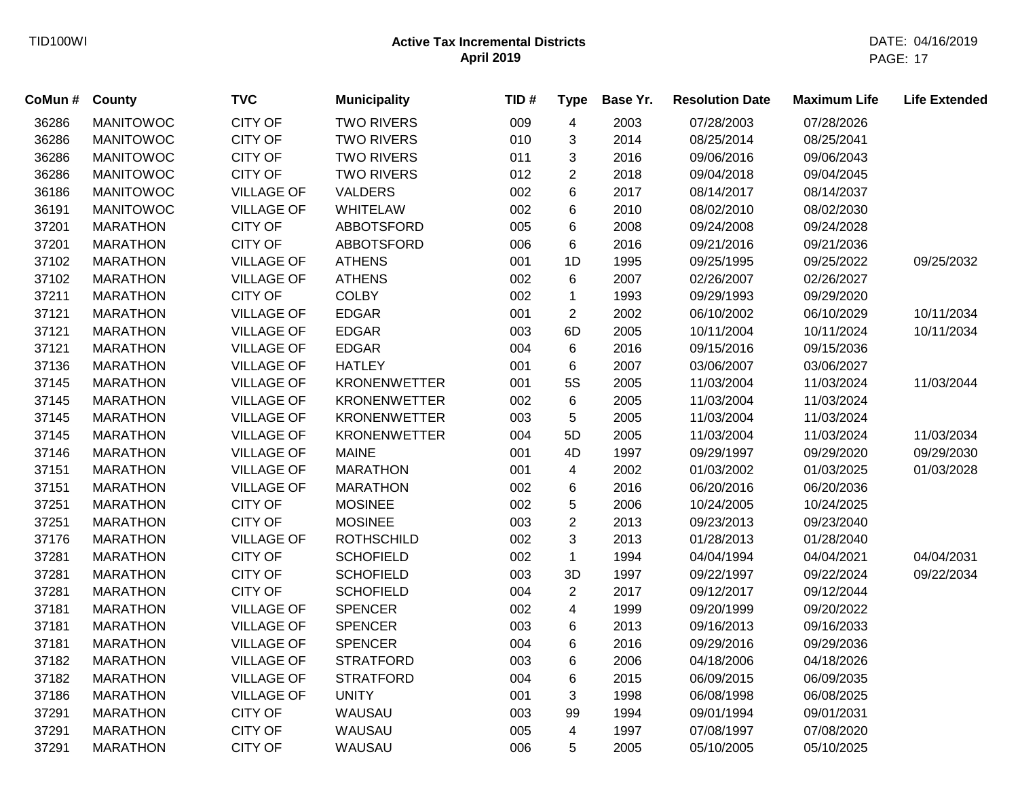| CoMun # County |                  | <b>TVC</b>        | <b>Municipality</b> | TID# | <b>Type</b>              | Base Yr. | <b>Resolution Date</b> | <b>Maximum Life</b> | <b>Life Extended</b> |
|----------------|------------------|-------------------|---------------------|------|--------------------------|----------|------------------------|---------------------|----------------------|
| 36286          | <b>MANITOWOC</b> | <b>CITY OF</b>    | <b>TWO RIVERS</b>   | 009  | $\overline{\mathcal{A}}$ | 2003     | 07/28/2003             | 07/28/2026          |                      |
| 36286          | <b>MANITOWOC</b> | <b>CITY OF</b>    | <b>TWO RIVERS</b>   | 010  | 3                        | 2014     | 08/25/2014             | 08/25/2041          |                      |
| 36286          | <b>MANITOWOC</b> | <b>CITY OF</b>    | <b>TWO RIVERS</b>   | 011  | 3                        | 2016     | 09/06/2016             | 09/06/2043          |                      |
| 36286          | <b>MANITOWOC</b> | <b>CITY OF</b>    | <b>TWO RIVERS</b>   | 012  | $\overline{c}$           | 2018     | 09/04/2018             | 09/04/2045          |                      |
| 36186          | <b>MANITOWOC</b> | <b>VILLAGE OF</b> | <b>VALDERS</b>      | 002  | 6                        | 2017     | 08/14/2017             | 08/14/2037          |                      |
| 36191          | <b>MANITOWOC</b> | <b>VILLAGE OF</b> | <b>WHITELAW</b>     | 002  | 6                        | 2010     | 08/02/2010             | 08/02/2030          |                      |
| 37201          | <b>MARATHON</b>  | <b>CITY OF</b>    | ABBOTSFORD          | 005  | 6                        | 2008     | 09/24/2008             | 09/24/2028          |                      |
| 37201          | <b>MARATHON</b>  | <b>CITY OF</b>    | ABBOTSFORD          | 006  | 6                        | 2016     | 09/21/2016             | 09/21/2036          |                      |
| 37102          | <b>MARATHON</b>  | <b>VILLAGE OF</b> | <b>ATHENS</b>       | 001  | 1D                       | 1995     | 09/25/1995             | 09/25/2022          | 09/25/2032           |
| 37102          | <b>MARATHON</b>  | <b>VILLAGE OF</b> | <b>ATHENS</b>       | 002  | 6                        | 2007     | 02/26/2007             | 02/26/2027          |                      |
| 37211          | <b>MARATHON</b>  | <b>CITY OF</b>    | <b>COLBY</b>        | 002  | $\mathbf 1$              | 1993     | 09/29/1993             | 09/29/2020          |                      |
| 37121          | <b>MARATHON</b>  | <b>VILLAGE OF</b> | <b>EDGAR</b>        | 001  | $\overline{2}$           | 2002     | 06/10/2002             | 06/10/2029          | 10/11/2034           |
| 37121          | <b>MARATHON</b>  | <b>VILLAGE OF</b> | <b>EDGAR</b>        | 003  | 6D                       | 2005     | 10/11/2004             | 10/11/2024          | 10/11/2034           |
| 37121          | <b>MARATHON</b>  | <b>VILLAGE OF</b> | <b>EDGAR</b>        | 004  | 6                        | 2016     | 09/15/2016             | 09/15/2036          |                      |
| 37136          | <b>MARATHON</b>  | <b>VILLAGE OF</b> | <b>HATLEY</b>       | 001  | 6                        | 2007     | 03/06/2007             | 03/06/2027          |                      |
| 37145          | <b>MARATHON</b>  | <b>VILLAGE OF</b> | <b>KRONENWETTER</b> | 001  | 5S                       | 2005     | 11/03/2004             | 11/03/2024          | 11/03/2044           |
| 37145          | <b>MARATHON</b>  | <b>VILLAGE OF</b> | <b>KRONENWETTER</b> | 002  | 6                        | 2005     | 11/03/2004             | 11/03/2024          |                      |
| 37145          | <b>MARATHON</b>  | <b>VILLAGE OF</b> | <b>KRONENWETTER</b> | 003  | 5                        | 2005     | 11/03/2004             | 11/03/2024          |                      |
| 37145          | <b>MARATHON</b>  | <b>VILLAGE OF</b> | <b>KRONENWETTER</b> | 004  | 5D                       | 2005     | 11/03/2004             | 11/03/2024          | 11/03/2034           |
| 37146          | <b>MARATHON</b>  | <b>VILLAGE OF</b> | <b>MAINE</b>        | 001  | 4D                       | 1997     | 09/29/1997             | 09/29/2020          | 09/29/2030           |
| 37151          | <b>MARATHON</b>  | <b>VILLAGE OF</b> | <b>MARATHON</b>     | 001  | 4                        | 2002     | 01/03/2002             | 01/03/2025          | 01/03/2028           |
| 37151          | <b>MARATHON</b>  | <b>VILLAGE OF</b> | <b>MARATHON</b>     | 002  | 6                        | 2016     | 06/20/2016             | 06/20/2036          |                      |
| 37251          | <b>MARATHON</b>  | <b>CITY OF</b>    | <b>MOSINEE</b>      | 002  | 5                        | 2006     | 10/24/2005             | 10/24/2025          |                      |
| 37251          | <b>MARATHON</b>  | <b>CITY OF</b>    | <b>MOSINEE</b>      | 003  | $\overline{2}$           | 2013     | 09/23/2013             | 09/23/2040          |                      |
| 37176          | <b>MARATHON</b>  | <b>VILLAGE OF</b> | <b>ROTHSCHILD</b>   | 002  | 3                        | 2013     | 01/28/2013             | 01/28/2040          |                      |
| 37281          | <b>MARATHON</b>  | <b>CITY OF</b>    | <b>SCHOFIELD</b>    | 002  | $\mathbf{1}$             | 1994     | 04/04/1994             | 04/04/2021          | 04/04/2031           |
| 37281          | <b>MARATHON</b>  | <b>CITY OF</b>    | <b>SCHOFIELD</b>    | 003  | 3D                       | 1997     | 09/22/1997             | 09/22/2024          | 09/22/2034           |
| 37281          | <b>MARATHON</b>  | <b>CITY OF</b>    | <b>SCHOFIELD</b>    | 004  | $\overline{2}$           | 2017     | 09/12/2017             | 09/12/2044          |                      |
| 37181          | <b>MARATHON</b>  | <b>VILLAGE OF</b> | <b>SPENCER</b>      | 002  | 4                        | 1999     | 09/20/1999             | 09/20/2022          |                      |
| 37181          | <b>MARATHON</b>  | <b>VILLAGE OF</b> | <b>SPENCER</b>      | 003  | 6                        | 2013     | 09/16/2013             | 09/16/2033          |                      |
| 37181          | <b>MARATHON</b>  | <b>VILLAGE OF</b> | <b>SPENCER</b>      | 004  | 6                        | 2016     | 09/29/2016             | 09/29/2036          |                      |
| 37182          | <b>MARATHON</b>  | <b>VILLAGE OF</b> | <b>STRATFORD</b>    | 003  | 6                        | 2006     | 04/18/2006             | 04/18/2026          |                      |
| 37182          | <b>MARATHON</b>  | <b>VILLAGE OF</b> | <b>STRATFORD</b>    | 004  | 6                        | 2015     | 06/09/2015             | 06/09/2035          |                      |
| 37186          | <b>MARATHON</b>  | <b>VILLAGE OF</b> | <b>UNITY</b>        | 001  | 3                        | 1998     | 06/08/1998             | 06/08/2025          |                      |
| 37291          | <b>MARATHON</b>  | <b>CITY OF</b>    | WAUSAU              | 003  | 99                       | 1994     | 09/01/1994             | 09/01/2031          |                      |
| 37291          | <b>MARATHON</b>  | <b>CITY OF</b>    | WAUSAU              | 005  | 4                        | 1997     | 07/08/1997             | 07/08/2020          |                      |
| 37291          | <b>MARATHON</b>  | <b>CITY OF</b>    | <b>WAUSAU</b>       | 006  | 5                        | 2005     | 05/10/2005             | 05/10/2025          |                      |
|                |                  |                   |                     |      |                          |          |                        |                     |                      |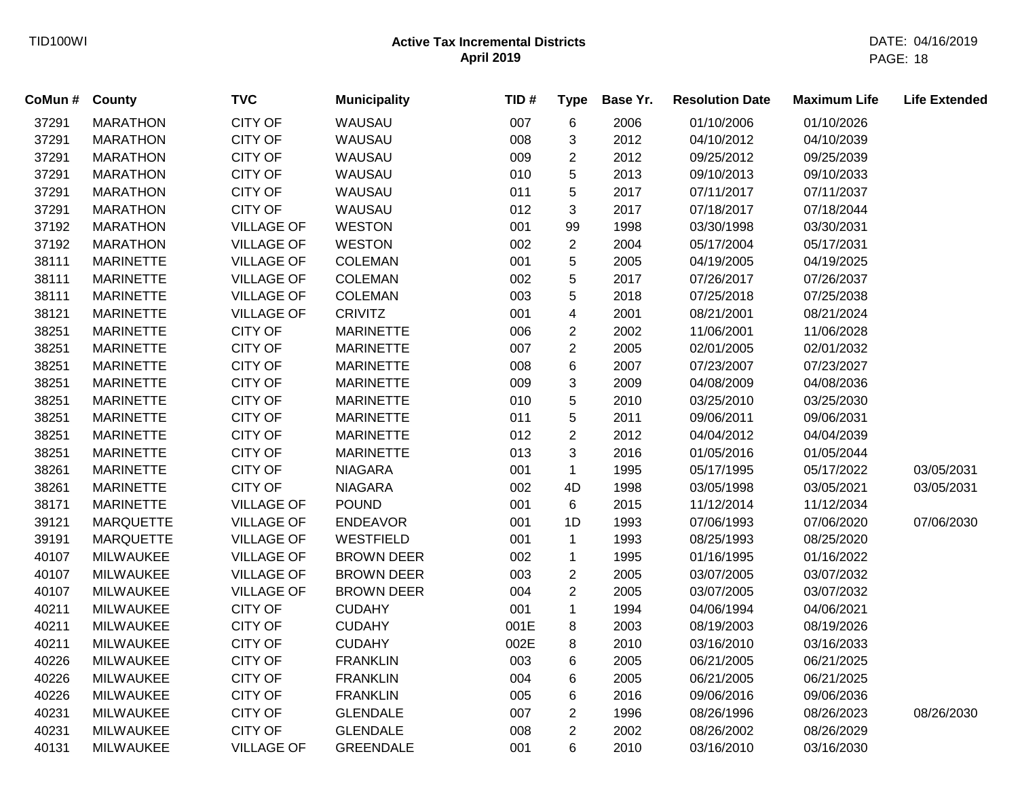| CoMun # | County           | <b>TVC</b>        | <b>Municipality</b> | TID# | <b>Type</b>             | Base Yr. | <b>Resolution Date</b> | <b>Maximum Life</b> | <b>Life Extended</b> |
|---------|------------------|-------------------|---------------------|------|-------------------------|----------|------------------------|---------------------|----------------------|
| 37291   | <b>MARATHON</b>  | <b>CITY OF</b>    | WAUSAU              | 007  | 6                       | 2006     | 01/10/2006             | 01/10/2026          |                      |
| 37291   | <b>MARATHON</b>  | <b>CITY OF</b>    | WAUSAU              | 008  | 3                       | 2012     | 04/10/2012             | 04/10/2039          |                      |
| 37291   | <b>MARATHON</b>  | <b>CITY OF</b>    | WAUSAU              | 009  | $\overline{2}$          | 2012     | 09/25/2012             | 09/25/2039          |                      |
| 37291   | <b>MARATHON</b>  | <b>CITY OF</b>    | WAUSAU              | 010  | 5                       | 2013     | 09/10/2013             | 09/10/2033          |                      |
| 37291   | <b>MARATHON</b>  | <b>CITY OF</b>    | WAUSAU              | 011  | 5                       | 2017     | 07/11/2017             | 07/11/2037          |                      |
| 37291   | <b>MARATHON</b>  | <b>CITY OF</b>    | WAUSAU              | 012  | 3                       | 2017     | 07/18/2017             | 07/18/2044          |                      |
| 37192   | <b>MARATHON</b>  | <b>VILLAGE OF</b> | <b>WESTON</b>       | 001  | 99                      | 1998     | 03/30/1998             | 03/30/2031          |                      |
| 37192   | <b>MARATHON</b>  | <b>VILLAGE OF</b> | <b>WESTON</b>       | 002  | $\overline{c}$          | 2004     | 05/17/2004             | 05/17/2031          |                      |
| 38111   | <b>MARINETTE</b> | <b>VILLAGE OF</b> | <b>COLEMAN</b>      | 001  | 5                       | 2005     | 04/19/2005             | 04/19/2025          |                      |
| 38111   | <b>MARINETTE</b> | <b>VILLAGE OF</b> | <b>COLEMAN</b>      | 002  | 5                       | 2017     | 07/26/2017             | 07/26/2037          |                      |
| 38111   | <b>MARINETTE</b> | <b>VILLAGE OF</b> | <b>COLEMAN</b>      | 003  | 5                       | 2018     | 07/25/2018             | 07/25/2038          |                      |
| 38121   | <b>MARINETTE</b> | <b>VILLAGE OF</b> | <b>CRIVITZ</b>      | 001  | $\overline{\mathbf{4}}$ | 2001     | 08/21/2001             | 08/21/2024          |                      |
| 38251   | <b>MARINETTE</b> | <b>CITY OF</b>    | <b>MARINETTE</b>    | 006  | $\overline{2}$          | 2002     | 11/06/2001             | 11/06/2028          |                      |
| 38251   | <b>MARINETTE</b> | <b>CITY OF</b>    | <b>MARINETTE</b>    | 007  | $\overline{2}$          | 2005     | 02/01/2005             | 02/01/2032          |                      |
| 38251   | <b>MARINETTE</b> | <b>CITY OF</b>    | <b>MARINETTE</b>    | 008  | 6                       | 2007     | 07/23/2007             | 07/23/2027          |                      |
| 38251   | <b>MARINETTE</b> | <b>CITY OF</b>    | <b>MARINETTE</b>    | 009  | 3                       | 2009     | 04/08/2009             | 04/08/2036          |                      |
| 38251   | <b>MARINETTE</b> | <b>CITY OF</b>    | <b>MARINETTE</b>    | 010  | 5                       | 2010     | 03/25/2010             | 03/25/2030          |                      |
| 38251   | <b>MARINETTE</b> | <b>CITY OF</b>    | <b>MARINETTE</b>    | 011  | 5                       | 2011     | 09/06/2011             | 09/06/2031          |                      |
| 38251   | <b>MARINETTE</b> | <b>CITY OF</b>    | <b>MARINETTE</b>    | 012  | $\overline{c}$          | 2012     | 04/04/2012             | 04/04/2039          |                      |
| 38251   | <b>MARINETTE</b> | <b>CITY OF</b>    | <b>MARINETTE</b>    | 013  | 3                       | 2016     | 01/05/2016             | 01/05/2044          |                      |
| 38261   | <b>MARINETTE</b> | <b>CITY OF</b>    | <b>NIAGARA</b>      | 001  | $\mathbf{1}$            | 1995     | 05/17/1995             | 05/17/2022          | 03/05/2031           |
| 38261   | <b>MARINETTE</b> | <b>CITY OF</b>    | <b>NIAGARA</b>      | 002  | 4D                      | 1998     | 03/05/1998             | 03/05/2021          | 03/05/2031           |
| 38171   | <b>MARINETTE</b> | <b>VILLAGE OF</b> | <b>POUND</b>        | 001  | 6                       | 2015     | 11/12/2014             | 11/12/2034          |                      |
| 39121   | <b>MARQUETTE</b> | <b>VILLAGE OF</b> | <b>ENDEAVOR</b>     | 001  | 1D                      | 1993     | 07/06/1993             | 07/06/2020          | 07/06/2030           |
| 39191   | <b>MARQUETTE</b> | <b>VILLAGE OF</b> | <b>WESTFIELD</b>    | 001  | $\mathbf{1}$            | 1993     | 08/25/1993             | 08/25/2020          |                      |
| 40107   | <b>MILWAUKEE</b> | <b>VILLAGE OF</b> | <b>BROWN DEER</b>   | 002  | 1                       | 1995     | 01/16/1995             | 01/16/2022          |                      |
| 40107   | <b>MILWAUKEE</b> | <b>VILLAGE OF</b> | <b>BROWN DEER</b>   | 003  | $\overline{c}$          | 2005     | 03/07/2005             | 03/07/2032          |                      |
| 40107   | <b>MILWAUKEE</b> | <b>VILLAGE OF</b> | <b>BROWN DEER</b>   | 004  | $\overline{2}$          | 2005     | 03/07/2005             | 03/07/2032          |                      |
| 40211   | <b>MILWAUKEE</b> | <b>CITY OF</b>    | <b>CUDAHY</b>       | 001  | $\mathbf{1}$            | 1994     | 04/06/1994             | 04/06/2021          |                      |
| 40211   | <b>MILWAUKEE</b> | <b>CITY OF</b>    | <b>CUDAHY</b>       | 001E | 8                       | 2003     | 08/19/2003             | 08/19/2026          |                      |
| 40211   | <b>MILWAUKEE</b> | <b>CITY OF</b>    | <b>CUDAHY</b>       | 002E | 8                       | 2010     | 03/16/2010             | 03/16/2033          |                      |
| 40226   | <b>MILWAUKEE</b> | <b>CITY OF</b>    | <b>FRANKLIN</b>     | 003  | 6                       | 2005     | 06/21/2005             | 06/21/2025          |                      |
| 40226   | <b>MILWAUKEE</b> | <b>CITY OF</b>    | <b>FRANKLIN</b>     | 004  | 6                       | 2005     | 06/21/2005             | 06/21/2025          |                      |
| 40226   | <b>MILWAUKEE</b> | <b>CITY OF</b>    | <b>FRANKLIN</b>     | 005  | 6                       | 2016     | 09/06/2016             | 09/06/2036          |                      |
| 40231   | <b>MILWAUKEE</b> | <b>CITY OF</b>    | <b>GLENDALE</b>     | 007  | $\overline{2}$          | 1996     | 08/26/1996             | 08/26/2023          | 08/26/2030           |
| 40231   | <b>MILWAUKEE</b> | <b>CITY OF</b>    | <b>GLENDALE</b>     | 008  | $\overline{2}$          | 2002     | 08/26/2002             | 08/26/2029          |                      |
| 40131   | <b>MILWAUKEE</b> | <b>VILLAGE OF</b> | <b>GREENDALE</b>    | 001  | 6                       | 2010     | 03/16/2010             | 03/16/2030          |                      |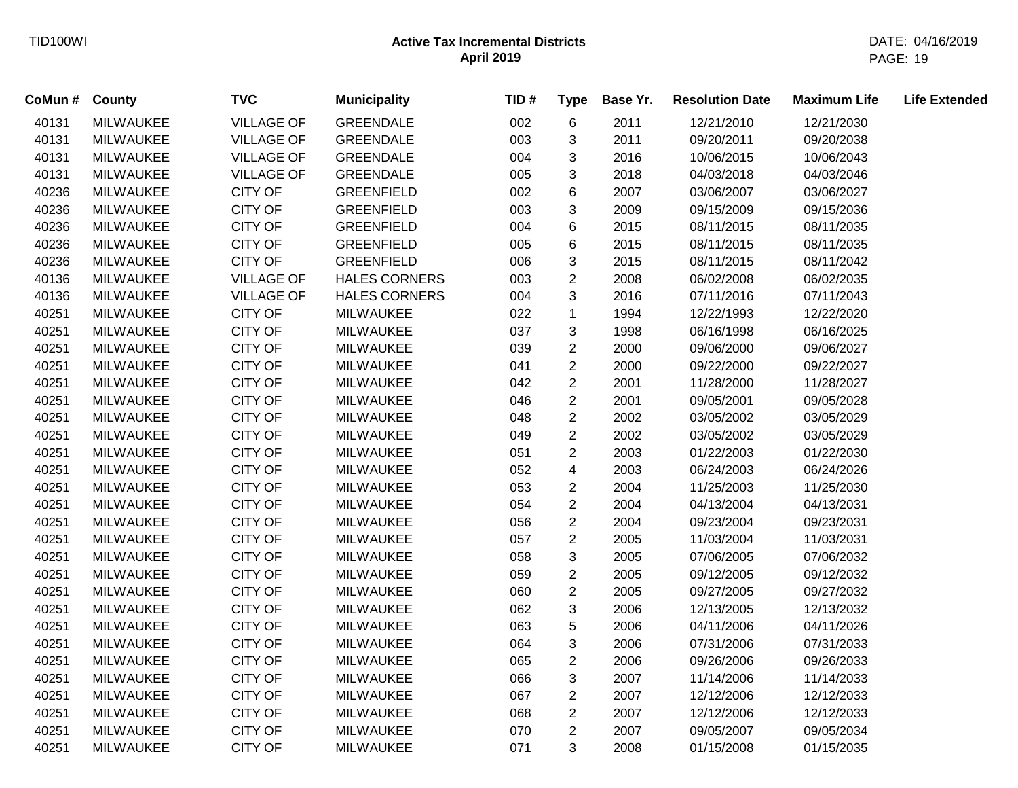| CoMun # | <b>County</b>    | <b>TVC</b>        | <b>Municipality</b>  | TID# | <b>Type</b>             | Base Yr. | <b>Resolution Date</b> | <b>Maximum Life</b> | <b>Life Extended</b> |
|---------|------------------|-------------------|----------------------|------|-------------------------|----------|------------------------|---------------------|----------------------|
| 40131   | <b>MILWAUKEE</b> | <b>VILLAGE OF</b> | <b>GREENDALE</b>     | 002  | $\,6$                   | 2011     | 12/21/2010             | 12/21/2030          |                      |
| 40131   | <b>MILWAUKEE</b> | <b>VILLAGE OF</b> | <b>GREENDALE</b>     | 003  | 3                       | 2011     | 09/20/2011             | 09/20/2038          |                      |
| 40131   | <b>MILWAUKEE</b> | <b>VILLAGE OF</b> | <b>GREENDALE</b>     | 004  | 3                       | 2016     | 10/06/2015             | 10/06/2043          |                      |
| 40131   | <b>MILWAUKEE</b> | <b>VILLAGE OF</b> | <b>GREENDALE</b>     | 005  | 3                       | 2018     | 04/03/2018             | 04/03/2046          |                      |
| 40236   | <b>MILWAUKEE</b> | <b>CITY OF</b>    | <b>GREENFIELD</b>    | 002  | 6                       | 2007     | 03/06/2007             | 03/06/2027          |                      |
| 40236   | <b>MILWAUKEE</b> | <b>CITY OF</b>    | <b>GREENFIELD</b>    | 003  | 3                       | 2009     | 09/15/2009             | 09/15/2036          |                      |
| 40236   | <b>MILWAUKEE</b> | CITY OF           | <b>GREENFIELD</b>    | 004  | $\,6$                   | 2015     | 08/11/2015             | 08/11/2035          |                      |
| 40236   | <b>MILWAUKEE</b> | <b>CITY OF</b>    | <b>GREENFIELD</b>    | 005  | 6                       | 2015     | 08/11/2015             | 08/11/2035          |                      |
| 40236   | <b>MILWAUKEE</b> | <b>CITY OF</b>    | <b>GREENFIELD</b>    | 006  | $\mathbf{3}$            | 2015     | 08/11/2015             | 08/11/2042          |                      |
| 40136   | <b>MILWAUKEE</b> | <b>VILLAGE OF</b> | <b>HALES CORNERS</b> | 003  | $\overline{2}$          | 2008     | 06/02/2008             | 06/02/2035          |                      |
| 40136   | MILWAUKEE        | <b>VILLAGE OF</b> | <b>HALES CORNERS</b> | 004  | $\mathfrak{S}$          | 2016     | 07/11/2016             | 07/11/2043          |                      |
| 40251   | <b>MILWAUKEE</b> | <b>CITY OF</b>    | <b>MILWAUKEE</b>     | 022  | $\mathbf{1}$            | 1994     | 12/22/1993             | 12/22/2020          |                      |
| 40251   | <b>MILWAUKEE</b> | <b>CITY OF</b>    | <b>MILWAUKEE</b>     | 037  | 3                       | 1998     | 06/16/1998             | 06/16/2025          |                      |
| 40251   | <b>MILWAUKEE</b> | CITY OF           | <b>MILWAUKEE</b>     | 039  | $\overline{2}$          | 2000     | 09/06/2000             | 09/06/2027          |                      |
| 40251   | <b>MILWAUKEE</b> | <b>CITY OF</b>    | <b>MILWAUKEE</b>     | 041  | $\sqrt{2}$              | 2000     | 09/22/2000             | 09/22/2027          |                      |
| 40251   | <b>MILWAUKEE</b> | <b>CITY OF</b>    | <b>MILWAUKEE</b>     | 042  | $\overline{2}$          | 2001     | 11/28/2000             | 11/28/2027          |                      |
| 40251   | <b>MILWAUKEE</b> | <b>CITY OF</b>    | <b>MILWAUKEE</b>     | 046  | $\overline{c}$          | 2001     | 09/05/2001             | 09/05/2028          |                      |
| 40251   | MILWAUKEE        | CITY OF           | <b>MILWAUKEE</b>     | 048  | $\overline{2}$          | 2002     | 03/05/2002             | 03/05/2029          |                      |
| 40251   | <b>MILWAUKEE</b> | <b>CITY OF</b>    | <b>MILWAUKEE</b>     | 049  | $\overline{2}$          | 2002     | 03/05/2002             | 03/05/2029          |                      |
| 40251   | <b>MILWAUKEE</b> | <b>CITY OF</b>    | <b>MILWAUKEE</b>     | 051  | $\overline{2}$          | 2003     | 01/22/2003             | 01/22/2030          |                      |
| 40251   | <b>MILWAUKEE</b> | <b>CITY OF</b>    | <b>MILWAUKEE</b>     | 052  | 4                       | 2003     | 06/24/2003             | 06/24/2026          |                      |
| 40251   | <b>MILWAUKEE</b> | <b>CITY OF</b>    | <b>MILWAUKEE</b>     | 053  | $\overline{\mathbf{c}}$ | 2004     | 11/25/2003             | 11/25/2030          |                      |
| 40251   | <b>MILWAUKEE</b> | <b>CITY OF</b>    | <b>MILWAUKEE</b>     | 054  | $\overline{c}$          | 2004     | 04/13/2004             | 04/13/2031          |                      |
| 40251   | <b>MILWAUKEE</b> | CITY OF           | <b>MILWAUKEE</b>     | 056  | $\overline{c}$          | 2004     | 09/23/2004             | 09/23/2031          |                      |
| 40251   | MILWAUKEE        | <b>CITY OF</b>    | <b>MILWAUKEE</b>     | 057  | $\overline{c}$          | 2005     | 11/03/2004             | 11/03/2031          |                      |
| 40251   | MILWAUKEE        | <b>CITY OF</b>    | <b>MILWAUKEE</b>     | 058  | $\sqrt{3}$              | 2005     | 07/06/2005             | 07/06/2032          |                      |
| 40251   | <b>MILWAUKEE</b> | <b>CITY OF</b>    | <b>MILWAUKEE</b>     | 059  | $\sqrt{2}$              | 2005     | 09/12/2005             | 09/12/2032          |                      |
| 40251   | <b>MILWAUKEE</b> | <b>CITY OF</b>    | <b>MILWAUKEE</b>     | 060  | $\overline{2}$          | 2005     | 09/27/2005             | 09/27/2032          |                      |
| 40251   | <b>MILWAUKEE</b> | <b>CITY OF</b>    | <b>MILWAUKEE</b>     | 062  | $\sqrt{3}$              | 2006     | 12/13/2005             | 12/13/2032          |                      |
| 40251   | <b>MILWAUKEE</b> | <b>CITY OF</b>    | <b>MILWAUKEE</b>     | 063  | 5                       | 2006     | 04/11/2006             | 04/11/2026          |                      |
| 40251   | <b>MILWAUKEE</b> | <b>CITY OF</b>    | <b>MILWAUKEE</b>     | 064  | 3                       | 2006     | 07/31/2006             | 07/31/2033          |                      |
| 40251   | <b>MILWAUKEE</b> | <b>CITY OF</b>    | <b>MILWAUKEE</b>     | 065  | $\sqrt{2}$              | 2006     | 09/26/2006             | 09/26/2033          |                      |
| 40251   | <b>MILWAUKEE</b> | <b>CITY OF</b>    | <b>MILWAUKEE</b>     | 066  | 3                       | 2007     | 11/14/2006             | 11/14/2033          |                      |
| 40251   | <b>MILWAUKEE</b> | <b>CITY OF</b>    | <b>MILWAUKEE</b>     | 067  | $\overline{2}$          | 2007     | 12/12/2006             | 12/12/2033          |                      |
| 40251   | <b>MILWAUKEE</b> | <b>CITY OF</b>    | <b>MILWAUKEE</b>     | 068  | $\overline{c}$          | 2007     | 12/12/2006             | 12/12/2033          |                      |
| 40251   | <b>MILWAUKEE</b> | <b>CITY OF</b>    | <b>MILWAUKEE</b>     | 070  | $\overline{2}$          | 2007     | 09/05/2007             | 09/05/2034          |                      |
| 40251   | <b>MILWAUKEE</b> | <b>CITY OF</b>    | <b>MILWAUKEE</b>     | 071  | 3                       | 2008     | 01/15/2008             | 01/15/2035          |                      |
|         |                  |                   |                      |      |                         |          |                        |                     |                      |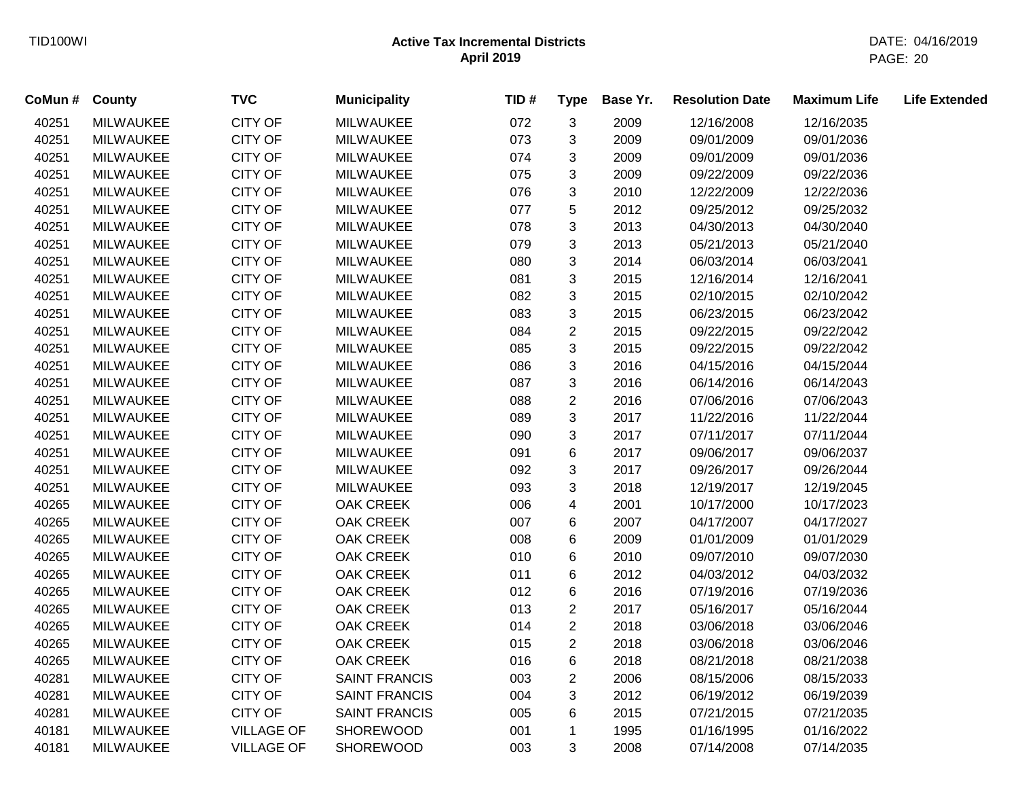| CoMun # | <b>County</b>    | <b>TVC</b>        | <b>Municipality</b>  | TID# | <b>Type</b>               | Base Yr. | <b>Resolution Date</b> | <b>Maximum Life</b> | <b>Life Extended</b> |
|---------|------------------|-------------------|----------------------|------|---------------------------|----------|------------------------|---------------------|----------------------|
| 40251   | <b>MILWAUKEE</b> | <b>CITY OF</b>    | <b>MILWAUKEE</b>     | 072  | $\mathbf{3}$              | 2009     | 12/16/2008             | 12/16/2035          |                      |
| 40251   | <b>MILWAUKEE</b> | <b>CITY OF</b>    | <b>MILWAUKEE</b>     | 073  | 3                         | 2009     | 09/01/2009             | 09/01/2036          |                      |
| 40251   | <b>MILWAUKEE</b> | <b>CITY OF</b>    | <b>MILWAUKEE</b>     | 074  | 3                         | 2009     | 09/01/2009             | 09/01/2036          |                      |
| 40251   | <b>MILWAUKEE</b> | <b>CITY OF</b>    | <b>MILWAUKEE</b>     | 075  | 3                         | 2009     | 09/22/2009             | 09/22/2036          |                      |
| 40251   | <b>MILWAUKEE</b> | <b>CITY OF</b>    | <b>MILWAUKEE</b>     | 076  | 3                         | 2010     | 12/22/2009             | 12/22/2036          |                      |
| 40251   | <b>MILWAUKEE</b> | <b>CITY OF</b>    | <b>MILWAUKEE</b>     | 077  | $\sqrt{5}$                | 2012     | 09/25/2012             | 09/25/2032          |                      |
| 40251   | <b>MILWAUKEE</b> | CITY OF           | <b>MILWAUKEE</b>     | 078  | 3                         | 2013     | 04/30/2013             | 04/30/2040          |                      |
| 40251   | MILWAUKEE        | <b>CITY OF</b>    | <b>MILWAUKEE</b>     | 079  | 3                         | 2013     | 05/21/2013             | 05/21/2040          |                      |
| 40251   | <b>MILWAUKEE</b> | <b>CITY OF</b>    | <b>MILWAUKEE</b>     | 080  | 3                         | 2014     | 06/03/2014             | 06/03/2041          |                      |
| 40251   | <b>MILWAUKEE</b> | <b>CITY OF</b>    | <b>MILWAUKEE</b>     | 081  | $\mathbf{3}$              | 2015     | 12/16/2014             | 12/16/2041          |                      |
| 40251   | <b>MILWAUKEE</b> | CITY OF           | <b>MILWAUKEE</b>     | 082  | $\mathbf{3}$              | 2015     | 02/10/2015             | 02/10/2042          |                      |
| 40251   | <b>MILWAUKEE</b> | <b>CITY OF</b>    | <b>MILWAUKEE</b>     | 083  | $\ensuremath{\mathsf{3}}$ | 2015     | 06/23/2015             | 06/23/2042          |                      |
| 40251   | <b>MILWAUKEE</b> | <b>CITY OF</b>    | <b>MILWAUKEE</b>     | 084  | $\boldsymbol{2}$          | 2015     | 09/22/2015             | 09/22/2042          |                      |
| 40251   | <b>MILWAUKEE</b> | <b>CITY OF</b>    | <b>MILWAUKEE</b>     | 085  | 3                         | 2015     | 09/22/2015             | 09/22/2042          |                      |
| 40251   | <b>MILWAUKEE</b> | <b>CITY OF</b>    | <b>MILWAUKEE</b>     | 086  | 3                         | 2016     | 04/15/2016             | 04/15/2044          |                      |
| 40251   | <b>MILWAUKEE</b> | CITY OF           | <b>MILWAUKEE</b>     | 087  | 3                         | 2016     | 06/14/2016             | 06/14/2043          |                      |
| 40251   | <b>MILWAUKEE</b> | <b>CITY OF</b>    | <b>MILWAUKEE</b>     | 088  | $\overline{2}$            | 2016     | 07/06/2016             | 07/06/2043          |                      |
| 40251   | <b>MILWAUKEE</b> | <b>CITY OF</b>    | <b>MILWAUKEE</b>     | 089  | 3                         | 2017     | 11/22/2016             | 11/22/2044          |                      |
| 40251   | <b>MILWAUKEE</b> | <b>CITY OF</b>    | <b>MILWAUKEE</b>     | 090  | 3                         | 2017     | 07/11/2017             | 07/11/2044          |                      |
| 40251   | <b>MILWAUKEE</b> | <b>CITY OF</b>    | <b>MILWAUKEE</b>     | 091  | 6                         | 2017     | 09/06/2017             | 09/06/2037          |                      |
| 40251   | <b>MILWAUKEE</b> | <b>CITY OF</b>    | <b>MILWAUKEE</b>     | 092  | 3                         | 2017     | 09/26/2017             | 09/26/2044          |                      |
| 40251   | <b>MILWAUKEE</b> | <b>CITY OF</b>    | <b>MILWAUKEE</b>     | 093  | 3                         | 2018     | 12/19/2017             | 12/19/2045          |                      |
| 40265   | <b>MILWAUKEE</b> | CITY OF           | <b>OAK CREEK</b>     | 006  | 4                         | 2001     | 10/17/2000             | 10/17/2023          |                      |
| 40265   | <b>MILWAUKEE</b> | <b>CITY OF</b>    | <b>OAK CREEK</b>     | 007  | 6                         | 2007     | 04/17/2007             | 04/17/2027          |                      |
| 40265   | <b>MILWAUKEE</b> | CITY OF           | <b>OAK CREEK</b>     | 008  | 6                         | 2009     | 01/01/2009             | 01/01/2029          |                      |
| 40265   | <b>MILWAUKEE</b> | <b>CITY OF</b>    | OAK CREEK            | 010  | $\,6$                     | 2010     | 09/07/2010             | 09/07/2030          |                      |
| 40265   | <b>MILWAUKEE</b> | <b>CITY OF</b>    | <b>OAK CREEK</b>     | 011  | 6                         | 2012     | 04/03/2012             | 04/03/2032          |                      |
| 40265   | <b>MILWAUKEE</b> | CITY OF           | <b>OAK CREEK</b>     | 012  | 6                         | 2016     | 07/19/2016             | 07/19/2036          |                      |
| 40265   | <b>MILWAUKEE</b> | <b>CITY OF</b>    | <b>OAK CREEK</b>     | 013  | $\boldsymbol{2}$          | 2017     | 05/16/2017             | 05/16/2044          |                      |
| 40265   | <b>MILWAUKEE</b> | <b>CITY OF</b>    | <b>OAK CREEK</b>     | 014  | $\overline{2}$            | 2018     | 03/06/2018             | 03/06/2046          |                      |
| 40265   | <b>MILWAUKEE</b> | <b>CITY OF</b>    | <b>OAK CREEK</b>     | 015  | $\overline{2}$            | 2018     | 03/06/2018             | 03/06/2046          |                      |
| 40265   | <b>MILWAUKEE</b> | <b>CITY OF</b>    | <b>OAK CREEK</b>     | 016  | $\,6$                     | 2018     | 08/21/2018             | 08/21/2038          |                      |
| 40281   | <b>MILWAUKEE</b> | CITY OF           | <b>SAINT FRANCIS</b> | 003  | $\overline{2}$            | 2006     | 08/15/2006             | 08/15/2033          |                      |
| 40281   | <b>MILWAUKEE</b> | CITY OF           | <b>SAINT FRANCIS</b> | 004  | 3                         | 2012     | 06/19/2012             | 06/19/2039          |                      |
| 40281   | <b>MILWAUKEE</b> | <b>CITY OF</b>    | <b>SAINT FRANCIS</b> | 005  | 6                         | 2015     | 07/21/2015             | 07/21/2035          |                      |
| 40181   | <b>MILWAUKEE</b> | <b>VILLAGE OF</b> | <b>SHOREWOOD</b>     | 001  | $\mathbf{1}$              | 1995     | 01/16/1995             | 01/16/2022          |                      |
| 40181   | <b>MILWAUKEE</b> | <b>VILLAGE OF</b> | <b>SHOREWOOD</b>     | 003  | 3                         | 2008     | 07/14/2008             | 07/14/2035          |                      |
|         |                  |                   |                      |      |                           |          |                        |                     |                      |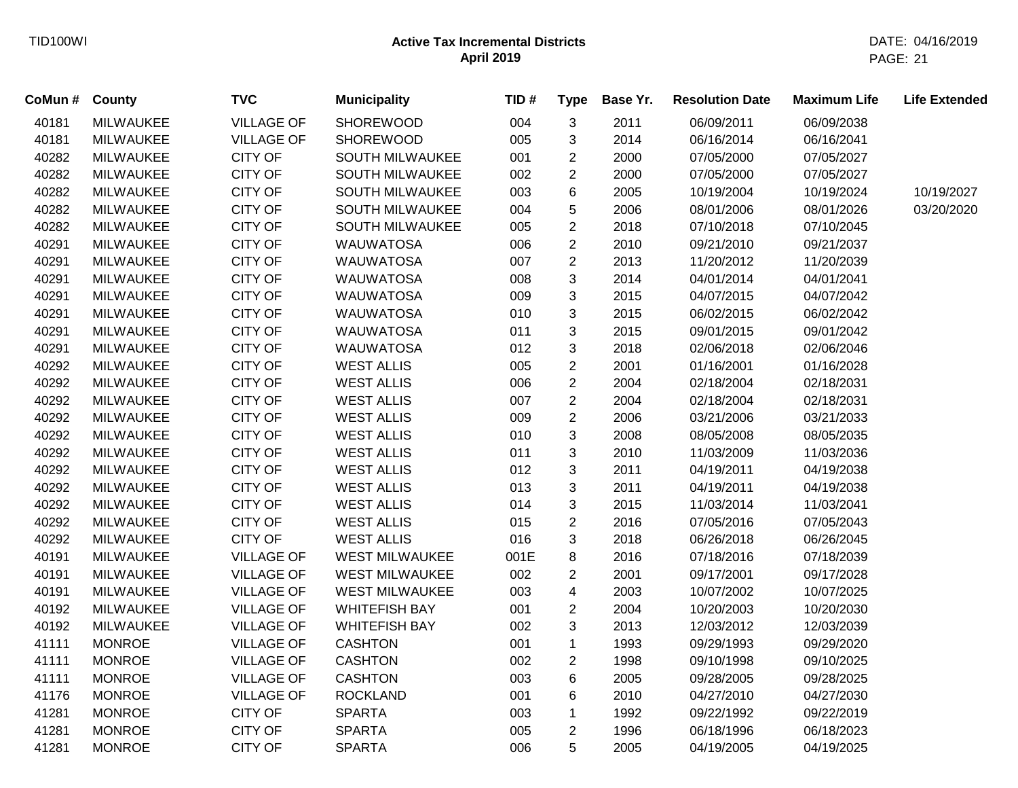| CoMun # | County           | <b>TVC</b>        | <b>Municipality</b>   | TID# | <b>Type</b>    | Base Yr. | <b>Resolution Date</b> | <b>Maximum Life</b> | <b>Life Extended</b> |
|---------|------------------|-------------------|-----------------------|------|----------------|----------|------------------------|---------------------|----------------------|
| 40181   | <b>MILWAUKEE</b> | <b>VILLAGE OF</b> | <b>SHOREWOOD</b>      | 004  | 3              | 2011     | 06/09/2011             | 06/09/2038          |                      |
| 40181   | <b>MILWAUKEE</b> | <b>VILLAGE OF</b> | <b>SHOREWOOD</b>      | 005  | 3              | 2014     | 06/16/2014             | 06/16/2041          |                      |
| 40282   | <b>MILWAUKEE</b> | <b>CITY OF</b>    | SOUTH MILWAUKEE       | 001  | $\overline{c}$ | 2000     | 07/05/2000             | 07/05/2027          |                      |
| 40282   | <b>MILWAUKEE</b> | CITY OF           | SOUTH MILWAUKEE       | 002  | 2              | 2000     | 07/05/2000             | 07/05/2027          |                      |
| 40282   | <b>MILWAUKEE</b> | <b>CITY OF</b>    | SOUTH MILWAUKEE       | 003  | 6              | 2005     | 10/19/2004             | 10/19/2024          | 10/19/2027           |
| 40282   | <b>MILWAUKEE</b> | <b>CITY OF</b>    | SOUTH MILWAUKEE       | 004  | 5              | 2006     | 08/01/2006             | 08/01/2026          | 03/20/2020           |
| 40282   | <b>MILWAUKEE</b> | <b>CITY OF</b>    | SOUTH MILWAUKEE       | 005  | $\overline{2}$ | 2018     | 07/10/2018             | 07/10/2045          |                      |
| 40291   | <b>MILWAUKEE</b> | <b>CITY OF</b>    | <b>WAUWATOSA</b>      | 006  | $\overline{c}$ | 2010     | 09/21/2010             | 09/21/2037          |                      |
| 40291   | <b>MILWAUKEE</b> | <b>CITY OF</b>    | <b>WAUWATOSA</b>      | 007  | $\overline{2}$ | 2013     | 11/20/2012             | 11/20/2039          |                      |
| 40291   | <b>MILWAUKEE</b> | CITY OF           | <b>WAUWATOSA</b>      | 008  | 3              | 2014     | 04/01/2014             | 04/01/2041          |                      |
| 40291   | <b>MILWAUKEE</b> | CITY OF           | <b>WAUWATOSA</b>      | 009  | 3              | 2015     | 04/07/2015             | 04/07/2042          |                      |
| 40291   | <b>MILWAUKEE</b> | <b>CITY OF</b>    | <b>WAUWATOSA</b>      | 010  | 3              | 2015     | 06/02/2015             | 06/02/2042          |                      |
| 40291   | <b>MILWAUKEE</b> | <b>CITY OF</b>    | <b>WAUWATOSA</b>      | 011  | 3              | 2015     | 09/01/2015             | 09/01/2042          |                      |
| 40291   | <b>MILWAUKEE</b> | <b>CITY OF</b>    | <b>WAUWATOSA</b>      | 012  | 3              | 2018     | 02/06/2018             | 02/06/2046          |                      |
| 40292   | <b>MILWAUKEE</b> | <b>CITY OF</b>    | <b>WEST ALLIS</b>     | 005  | $\overline{c}$ | 2001     | 01/16/2001             | 01/16/2028          |                      |
| 40292   | <b>MILWAUKEE</b> | <b>CITY OF</b>    | <b>WEST ALLIS</b>     | 006  | $\overline{2}$ | 2004     | 02/18/2004             | 02/18/2031          |                      |
| 40292   | <b>MILWAUKEE</b> | CITY OF           | <b>WEST ALLIS</b>     | 007  | $\overline{c}$ | 2004     | 02/18/2004             | 02/18/2031          |                      |
| 40292   | <b>MILWAUKEE</b> | CITY OF           | <b>WEST ALLIS</b>     | 009  | $\overline{c}$ | 2006     | 03/21/2006             | 03/21/2033          |                      |
| 40292   | <b>MILWAUKEE</b> | <b>CITY OF</b>    | <b>WEST ALLIS</b>     | 010  | 3              | 2008     | 08/05/2008             | 08/05/2035          |                      |
| 40292   | <b>MILWAUKEE</b> | <b>CITY OF</b>    | <b>WEST ALLIS</b>     | 011  | 3              | 2010     | 11/03/2009             | 11/03/2036          |                      |
| 40292   | <b>MILWAUKEE</b> | <b>CITY OF</b>    | <b>WEST ALLIS</b>     | 012  | 3              | 2011     | 04/19/2011             | 04/19/2038          |                      |
| 40292   | <b>MILWAUKEE</b> | <b>CITY OF</b>    | <b>WEST ALLIS</b>     | 013  | 3              | 2011     | 04/19/2011             | 04/19/2038          |                      |
| 40292   | <b>MILWAUKEE</b> | <b>CITY OF</b>    | <b>WEST ALLIS</b>     | 014  | 3              | 2015     | 11/03/2014             | 11/03/2041          |                      |
| 40292   | <b>MILWAUKEE</b> | CITY OF           | <b>WEST ALLIS</b>     | 015  | $\overline{c}$ | 2016     | 07/05/2016             | 07/05/2043          |                      |
| 40292   | <b>MILWAUKEE</b> | CITY OF           | <b>WEST ALLIS</b>     | 016  | 3              | 2018     | 06/26/2018             | 06/26/2045          |                      |
| 40191   | <b>MILWAUKEE</b> | <b>VILLAGE OF</b> | <b>WEST MILWAUKEE</b> | 001E | 8              | 2016     | 07/18/2016             | 07/18/2039          |                      |
| 40191   | <b>MILWAUKEE</b> | <b>VILLAGE OF</b> | <b>WEST MILWAUKEE</b> | 002  | $\overline{c}$ | 2001     | 09/17/2001             | 09/17/2028          |                      |
| 40191   | <b>MILWAUKEE</b> | <b>VILLAGE OF</b> | <b>WEST MILWAUKEE</b> | 003  | 4              | 2003     | 10/07/2002             | 10/07/2025          |                      |
| 40192   | <b>MILWAUKEE</b> | <b>VILLAGE OF</b> | <b>WHITEFISH BAY</b>  | 001  | $\overline{c}$ | 2004     | 10/20/2003             | 10/20/2030          |                      |
| 40192   | <b>MILWAUKEE</b> | <b>VILLAGE OF</b> | <b>WHITEFISH BAY</b>  | 002  | 3              | 2013     | 12/03/2012             | 12/03/2039          |                      |
| 41111   | <b>MONROE</b>    | <b>VILLAGE OF</b> | <b>CASHTON</b>        | 001  | $\mathbf{1}$   | 1993     | 09/29/1993             | 09/29/2020          |                      |
| 41111   | <b>MONROE</b>    | <b>VILLAGE OF</b> | <b>CASHTON</b>        | 002  | $\overline{2}$ | 1998     | 09/10/1998             | 09/10/2025          |                      |
| 41111   | <b>MONROE</b>    | <b>VILLAGE OF</b> | <b>CASHTON</b>        | 003  | 6              | 2005     | 09/28/2005             | 09/28/2025          |                      |
| 41176   | <b>MONROE</b>    | <b>VILLAGE OF</b> | <b>ROCKLAND</b>       | 001  | 6              | 2010     | 04/27/2010             | 04/27/2030          |                      |
| 41281   | <b>MONROE</b>    | <b>CITY OF</b>    | <b>SPARTA</b>         | 003  | 1              | 1992     | 09/22/1992             | 09/22/2019          |                      |
| 41281   | <b>MONROE</b>    | <b>CITY OF</b>    | <b>SPARTA</b>         | 005  | $\overline{c}$ | 1996     | 06/18/1996             | 06/18/2023          |                      |
| 41281   | <b>MONROE</b>    | <b>CITY OF</b>    | <b>SPARTA</b>         | 006  | 5              | 2005     | 04/19/2005             | 04/19/2025          |                      |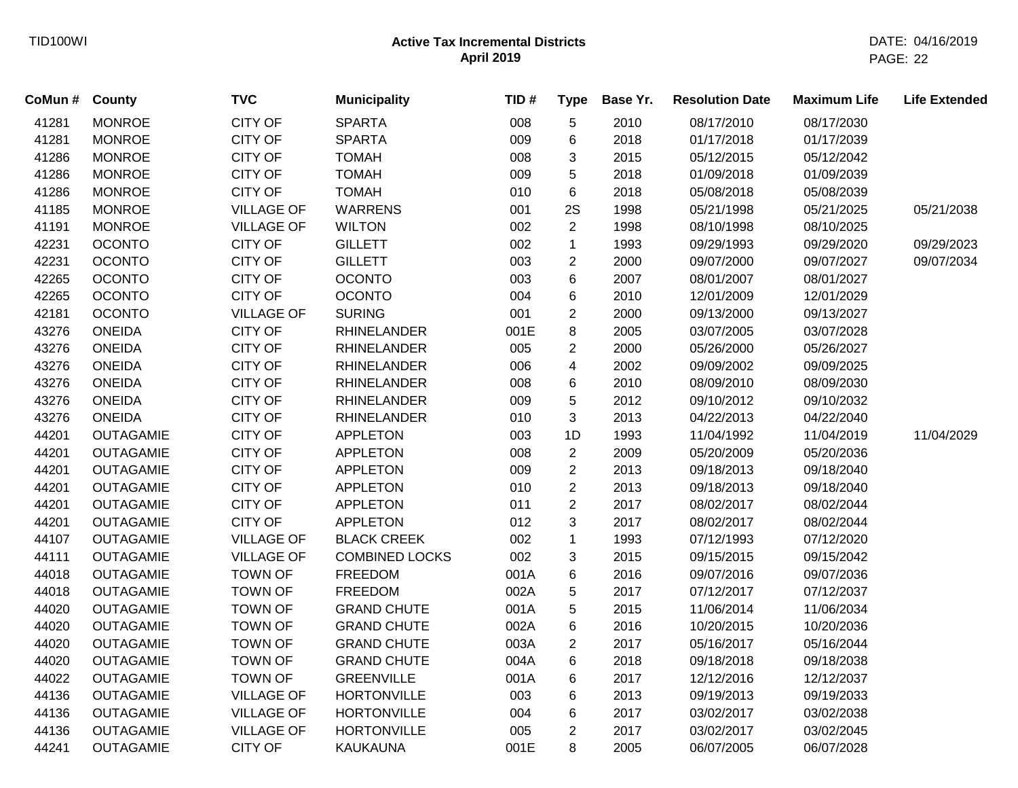| County           | <b>TVC</b>        | <b>Municipality</b>   | TID# | <b>Type</b>    | Base Yr. | <b>Resolution Date</b> | <b>Maximum Life</b> | <b>Life Extended</b> |
|------------------|-------------------|-----------------------|------|----------------|----------|------------------------|---------------------|----------------------|
| <b>MONROE</b>    | <b>CITY OF</b>    | <b>SPARTA</b>         | 008  | $\,$ 5 $\,$    | 2010     | 08/17/2010             | 08/17/2030          |                      |
| <b>MONROE</b>    | <b>CITY OF</b>    | <b>SPARTA</b>         | 009  | 6              | 2018     | 01/17/2018             | 01/17/2039          |                      |
| <b>MONROE</b>    | CITY OF           | <b>TOMAH</b>          | 008  | 3              | 2015     | 05/12/2015             | 05/12/2042          |                      |
| <b>MONROE</b>    | <b>CITY OF</b>    | <b>TOMAH</b>          | 009  | 5              | 2018     | 01/09/2018             | 01/09/2039          |                      |
| <b>MONROE</b>    | CITY OF           | <b>TOMAH</b>          | 010  | 6              | 2018     | 05/08/2018             | 05/08/2039          |                      |
| <b>MONROE</b>    | <b>VILLAGE OF</b> | <b>WARRENS</b>        | 001  | 2S             | 1998     | 05/21/1998             | 05/21/2025          | 05/21/2038           |
| <b>MONROE</b>    | <b>VILLAGE OF</b> | <b>WILTON</b>         | 002  | $\overline{2}$ | 1998     | 08/10/1998             | 08/10/2025          |                      |
| <b>OCONTO</b>    | CITY OF           | <b>GILLETT</b>        | 002  | $\mathbf{1}$   | 1993     | 09/29/1993             | 09/29/2020          | 09/29/2023           |
| <b>OCONTO</b>    | <b>CITY OF</b>    | <b>GILLETT</b>        | 003  | $\sqrt{2}$     | 2000     | 09/07/2000             | 09/07/2027          | 09/07/2034           |
| <b>OCONTO</b>    | CITY OF           | <b>OCONTO</b>         | 003  | 6              | 2007     | 08/01/2007             | 08/01/2027          |                      |
| <b>OCONTO</b>    | CITY OF           | <b>OCONTO</b>         | 004  | $\,6$          | 2010     | 12/01/2009             | 12/01/2029          |                      |
| <b>OCONTO</b>    | <b>VILLAGE OF</b> | <b>SURING</b>         | 001  | $\overline{2}$ | 2000     | 09/13/2000             | 09/13/2027          |                      |
| <b>ONEIDA</b>    | <b>CITY OF</b>    | <b>RHINELANDER</b>    | 001E | 8              | 2005     | 03/07/2005             | 03/07/2028          |                      |
| <b>ONEIDA</b>    | CITY OF           | <b>RHINELANDER</b>    | 005  | $\overline{c}$ | 2000     | 05/26/2000             | 05/26/2027          |                      |
| <b>ONEIDA</b>    | CITY OF           | <b>RHINELANDER</b>    | 006  | 4              | 2002     | 09/09/2002             | 09/09/2025          |                      |
| <b>ONEIDA</b>    | CITY OF           | <b>RHINELANDER</b>    | 008  | 6              | 2010     | 08/09/2010             | 08/09/2030          |                      |
| <b>ONEIDA</b>    | CITY OF           | <b>RHINELANDER</b>    | 009  | 5              | 2012     | 09/10/2012             | 09/10/2032          |                      |
| <b>ONEIDA</b>    | CITY OF           | <b>RHINELANDER</b>    | 010  | 3              | 2013     | 04/22/2013             | 04/22/2040          |                      |
| <b>OUTAGAMIE</b> | CITY OF           | <b>APPLETON</b>       | 003  | 1D             | 1993     | 11/04/1992             | 11/04/2019          | 11/04/2029           |
| <b>OUTAGAMIE</b> | CITY OF           | <b>APPLETON</b>       | 008  | $\overline{2}$ | 2009     | 05/20/2009             | 05/20/2036          |                      |
| <b>OUTAGAMIE</b> | CITY OF           | <b>APPLETON</b>       | 009  | $\overline{c}$ | 2013     | 09/18/2013             | 09/18/2040          |                      |
| <b>OUTAGAMIE</b> | CITY OF           | <b>APPLETON</b>       | 010  | $\overline{2}$ | 2013     | 09/18/2013             | 09/18/2040          |                      |
| <b>OUTAGAMIE</b> | <b>CITY OF</b>    | <b>APPLETON</b>       | 011  | $\overline{c}$ | 2017     | 08/02/2017             | 08/02/2044          |                      |
| <b>OUTAGAMIE</b> | CITY OF           | <b>APPLETON</b>       | 012  | 3              | 2017     | 08/02/2017             | 08/02/2044          |                      |
| <b>OUTAGAMIE</b> | <b>VILLAGE OF</b> | <b>BLACK CREEK</b>    | 002  | $\mathbf{1}$   | 1993     | 07/12/1993             | 07/12/2020          |                      |
| <b>OUTAGAMIE</b> | <b>VILLAGE OF</b> | <b>COMBINED LOCKS</b> | 002  | 3              | 2015     | 09/15/2015             | 09/15/2042          |                      |
| <b>OUTAGAMIE</b> | <b>TOWN OF</b>    | <b>FREEDOM</b>        | 001A | $\,6$          | 2016     | 09/07/2016             | 09/07/2036          |                      |
| <b>OUTAGAMIE</b> | <b>TOWN OF</b>    | <b>FREEDOM</b>        | 002A | $\,$ 5 $\,$    | 2017     | 07/12/2017             | 07/12/2037          |                      |
| <b>OUTAGAMIE</b> | <b>TOWN OF</b>    | <b>GRAND CHUTE</b>    | 001A | 5              | 2015     | 11/06/2014             | 11/06/2034          |                      |
| <b>OUTAGAMIE</b> | <b>TOWN OF</b>    | <b>GRAND CHUTE</b>    | 002A | 6              | 2016     | 10/20/2015             | 10/20/2036          |                      |
| <b>OUTAGAMIE</b> | <b>TOWN OF</b>    | <b>GRAND CHUTE</b>    | 003A | $\overline{2}$ | 2017     | 05/16/2017             | 05/16/2044          |                      |
| <b>OUTAGAMIE</b> | <b>TOWN OF</b>    | <b>GRAND CHUTE</b>    | 004A | $\,6$          | 2018     | 09/18/2018             | 09/18/2038          |                      |
| <b>OUTAGAMIE</b> | <b>TOWN OF</b>    | <b>GREENVILLE</b>     | 001A | 6              | 2017     | 12/12/2016             | 12/12/2037          |                      |
| <b>OUTAGAMIE</b> | <b>VILLAGE OF</b> | <b>HORTONVILLE</b>    | 003  | 6              | 2013     | 09/19/2013             | 09/19/2033          |                      |
| <b>OUTAGAMIE</b> | <b>VILLAGE OF</b> | <b>HORTONVILLE</b>    | 004  | 6              | 2017     | 03/02/2017             | 03/02/2038          |                      |
| <b>OUTAGAMIE</b> | <b>VILLAGE OF</b> | <b>HORTONVILLE</b>    | 005  | $\overline{2}$ | 2017     | 03/02/2017             | 03/02/2045          |                      |
| <b>OUTAGAMIE</b> | <b>CITY OF</b>    | <b>KAUKAUNA</b>       | 001E | 8              | 2005     | 06/07/2005             | 06/07/2028          |                      |
|                  |                   |                       |      |                |          |                        |                     |                      |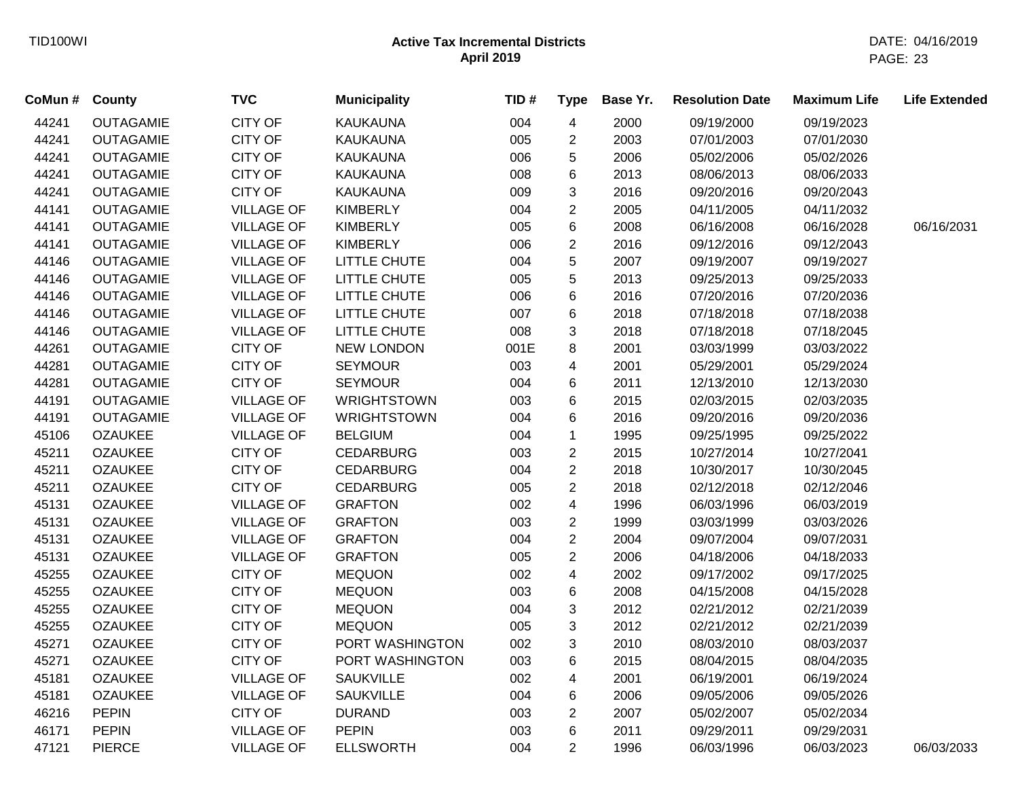| CoMun # | County           | <b>TVC</b>        | <b>Municipality</b> | TID# | <b>Type</b>    | Base Yr. | <b>Resolution Date</b> | <b>Maximum Life</b> | <b>Life Extended</b> |
|---------|------------------|-------------------|---------------------|------|----------------|----------|------------------------|---------------------|----------------------|
| 44241   | <b>OUTAGAMIE</b> | <b>CITY OF</b>    | <b>KAUKAUNA</b>     | 004  | $\overline{4}$ | 2000     | 09/19/2000             | 09/19/2023          |                      |
| 44241   | <b>OUTAGAMIE</b> | <b>CITY OF</b>    | <b>KAUKAUNA</b>     | 005  | $\overline{c}$ | 2003     | 07/01/2003             | 07/01/2030          |                      |
| 44241   | <b>OUTAGAMIE</b> | <b>CITY OF</b>    | <b>KAUKAUNA</b>     | 006  | 5              | 2006     | 05/02/2006             | 05/02/2026          |                      |
| 44241   | <b>OUTAGAMIE</b> | <b>CITY OF</b>    | <b>KAUKAUNA</b>     | 008  | 6              | 2013     | 08/06/2013             | 08/06/2033          |                      |
| 44241   | <b>OUTAGAMIE</b> | <b>CITY OF</b>    | <b>KAUKAUNA</b>     | 009  | 3              | 2016     | 09/20/2016             | 09/20/2043          |                      |
| 44141   | <b>OUTAGAMIE</b> | <b>VILLAGE OF</b> | <b>KIMBERLY</b>     | 004  | $\overline{2}$ | 2005     | 04/11/2005             | 04/11/2032          |                      |
| 44141   | <b>OUTAGAMIE</b> | <b>VILLAGE OF</b> | <b>KIMBERLY</b>     | 005  | 6              | 2008     | 06/16/2008             | 06/16/2028          | 06/16/2031           |
| 44141   | <b>OUTAGAMIE</b> | <b>VILLAGE OF</b> | <b>KIMBERLY</b>     | 006  | $\overline{2}$ | 2016     | 09/12/2016             | 09/12/2043          |                      |
| 44146   | <b>OUTAGAMIE</b> | <b>VILLAGE OF</b> | LITTLE CHUTE        | 004  | 5              | 2007     | 09/19/2007             | 09/19/2027          |                      |
| 44146   | <b>OUTAGAMIE</b> | <b>VILLAGE OF</b> | LITTLE CHUTE        | 005  | 5              | 2013     | 09/25/2013             | 09/25/2033          |                      |
| 44146   | <b>OUTAGAMIE</b> | <b>VILLAGE OF</b> | LITTLE CHUTE        | 006  | 6              | 2016     | 07/20/2016             | 07/20/2036          |                      |
| 44146   | <b>OUTAGAMIE</b> | <b>VILLAGE OF</b> | LITTLE CHUTE        | 007  | 6              | 2018     | 07/18/2018             | 07/18/2038          |                      |
| 44146   | <b>OUTAGAMIE</b> | <b>VILLAGE OF</b> | LITTLE CHUTE        | 008  | 3              | 2018     | 07/18/2018             | 07/18/2045          |                      |
| 44261   | <b>OUTAGAMIE</b> | <b>CITY OF</b>    | <b>NEW LONDON</b>   | 001E | 8              | 2001     | 03/03/1999             | 03/03/2022          |                      |
| 44281   | <b>OUTAGAMIE</b> | <b>CITY OF</b>    | <b>SEYMOUR</b>      | 003  | 4              | 2001     | 05/29/2001             | 05/29/2024          |                      |
| 44281   | <b>OUTAGAMIE</b> | <b>CITY OF</b>    | <b>SEYMOUR</b>      | 004  | 6              | 2011     | 12/13/2010             | 12/13/2030          |                      |
| 44191   | <b>OUTAGAMIE</b> | <b>VILLAGE OF</b> | <b>WRIGHTSTOWN</b>  | 003  | 6              | 2015     | 02/03/2015             | 02/03/2035          |                      |
| 44191   | <b>OUTAGAMIE</b> | <b>VILLAGE OF</b> | WRIGHTSTOWN         | 004  | 6              | 2016     | 09/20/2016             | 09/20/2036          |                      |
| 45106   | <b>OZAUKEE</b>   | <b>VILLAGE OF</b> | <b>BELGIUM</b>      | 004  | $\mathbf{1}$   | 1995     | 09/25/1995             | 09/25/2022          |                      |
| 45211   | <b>OZAUKEE</b>   | <b>CITY OF</b>    | <b>CEDARBURG</b>    | 003  | $\overline{2}$ | 2015     | 10/27/2014             | 10/27/2041          |                      |
| 45211   | <b>OZAUKEE</b>   | CITY OF           | <b>CEDARBURG</b>    | 004  | $\overline{2}$ | 2018     | 10/30/2017             | 10/30/2045          |                      |
| 45211   | <b>OZAUKEE</b>   | <b>CITY OF</b>    | <b>CEDARBURG</b>    | 005  | $\overline{2}$ | 2018     | 02/12/2018             | 02/12/2046          |                      |
| 45131   | <b>OZAUKEE</b>   | <b>VILLAGE OF</b> | <b>GRAFTON</b>      | 002  | 4              | 1996     | 06/03/1996             | 06/03/2019          |                      |
| 45131   | <b>OZAUKEE</b>   | <b>VILLAGE OF</b> | <b>GRAFTON</b>      | 003  | $\overline{c}$ | 1999     | 03/03/1999             | 03/03/2026          |                      |
| 45131   | <b>OZAUKEE</b>   | <b>VILLAGE OF</b> | <b>GRAFTON</b>      | 004  | $\overline{2}$ | 2004     | 09/07/2004             | 09/07/2031          |                      |
| 45131   | <b>OZAUKEE</b>   | <b>VILLAGE OF</b> | <b>GRAFTON</b>      | 005  | $\overline{c}$ | 2006     | 04/18/2006             | 04/18/2033          |                      |
| 45255   | <b>OZAUKEE</b>   | <b>CITY OF</b>    | <b>MEQUON</b>       | 002  | 4              | 2002     | 09/17/2002             | 09/17/2025          |                      |
| 45255   | <b>OZAUKEE</b>   | <b>CITY OF</b>    | <b>MEQUON</b>       | 003  | 6              | 2008     | 04/15/2008             | 04/15/2028          |                      |
| 45255   | <b>OZAUKEE</b>   | <b>CITY OF</b>    | <b>MEQUON</b>       | 004  | 3              | 2012     | 02/21/2012             | 02/21/2039          |                      |
| 45255   | <b>OZAUKEE</b>   | <b>CITY OF</b>    | <b>MEQUON</b>       | 005  | 3              | 2012     | 02/21/2012             | 02/21/2039          |                      |
| 45271   | <b>OZAUKEE</b>   | <b>CITY OF</b>    | PORT WASHINGTON     | 002  | 3              | 2010     | 08/03/2010             | 08/03/2037          |                      |
| 45271   | <b>OZAUKEE</b>   | <b>CITY OF</b>    | PORT WASHINGTON     | 003  | 6              | 2015     | 08/04/2015             | 08/04/2035          |                      |
| 45181   | <b>OZAUKEE</b>   | <b>VILLAGE OF</b> | <b>SAUKVILLE</b>    | 002  | 4              | 2001     | 06/19/2001             | 06/19/2024          |                      |
| 45181   | <b>OZAUKEE</b>   | <b>VILLAGE OF</b> | <b>SAUKVILLE</b>    | 004  | 6              | 2006     | 09/05/2006             | 09/05/2026          |                      |
| 46216   | <b>PEPIN</b>     | <b>CITY OF</b>    | <b>DURAND</b>       | 003  | $\overline{2}$ | 2007     | 05/02/2007             | 05/02/2034          |                      |
| 46171   | <b>PEPIN</b>     | <b>VILLAGE OF</b> | <b>PEPIN</b>        | 003  | 6              | 2011     | 09/29/2011             | 09/29/2031          |                      |
| 47121   | <b>PIERCE</b>    | <b>VILLAGE OF</b> | <b>ELLSWORTH</b>    | 004  | $\overline{2}$ | 1996     | 06/03/1996             | 06/03/2023          | 06/03/2033           |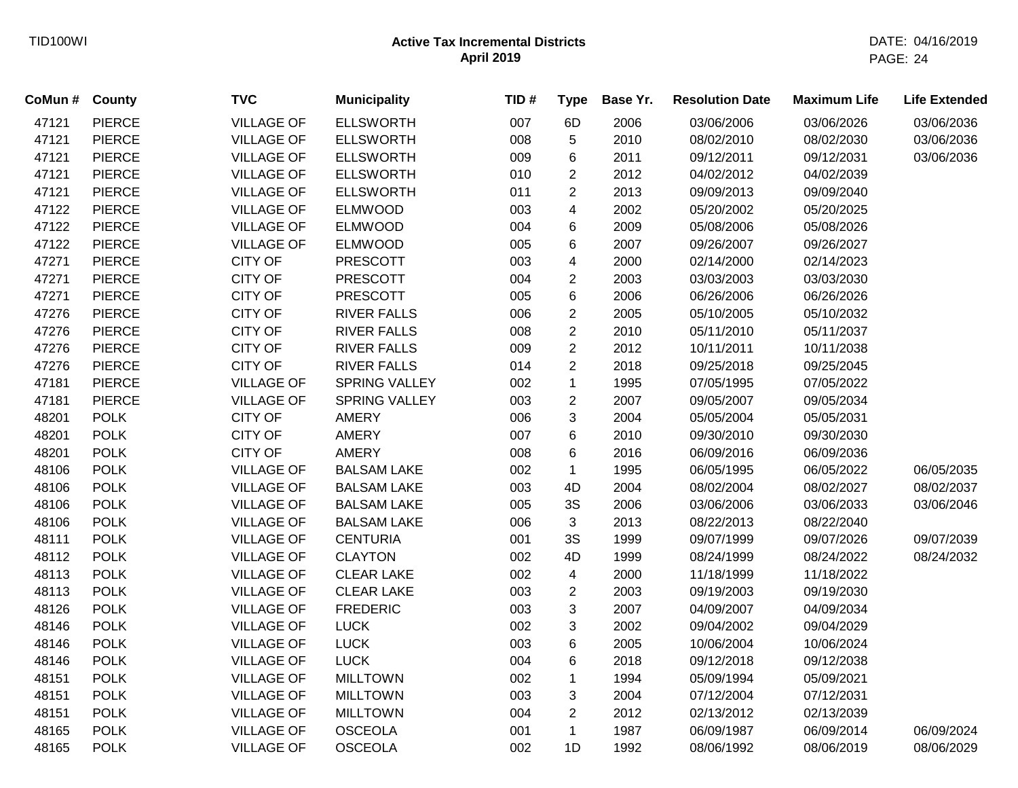| CoMun # | County        | <b>TVC</b>        | <b>Municipality</b>  | TID# | <b>Type</b>               | Base Yr. | <b>Resolution Date</b> | <b>Maximum Life</b> | <b>Life Extended</b> |
|---------|---------------|-------------------|----------------------|------|---------------------------|----------|------------------------|---------------------|----------------------|
| 47121   | <b>PIERCE</b> | <b>VILLAGE OF</b> | <b>ELLSWORTH</b>     | 007  | 6D                        | 2006     | 03/06/2006             | 03/06/2026          | 03/06/2036           |
| 47121   | <b>PIERCE</b> | <b>VILLAGE OF</b> | <b>ELLSWORTH</b>     | 008  | $\sqrt{5}$                | 2010     | 08/02/2010             | 08/02/2030          | 03/06/2036           |
| 47121   | <b>PIERCE</b> | <b>VILLAGE OF</b> | <b>ELLSWORTH</b>     | 009  | 6                         | 2011     | 09/12/2011             | 09/12/2031          | 03/06/2036           |
| 47121   | <b>PIERCE</b> | <b>VILLAGE OF</b> | <b>ELLSWORTH</b>     | 010  | $\overline{c}$            | 2012     | 04/02/2012             | 04/02/2039          |                      |
| 47121   | <b>PIERCE</b> | <b>VILLAGE OF</b> | <b>ELLSWORTH</b>     | 011  | $\overline{2}$            | 2013     | 09/09/2013             | 09/09/2040          |                      |
| 47122   | <b>PIERCE</b> | <b>VILLAGE OF</b> | <b>ELMWOOD</b>       | 003  | 4                         | 2002     | 05/20/2002             | 05/20/2025          |                      |
| 47122   | <b>PIERCE</b> | <b>VILLAGE OF</b> | <b>ELMWOOD</b>       | 004  | 6                         | 2009     | 05/08/2006             | 05/08/2026          |                      |
| 47122   | <b>PIERCE</b> | <b>VILLAGE OF</b> | <b>ELMWOOD</b>       | 005  | 6                         | 2007     | 09/26/2007             | 09/26/2027          |                      |
| 47271   | <b>PIERCE</b> | <b>CITY OF</b>    | <b>PRESCOTT</b>      | 003  | $\overline{\mathbf{4}}$   | 2000     | 02/14/2000             | 02/14/2023          |                      |
| 47271   | <b>PIERCE</b> | <b>CITY OF</b>    | <b>PRESCOTT</b>      | 004  | $\overline{2}$            | 2003     | 03/03/2003             | 03/03/2030          |                      |
| 47271   | <b>PIERCE</b> | <b>CITY OF</b>    | <b>PRESCOTT</b>      | 005  | $\,6\,$                   | 2006     | 06/26/2006             | 06/26/2026          |                      |
| 47276   | <b>PIERCE</b> | <b>CITY OF</b>    | <b>RIVER FALLS</b>   | 006  | $\overline{c}$            | 2005     | 05/10/2005             | 05/10/2032          |                      |
| 47276   | <b>PIERCE</b> | <b>CITY OF</b>    | <b>RIVER FALLS</b>   | 008  | $\overline{c}$            | 2010     | 05/11/2010             | 05/11/2037          |                      |
| 47276   | <b>PIERCE</b> | <b>CITY OF</b>    | <b>RIVER FALLS</b>   | 009  | $\overline{c}$            | 2012     | 10/11/2011             | 10/11/2038          |                      |
| 47276   | <b>PIERCE</b> | <b>CITY OF</b>    | <b>RIVER FALLS</b>   | 014  | $\overline{2}$            | 2018     | 09/25/2018             | 09/25/2045          |                      |
| 47181   | <b>PIERCE</b> | <b>VILLAGE OF</b> | <b>SPRING VALLEY</b> | 002  | $\mathbf{1}$              | 1995     | 07/05/1995             | 07/05/2022          |                      |
| 47181   | <b>PIERCE</b> | <b>VILLAGE OF</b> | <b>SPRING VALLEY</b> | 003  | $\overline{c}$            | 2007     | 09/05/2007             | 09/05/2034          |                      |
| 48201   | <b>POLK</b>   | <b>CITY OF</b>    | AMERY                | 006  | 3                         | 2004     | 05/05/2004             | 05/05/2031          |                      |
| 48201   | <b>POLK</b>   | <b>CITY OF</b>    | <b>AMERY</b>         | 007  | 6                         | 2010     | 09/30/2010             | 09/30/2030          |                      |
| 48201   | <b>POLK</b>   | <b>CITY OF</b>    | <b>AMERY</b>         | 008  | 6                         | 2016     | 06/09/2016             | 06/09/2036          |                      |
| 48106   | <b>POLK</b>   | <b>VILLAGE OF</b> | <b>BALSAM LAKE</b>   | 002  | $\mathbf{1}$              | 1995     | 06/05/1995             | 06/05/2022          | 06/05/2035           |
| 48106   | <b>POLK</b>   | <b>VILLAGE OF</b> | <b>BALSAM LAKE</b>   | 003  | 4D                        | 2004     | 08/02/2004             | 08/02/2027          | 08/02/2037           |
| 48106   | <b>POLK</b>   | <b>VILLAGE OF</b> | <b>BALSAM LAKE</b>   | 005  | 3S                        | 2006     | 03/06/2006             | 03/06/2033          | 03/06/2046           |
| 48106   | <b>POLK</b>   | <b>VILLAGE OF</b> | <b>BALSAM LAKE</b>   | 006  | 3                         | 2013     | 08/22/2013             | 08/22/2040          |                      |
| 48111   | <b>POLK</b>   | <b>VILLAGE OF</b> | <b>CENTURIA</b>      | 001  | 3S                        | 1999     | 09/07/1999             | 09/07/2026          | 09/07/2039           |
| 48112   | <b>POLK</b>   | <b>VILLAGE OF</b> | <b>CLAYTON</b>       | 002  | 4D                        | 1999     | 08/24/1999             | 08/24/2022          | 08/24/2032           |
| 48113   | <b>POLK</b>   | <b>VILLAGE OF</b> | <b>CLEAR LAKE</b>    | 002  | $\overline{\mathbf{4}}$   | 2000     | 11/18/1999             | 11/18/2022          |                      |
| 48113   | <b>POLK</b>   | <b>VILLAGE OF</b> | <b>CLEAR LAKE</b>    | 003  | $\overline{c}$            | 2003     | 09/19/2003             | 09/19/2030          |                      |
| 48126   | <b>POLK</b>   | <b>VILLAGE OF</b> | <b>FREDERIC</b>      | 003  | $\ensuremath{\mathsf{3}}$ | 2007     | 04/09/2007             | 04/09/2034          |                      |
| 48146   | <b>POLK</b>   | <b>VILLAGE OF</b> | <b>LUCK</b>          | 002  | 3                         | 2002     | 09/04/2002             | 09/04/2029          |                      |
| 48146   | <b>POLK</b>   | <b>VILLAGE OF</b> | <b>LUCK</b>          | 003  | $\,6\,$                   | 2005     | 10/06/2004             | 10/06/2024          |                      |
| 48146   | <b>POLK</b>   | <b>VILLAGE OF</b> | <b>LUCK</b>          | 004  | 6                         | 2018     | 09/12/2018             | 09/12/2038          |                      |
| 48151   | <b>POLK</b>   | <b>VILLAGE OF</b> | <b>MILLTOWN</b>      | 002  | $\mathbf 1$               | 1994     | 05/09/1994             | 05/09/2021          |                      |
| 48151   | <b>POLK</b>   | <b>VILLAGE OF</b> | <b>MILLTOWN</b>      | 003  | 3                         | 2004     | 07/12/2004             | 07/12/2031          |                      |
| 48151   | <b>POLK</b>   | <b>VILLAGE OF</b> | <b>MILLTOWN</b>      | 004  | $\overline{2}$            | 2012     | 02/13/2012             | 02/13/2039          |                      |
| 48165   | <b>POLK</b>   | <b>VILLAGE OF</b> | <b>OSCEOLA</b>       | 001  | $\mathbf{1}$              | 1987     | 06/09/1987             | 06/09/2014          | 06/09/2024           |
| 48165   | <b>POLK</b>   | <b>VILLAGE OF</b> | <b>OSCEOLA</b>       | 002  | 1D                        | 1992     | 08/06/1992             | 08/06/2019          | 08/06/2029           |
|         |               |                   |                      |      |                           |          |                        |                     |                      |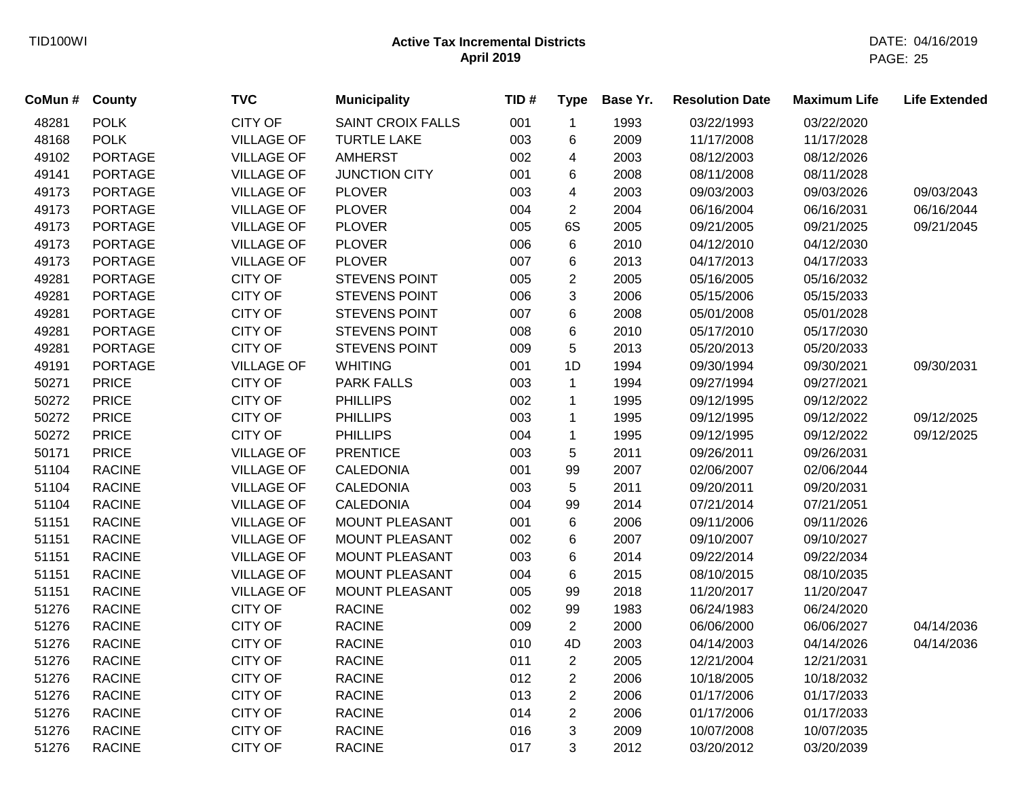| CoMun # | <b>County</b>  | <b>TVC</b>        | <b>Municipality</b>      | TID# | <b>Type</b>    | Base Yr. | <b>Resolution Date</b> | <b>Maximum Life</b> | <b>Life Extended</b> |
|---------|----------------|-------------------|--------------------------|------|----------------|----------|------------------------|---------------------|----------------------|
| 48281   | <b>POLK</b>    | <b>CITY OF</b>    | <b>SAINT CROIX FALLS</b> | 001  | $\mathbf{1}$   | 1993     | 03/22/1993             | 03/22/2020          |                      |
| 48168   | <b>POLK</b>    | <b>VILLAGE OF</b> | <b>TURTLE LAKE</b>       | 003  | 6              | 2009     | 11/17/2008             | 11/17/2028          |                      |
| 49102   | <b>PORTAGE</b> | <b>VILLAGE OF</b> | <b>AMHERST</b>           | 002  | 4              | 2003     | 08/12/2003             | 08/12/2026          |                      |
| 49141   | <b>PORTAGE</b> | <b>VILLAGE OF</b> | <b>JUNCTION CITY</b>     | 001  | 6              | 2008     | 08/11/2008             | 08/11/2028          |                      |
| 49173   | <b>PORTAGE</b> | <b>VILLAGE OF</b> | <b>PLOVER</b>            | 003  | 4              | 2003     | 09/03/2003             | 09/03/2026          | 09/03/2043           |
| 49173   | <b>PORTAGE</b> | <b>VILLAGE OF</b> | <b>PLOVER</b>            | 004  | $\overline{2}$ | 2004     | 06/16/2004             | 06/16/2031          | 06/16/2044           |
| 49173   | <b>PORTAGE</b> | <b>VILLAGE OF</b> | <b>PLOVER</b>            | 005  | 6S             | 2005     | 09/21/2005             | 09/21/2025          | 09/21/2045           |
| 49173   | <b>PORTAGE</b> | <b>VILLAGE OF</b> | <b>PLOVER</b>            | 006  | 6              | 2010     | 04/12/2010             | 04/12/2030          |                      |
| 49173   | <b>PORTAGE</b> | <b>VILLAGE OF</b> | <b>PLOVER</b>            | 007  | 6              | 2013     | 04/17/2013             | 04/17/2033          |                      |
| 49281   | <b>PORTAGE</b> | <b>CITY OF</b>    | STEVENS POINT            | 005  | $\overline{2}$ | 2005     | 05/16/2005             | 05/16/2032          |                      |
| 49281   | <b>PORTAGE</b> | CITY OF           | STEVENS POINT            | 006  | 3              | 2006     | 05/15/2006             | 05/15/2033          |                      |
| 49281   | <b>PORTAGE</b> | <b>CITY OF</b>    | STEVENS POINT            | 007  | 6              | 2008     | 05/01/2008             | 05/01/2028          |                      |
| 49281   | <b>PORTAGE</b> | <b>CITY OF</b>    | <b>STEVENS POINT</b>     | 008  | 6              | 2010     | 05/17/2010             | 05/17/2030          |                      |
| 49281   | <b>PORTAGE</b> | <b>CITY OF</b>    | <b>STEVENS POINT</b>     | 009  | 5              | 2013     | 05/20/2013             | 05/20/2033          |                      |
| 49191   | <b>PORTAGE</b> | <b>VILLAGE OF</b> | <b>WHITING</b>           | 001  | 1D             | 1994     | 09/30/1994             | 09/30/2021          | 09/30/2031           |
| 50271   | <b>PRICE</b>   | <b>CITY OF</b>    | <b>PARK FALLS</b>        | 003  | $\mathbf{1}$   | 1994     | 09/27/1994             | 09/27/2021          |                      |
| 50272   | <b>PRICE</b>   | <b>CITY OF</b>    | <b>PHILLIPS</b>          | 002  | $\mathbf{1}$   | 1995     | 09/12/1995             | 09/12/2022          |                      |
| 50272   | <b>PRICE</b>   | <b>CITY OF</b>    | <b>PHILLIPS</b>          | 003  | $\mathbf{1}$   | 1995     | 09/12/1995             | 09/12/2022          | 09/12/2025           |
| 50272   | <b>PRICE</b>   | <b>CITY OF</b>    | <b>PHILLIPS</b>          | 004  | $\mathbf{1}$   | 1995     | 09/12/1995             | 09/12/2022          | 09/12/2025           |
| 50171   | <b>PRICE</b>   | <b>VILLAGE OF</b> | <b>PRENTICE</b>          | 003  | 5              | 2011     | 09/26/2011             | 09/26/2031          |                      |
| 51104   | <b>RACINE</b>  | <b>VILLAGE OF</b> | <b>CALEDONIA</b>         | 001  | 99             | 2007     | 02/06/2007             | 02/06/2044          |                      |
| 51104   | <b>RACINE</b>  | <b>VILLAGE OF</b> | CALEDONIA                | 003  | 5              | 2011     | 09/20/2011             | 09/20/2031          |                      |
| 51104   | <b>RACINE</b>  | <b>VILLAGE OF</b> | <b>CALEDONIA</b>         | 004  | 99             | 2014     | 07/21/2014             | 07/21/2051          |                      |
| 51151   | <b>RACINE</b>  | <b>VILLAGE OF</b> | MOUNT PLEASANT           | 001  | 6              | 2006     | 09/11/2006             | 09/11/2026          |                      |
| 51151   | <b>RACINE</b>  | <b>VILLAGE OF</b> | MOUNT PLEASANT           | 002  | 6              | 2007     | 09/10/2007             | 09/10/2027          |                      |
| 51151   | <b>RACINE</b>  | <b>VILLAGE OF</b> | MOUNT PLEASANT           | 003  | 6              | 2014     | 09/22/2014             | 09/22/2034          |                      |
| 51151   | <b>RACINE</b>  | <b>VILLAGE OF</b> | <b>MOUNT PLEASANT</b>    | 004  | 6              | 2015     | 08/10/2015             | 08/10/2035          |                      |
| 51151   | <b>RACINE</b>  | <b>VILLAGE OF</b> | MOUNT PLEASANT           | 005  | 99             | 2018     | 11/20/2017             | 11/20/2047          |                      |
| 51276   | <b>RACINE</b>  | <b>CITY OF</b>    | <b>RACINE</b>            | 002  | 99             | 1983     | 06/24/1983             | 06/24/2020          |                      |
| 51276   | <b>RACINE</b>  | <b>CITY OF</b>    | <b>RACINE</b>            | 009  | $\overline{2}$ | 2000     | 06/06/2000             | 06/06/2027          | 04/14/2036           |
| 51276   | <b>RACINE</b>  | <b>CITY OF</b>    | <b>RACINE</b>            | 010  | 4D             | 2003     | 04/14/2003             | 04/14/2026          | 04/14/2036           |
| 51276   | <b>RACINE</b>  | <b>CITY OF</b>    | <b>RACINE</b>            | 011  | $\overline{2}$ | 2005     | 12/21/2004             | 12/21/2031          |                      |
| 51276   | <b>RACINE</b>  | <b>CITY OF</b>    | <b>RACINE</b>            | 012  | $\overline{c}$ | 2006     | 10/18/2005             | 10/18/2032          |                      |
| 51276   | <b>RACINE</b>  | <b>CITY OF</b>    | <b>RACINE</b>            | 013  | $\overline{c}$ | 2006     | 01/17/2006             | 01/17/2033          |                      |
| 51276   | <b>RACINE</b>  | <b>CITY OF</b>    | <b>RACINE</b>            | 014  | $\overline{2}$ | 2006     | 01/17/2006             | 01/17/2033          |                      |
| 51276   | <b>RACINE</b>  | <b>CITY OF</b>    | <b>RACINE</b>            | 016  | 3              | 2009     | 10/07/2008             | 10/07/2035          |                      |
| 51276   | <b>RACINE</b>  | <b>CITY OF</b>    | <b>RACINE</b>            | 017  | 3              | 2012     | 03/20/2012             | 03/20/2039          |                      |
|         |                |                   |                          |      |                |          |                        |                     |                      |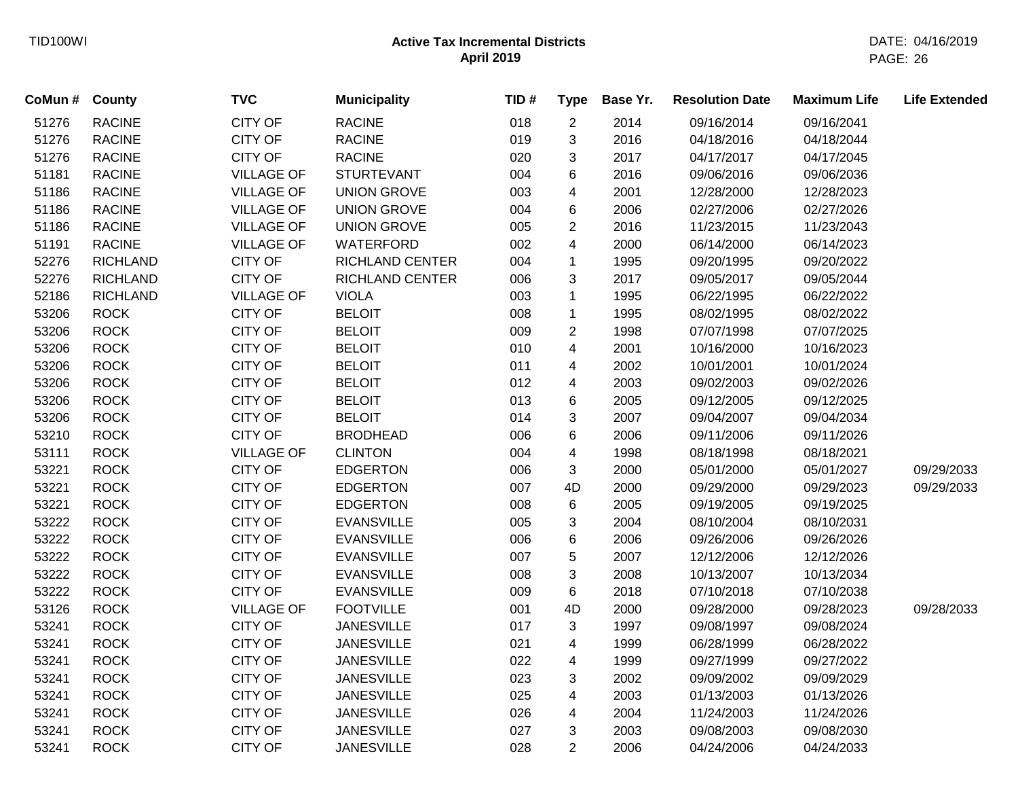| CoMun # | <b>County</b>   | <b>TVC</b>        | <b>Municipality</b>    | TID# | <b>Type</b>             | Base Yr. | <b>Resolution Date</b> | <b>Maximum Life</b> | <b>Life Extended</b> |
|---------|-----------------|-------------------|------------------------|------|-------------------------|----------|------------------------|---------------------|----------------------|
| 51276   | <b>RACINE</b>   | <b>CITY OF</b>    | <b>RACINE</b>          | 018  | $\overline{c}$          | 2014     | 09/16/2014             | 09/16/2041          |                      |
| 51276   | <b>RACINE</b>   | <b>CITY OF</b>    | <b>RACINE</b>          | 019  | 3                       | 2016     | 04/18/2016             | 04/18/2044          |                      |
| 51276   | <b>RACINE</b>   | <b>CITY OF</b>    | <b>RACINE</b>          | 020  | 3                       | 2017     | 04/17/2017             | 04/17/2045          |                      |
| 51181   | <b>RACINE</b>   | <b>VILLAGE OF</b> | <b>STURTEVANT</b>      | 004  | 6                       | 2016     | 09/06/2016             | 09/06/2036          |                      |
| 51186   | <b>RACINE</b>   | <b>VILLAGE OF</b> | <b>UNION GROVE</b>     | 003  | 4                       | 2001     | 12/28/2000             | 12/28/2023          |                      |
| 51186   | <b>RACINE</b>   | <b>VILLAGE OF</b> | <b>UNION GROVE</b>     | 004  | 6                       | 2006     | 02/27/2006             | 02/27/2026          |                      |
| 51186   | <b>RACINE</b>   | <b>VILLAGE OF</b> | <b>UNION GROVE</b>     | 005  | $\overline{2}$          | 2016     | 11/23/2015             | 11/23/2043          |                      |
| 51191   | <b>RACINE</b>   | <b>VILLAGE OF</b> | WATERFORD              | 002  | $\overline{\mathbf{4}}$ | 2000     | 06/14/2000             | 06/14/2023          |                      |
| 52276   | <b>RICHLAND</b> | <b>CITY OF</b>    | <b>RICHLAND CENTER</b> | 004  | $\mathbf{1}$            | 1995     | 09/20/1995             | 09/20/2022          |                      |
| 52276   | <b>RICHLAND</b> | <b>CITY OF</b>    | <b>RICHLAND CENTER</b> | 006  | 3                       | 2017     | 09/05/2017             | 09/05/2044          |                      |
| 52186   | <b>RICHLAND</b> | <b>VILLAGE OF</b> | <b>VIOLA</b>           | 003  | $\mathbf{1}$            | 1995     | 06/22/1995             | 06/22/2022          |                      |
| 53206   | <b>ROCK</b>     | <b>CITY OF</b>    | <b>BELOIT</b>          | 008  | $\mathbf{1}$            | 1995     | 08/02/1995             | 08/02/2022          |                      |
| 53206   | <b>ROCK</b>     | <b>CITY OF</b>    | <b>BELOIT</b>          | 009  | $\overline{2}$          | 1998     | 07/07/1998             | 07/07/2025          |                      |
| 53206   | <b>ROCK</b>     | CITY OF           | <b>BELOIT</b>          | 010  | 4                       | 2001     | 10/16/2000             | 10/16/2023          |                      |
| 53206   | <b>ROCK</b>     | <b>CITY OF</b>    | <b>BELOIT</b>          | 011  | 4                       | 2002     | 10/01/2001             | 10/01/2024          |                      |
| 53206   | <b>ROCK</b>     | <b>CITY OF</b>    | <b>BELOIT</b>          | 012  | 4                       | 2003     | 09/02/2003             | 09/02/2026          |                      |
| 53206   | <b>ROCK</b>     | <b>CITY OF</b>    | <b>BELOIT</b>          | 013  | 6                       | 2005     | 09/12/2005             | 09/12/2025          |                      |
| 53206   | <b>ROCK</b>     | <b>CITY OF</b>    | <b>BELOIT</b>          | 014  | 3                       | 2007     | 09/04/2007             | 09/04/2034          |                      |
| 53210   | <b>ROCK</b>     | <b>CITY OF</b>    | <b>BRODHEAD</b>        | 006  | 6                       | 2006     | 09/11/2006             | 09/11/2026          |                      |
| 53111   | <b>ROCK</b>     | <b>VILLAGE OF</b> | <b>CLINTON</b>         | 004  | 4                       | 1998     | 08/18/1998             | 08/18/2021          |                      |
| 53221   | <b>ROCK</b>     | <b>CITY OF</b>    | <b>EDGERTON</b>        | 006  | 3                       | 2000     | 05/01/2000             | 05/01/2027          | 09/29/2033           |
| 53221   | <b>ROCK</b>     | <b>CITY OF</b>    | <b>EDGERTON</b>        | 007  | 4D                      | 2000     | 09/29/2000             | 09/29/2023          | 09/29/2033           |
| 53221   | <b>ROCK</b>     | <b>CITY OF</b>    | <b>EDGERTON</b>        | 008  | 6                       | 2005     | 09/19/2005             | 09/19/2025          |                      |
| 53222   | <b>ROCK</b>     | <b>CITY OF</b>    | <b>EVANSVILLE</b>      | 005  | 3                       | 2004     | 08/10/2004             | 08/10/2031          |                      |
| 53222   | <b>ROCK</b>     | <b>CITY OF</b>    | <b>EVANSVILLE</b>      | 006  | 6                       | 2006     | 09/26/2006             | 09/26/2026          |                      |
| 53222   | <b>ROCK</b>     | CITY OF           | <b>EVANSVILLE</b>      | 007  | 5                       | 2007     | 12/12/2006             | 12/12/2026          |                      |
| 53222   | <b>ROCK</b>     | <b>CITY OF</b>    | <b>EVANSVILLE</b>      | 008  | 3                       | 2008     | 10/13/2007             | 10/13/2034          |                      |
| 53222   | <b>ROCK</b>     | <b>CITY OF</b>    | <b>EVANSVILLE</b>      | 009  | 6                       | 2018     | 07/10/2018             | 07/10/2038          |                      |
| 53126   | <b>ROCK</b>     | <b>VILLAGE OF</b> | <b>FOOTVILLE</b>       | 001  | 4D                      | 2000     | 09/28/2000             | 09/28/2023          | 09/28/2033           |
| 53241   | <b>ROCK</b>     | <b>CITY OF</b>    | <b>JANESVILLE</b>      | 017  | 3                       | 1997     | 09/08/1997             | 09/08/2024          |                      |
| 53241   | <b>ROCK</b>     | <b>CITY OF</b>    | <b>JANESVILLE</b>      | 021  | 4                       | 1999     | 06/28/1999             | 06/28/2022          |                      |
| 53241   | <b>ROCK</b>     | CITY OF           | <b>JANESVILLE</b>      | 022  | 4                       | 1999     | 09/27/1999             | 09/27/2022          |                      |
| 53241   | <b>ROCK</b>     | <b>CITY OF</b>    | <b>JANESVILLE</b>      | 023  | 3                       | 2002     | 09/09/2002             | 09/09/2029          |                      |
| 53241   | <b>ROCK</b>     | <b>CITY OF</b>    | <b>JANESVILLE</b>      | 025  | 4                       | 2003     | 01/13/2003             | 01/13/2026          |                      |
| 53241   | <b>ROCK</b>     | <b>CITY OF</b>    | <b>JANESVILLE</b>      | 026  | 4                       | 2004     | 11/24/2003             | 11/24/2026          |                      |
| 53241   | <b>ROCK</b>     | <b>CITY OF</b>    | <b>JANESVILLE</b>      | 027  | 3                       | 2003     | 09/08/2003             | 09/08/2030          |                      |
| 53241   | <b>ROCK</b>     | <b>CITY OF</b>    | <b>JANESVILLE</b>      | 028  | $\overline{2}$          | 2006     | 04/24/2006             | 04/24/2033          |                      |
|         |                 |                   |                        |      |                         |          |                        |                     |                      |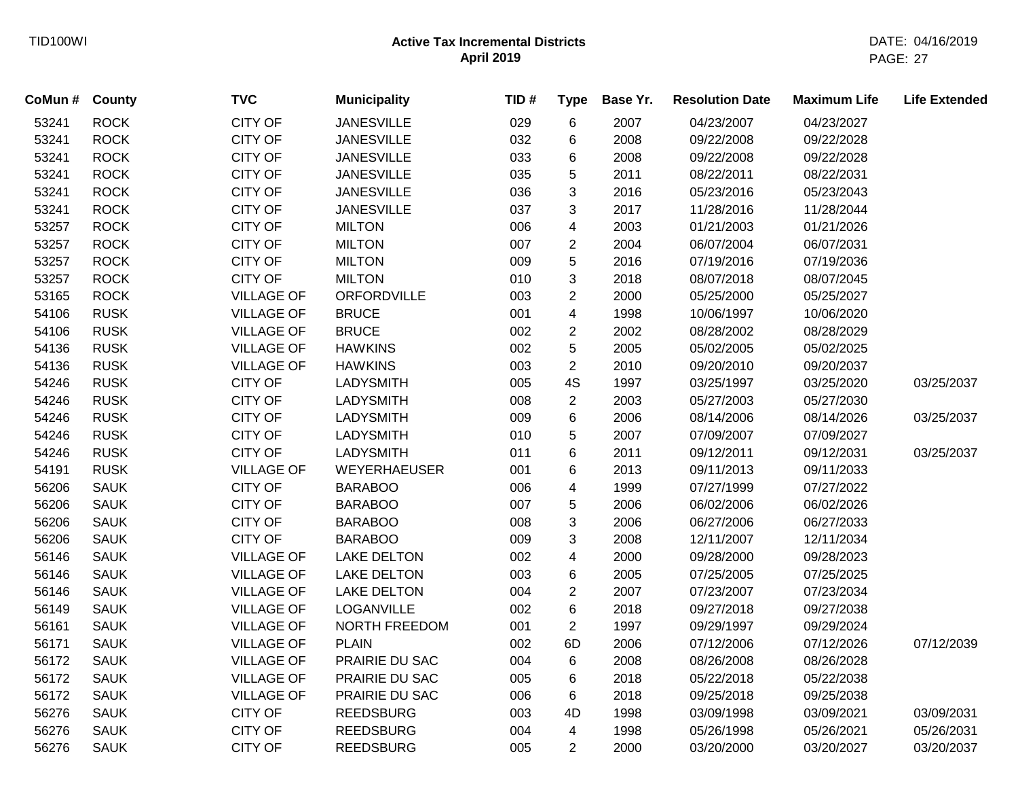| CoMun # | <b>County</b> | <b>TVC</b>        | <b>Municipality</b> | TID# | <b>Type</b>    | Base Yr. | <b>Resolution Date</b> | <b>Maximum Life</b> | <b>Life Extended</b> |
|---------|---------------|-------------------|---------------------|------|----------------|----------|------------------------|---------------------|----------------------|
| 53241   | <b>ROCK</b>   | <b>CITY OF</b>    | <b>JANESVILLE</b>   | 029  | $\,6$          | 2007     | 04/23/2007             | 04/23/2027          |                      |
| 53241   | <b>ROCK</b>   | <b>CITY OF</b>    | <b>JANESVILLE</b>   | 032  | 6              | 2008     | 09/22/2008             | 09/22/2028          |                      |
| 53241   | <b>ROCK</b>   | <b>CITY OF</b>    | <b>JANESVILLE</b>   | 033  | 6              | 2008     | 09/22/2008             | 09/22/2028          |                      |
| 53241   | <b>ROCK</b>   | <b>CITY OF</b>    | <b>JANESVILLE</b>   | 035  | 5              | 2011     | 08/22/2011             | 08/22/2031          |                      |
| 53241   | <b>ROCK</b>   | <b>CITY OF</b>    | <b>JANESVILLE</b>   | 036  | 3              | 2016     | 05/23/2016             | 05/23/2043          |                      |
| 53241   | <b>ROCK</b>   | <b>CITY OF</b>    | <b>JANESVILLE</b>   | 037  | 3              | 2017     | 11/28/2016             | 11/28/2044          |                      |
| 53257   | <b>ROCK</b>   | <b>CITY OF</b>    | <b>MILTON</b>       | 006  | 4              | 2003     | 01/21/2003             | 01/21/2026          |                      |
| 53257   | <b>ROCK</b>   | <b>CITY OF</b>    | <b>MILTON</b>       | 007  | $\overline{c}$ | 2004     | 06/07/2004             | 06/07/2031          |                      |
| 53257   | <b>ROCK</b>   | <b>CITY OF</b>    | <b>MILTON</b>       | 009  | 5              | 2016     | 07/19/2016             | 07/19/2036          |                      |
| 53257   | <b>ROCK</b>   | <b>CITY OF</b>    | <b>MILTON</b>       | 010  | 3              | 2018     | 08/07/2018             | 08/07/2045          |                      |
| 53165   | <b>ROCK</b>   | <b>VILLAGE OF</b> | ORFORDVILLE         | 003  | $\overline{2}$ | 2000     | 05/25/2000             | 05/25/2027          |                      |
| 54106   | <b>RUSK</b>   | <b>VILLAGE OF</b> | <b>BRUCE</b>        | 001  | 4              | 1998     | 10/06/1997             | 10/06/2020          |                      |
| 54106   | <b>RUSK</b>   | <b>VILLAGE OF</b> | <b>BRUCE</b>        | 002  | $\overline{c}$ | 2002     | 08/28/2002             | 08/28/2029          |                      |
| 54136   | <b>RUSK</b>   | <b>VILLAGE OF</b> | <b>HAWKINS</b>      | 002  | 5              | 2005     | 05/02/2005             | 05/02/2025          |                      |
| 54136   | <b>RUSK</b>   | <b>VILLAGE OF</b> | <b>HAWKINS</b>      | 003  | $\overline{2}$ | 2010     | 09/20/2010             | 09/20/2037          |                      |
| 54246   | <b>RUSK</b>   | <b>CITY OF</b>    | <b>LADYSMITH</b>    | 005  | 4S             | 1997     | 03/25/1997             | 03/25/2020          | 03/25/2037           |
| 54246   | <b>RUSK</b>   | <b>CITY OF</b>    | <b>LADYSMITH</b>    | 008  | $\overline{2}$ | 2003     | 05/27/2003             | 05/27/2030          |                      |
| 54246   | <b>RUSK</b>   | CITY OF           | <b>LADYSMITH</b>    | 009  | 6              | 2006     | 08/14/2006             | 08/14/2026          | 03/25/2037           |
| 54246   | <b>RUSK</b>   | <b>CITY OF</b>    | <b>LADYSMITH</b>    | 010  | 5              | 2007     | 07/09/2007             | 07/09/2027          |                      |
| 54246   | <b>RUSK</b>   | <b>CITY OF</b>    | <b>LADYSMITH</b>    | 011  | 6              | 2011     | 09/12/2011             | 09/12/2031          | 03/25/2037           |
| 54191   | <b>RUSK</b>   | <b>VILLAGE OF</b> | <b>WEYERHAEUSER</b> | 001  | 6              | 2013     | 09/11/2013             | 09/11/2033          |                      |
| 56206   | <b>SAUK</b>   | <b>CITY OF</b>    | <b>BARABOO</b>      | 006  | 4              | 1999     | 07/27/1999             | 07/27/2022          |                      |
| 56206   | <b>SAUK</b>   | <b>CITY OF</b>    | <b>BARABOO</b>      | 007  | 5              | 2006     | 06/02/2006             | 06/02/2026          |                      |
| 56206   | <b>SAUK</b>   | <b>CITY OF</b>    | <b>BARABOO</b>      | 008  | 3              | 2006     | 06/27/2006             | 06/27/2033          |                      |
| 56206   | <b>SAUK</b>   | <b>CITY OF</b>    | <b>BARABOO</b>      | 009  | 3              | 2008     | 12/11/2007             | 12/11/2034          |                      |
| 56146   | <b>SAUK</b>   | <b>VILLAGE OF</b> | <b>LAKE DELTON</b>  | 002  | 4              | 2000     | 09/28/2000             | 09/28/2023          |                      |
| 56146   | <b>SAUK</b>   | <b>VILLAGE OF</b> | <b>LAKE DELTON</b>  | 003  | 6              | 2005     | 07/25/2005             | 07/25/2025          |                      |
| 56146   | <b>SAUK</b>   | <b>VILLAGE OF</b> | <b>LAKE DELTON</b>  | 004  | $\overline{c}$ | 2007     | 07/23/2007             | 07/23/2034          |                      |
| 56149   | <b>SAUK</b>   | <b>VILLAGE OF</b> | <b>LOGANVILLE</b>   | 002  | 6              | 2018     | 09/27/2018             | 09/27/2038          |                      |
| 56161   | <b>SAUK</b>   | <b>VILLAGE OF</b> | NORTH FREEDOM       | 001  | $\sqrt{2}$     | 1997     | 09/29/1997             | 09/29/2024          |                      |
| 56171   | <b>SAUK</b>   | <b>VILLAGE OF</b> | <b>PLAIN</b>        | 002  | 6D             | 2006     | 07/12/2006             | 07/12/2026          | 07/12/2039           |
| 56172   | <b>SAUK</b>   | <b>VILLAGE OF</b> | PRAIRIE DU SAC      | 004  | $\,6\,$        | 2008     | 08/26/2008             | 08/26/2028          |                      |
| 56172   | <b>SAUK</b>   | <b>VILLAGE OF</b> | PRAIRIE DU SAC      | 005  | 6              | 2018     | 05/22/2018             | 05/22/2038          |                      |
| 56172   | <b>SAUK</b>   | <b>VILLAGE OF</b> | PRAIRIE DU SAC      | 006  | 6              | 2018     | 09/25/2018             | 09/25/2038          |                      |
| 56276   | <b>SAUK</b>   | <b>CITY OF</b>    | <b>REEDSBURG</b>    | 003  | 4D             | 1998     | 03/09/1998             | 03/09/2021          | 03/09/2031           |
| 56276   | <b>SAUK</b>   | <b>CITY OF</b>    | <b>REEDSBURG</b>    | 004  | $\overline{4}$ | 1998     | 05/26/1998             | 05/26/2021          | 05/26/2031           |
| 56276   | <b>SAUK</b>   | <b>CITY OF</b>    | <b>REEDSBURG</b>    | 005  | $\overline{2}$ | 2000     | 03/20/2000             | 03/20/2027          | 03/20/2037           |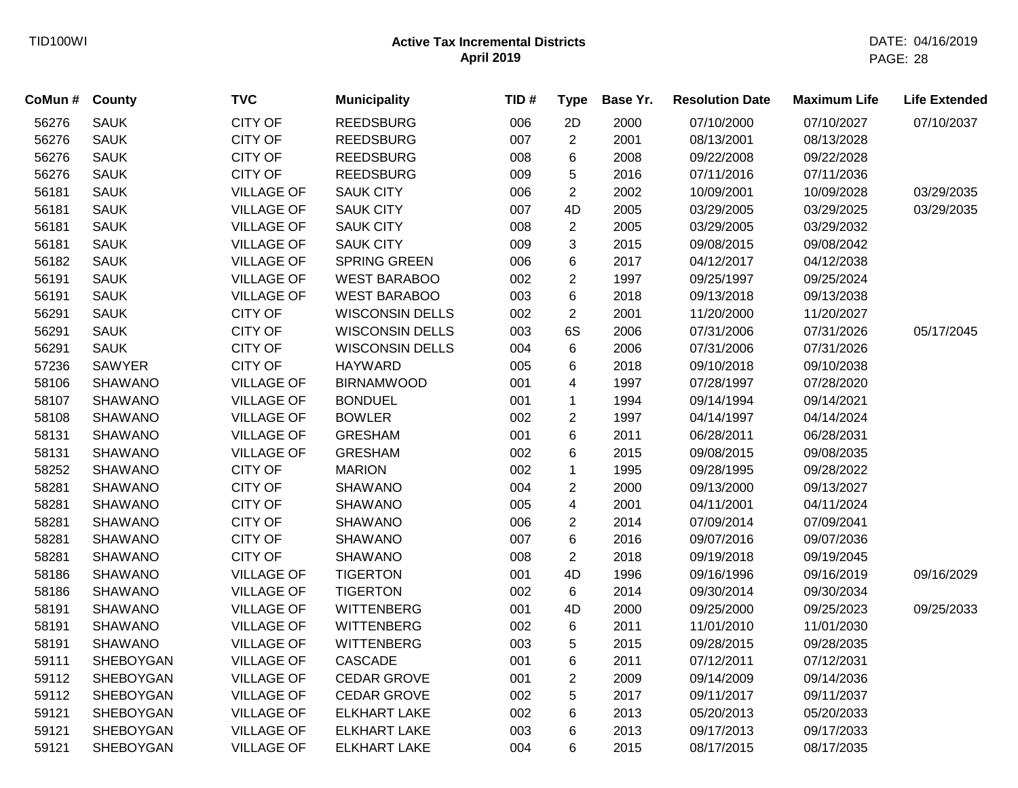| CoMun # County |                  | <b>TVC</b>        | <b>Municipality</b>    | TID# | <b>Type</b>    | Base Yr. | <b>Resolution Date</b> | <b>Maximum Life</b> | <b>Life Extended</b> |
|----------------|------------------|-------------------|------------------------|------|----------------|----------|------------------------|---------------------|----------------------|
| 56276          | <b>SAUK</b>      | <b>CITY OF</b>    | <b>REEDSBURG</b>       | 006  | 2D             | 2000     | 07/10/2000             | 07/10/2027          | 07/10/2037           |
| 56276          | <b>SAUK</b>      | <b>CITY OF</b>    | <b>REEDSBURG</b>       | 007  | $\overline{c}$ | 2001     | 08/13/2001             | 08/13/2028          |                      |
| 56276          | <b>SAUK</b>      | <b>CITY OF</b>    | <b>REEDSBURG</b>       | 008  | 6              | 2008     | 09/22/2008             | 09/22/2028          |                      |
| 56276          | <b>SAUK</b>      | <b>CITY OF</b>    | <b>REEDSBURG</b>       | 009  | 5              | 2016     | 07/11/2016             | 07/11/2036          |                      |
| 56181          | <b>SAUK</b>      | <b>VILLAGE OF</b> | <b>SAUK CITY</b>       | 006  | $\overline{2}$ | 2002     | 10/09/2001             | 10/09/2028          | 03/29/2035           |
| 56181          | <b>SAUK</b>      | <b>VILLAGE OF</b> | <b>SAUK CITY</b>       | 007  | 4D             | 2005     | 03/29/2005             | 03/29/2025          | 03/29/2035           |
| 56181          | <b>SAUK</b>      | <b>VILLAGE OF</b> | <b>SAUK CITY</b>       | 008  | $\overline{2}$ | 2005     | 03/29/2005             | 03/29/2032          |                      |
| 56181          | <b>SAUK</b>      | <b>VILLAGE OF</b> | <b>SAUK CITY</b>       | 009  | 3              | 2015     | 09/08/2015             | 09/08/2042          |                      |
| 56182          | <b>SAUK</b>      | <b>VILLAGE OF</b> | SPRING GREEN           | 006  | 6              | 2017     | 04/12/2017             | 04/12/2038          |                      |
| 56191          | <b>SAUK</b>      | <b>VILLAGE OF</b> | <b>WEST BARABOO</b>    | 002  | $\overline{2}$ | 1997     | 09/25/1997             | 09/25/2024          |                      |
| 56191          | <b>SAUK</b>      | <b>VILLAGE OF</b> | <b>WEST BARABOO</b>    | 003  | 6              | 2018     | 09/13/2018             | 09/13/2038          |                      |
| 56291          | <b>SAUK</b>      | <b>CITY OF</b>    | <b>WISCONSIN DELLS</b> | 002  | $\overline{c}$ | 2001     | 11/20/2000             | 11/20/2027          |                      |
| 56291          | <b>SAUK</b>      | <b>CITY OF</b>    | <b>WISCONSIN DELLS</b> | 003  | 6S             | 2006     | 07/31/2006             | 07/31/2026          | 05/17/2045           |
| 56291          | <b>SAUK</b>      | <b>CITY OF</b>    | <b>WISCONSIN DELLS</b> | 004  | 6              | 2006     | 07/31/2006             | 07/31/2026          |                      |
| 57236          | <b>SAWYER</b>    | <b>CITY OF</b>    | <b>HAYWARD</b>         | 005  | 6              | 2018     | 09/10/2018             | 09/10/2038          |                      |
| 58106          | <b>SHAWANO</b>   | <b>VILLAGE OF</b> | <b>BIRNAMWOOD</b>      | 001  | 4              | 1997     | 07/28/1997             | 07/28/2020          |                      |
| 58107          | <b>SHAWANO</b>   | <b>VILLAGE OF</b> | <b>BONDUEL</b>         | 001  | $\mathbf{1}$   | 1994     | 09/14/1994             | 09/14/2021          |                      |
| 58108          | <b>SHAWANO</b>   | <b>VILLAGE OF</b> | <b>BOWLER</b>          | 002  | $\overline{c}$ | 1997     | 04/14/1997             | 04/14/2024          |                      |
| 58131          | <b>SHAWANO</b>   | <b>VILLAGE OF</b> | <b>GRESHAM</b>         | 001  | 6              | 2011     | 06/28/2011             | 06/28/2031          |                      |
| 58131          | <b>SHAWANO</b>   | <b>VILLAGE OF</b> | <b>GRESHAM</b>         | 002  | 6              | 2015     | 09/08/2015             | 09/08/2035          |                      |
| 58252          | <b>SHAWANO</b>   | <b>CITY OF</b>    | <b>MARION</b>          | 002  | $\mathbf{1}$   | 1995     | 09/28/1995             | 09/28/2022          |                      |
| 58281          | <b>SHAWANO</b>   | <b>CITY OF</b>    | <b>SHAWANO</b>         | 004  | $\overline{c}$ | 2000     | 09/13/2000             | 09/13/2027          |                      |
| 58281          | <b>SHAWANO</b>   | <b>CITY OF</b>    | <b>SHAWANO</b>         | 005  | 4              | 2001     | 04/11/2001             | 04/11/2024          |                      |
| 58281          | <b>SHAWANO</b>   | <b>CITY OF</b>    | <b>SHAWANO</b>         | 006  | $\overline{c}$ | 2014     | 07/09/2014             | 07/09/2041          |                      |
| 58281          | <b>SHAWANO</b>   | <b>CITY OF</b>    | <b>SHAWANO</b>         | 007  | 6              | 2016     | 09/07/2016             | 09/07/2036          |                      |
| 58281          | <b>SHAWANO</b>   | <b>CITY OF</b>    | <b>SHAWANO</b>         | 008  | $\overline{2}$ | 2018     | 09/19/2018             | 09/19/2045          |                      |
| 58186          | <b>SHAWANO</b>   | <b>VILLAGE OF</b> | <b>TIGERTON</b>        | 001  | 4D             | 1996     | 09/16/1996             | 09/16/2019          | 09/16/2029           |
| 58186          | <b>SHAWANO</b>   | <b>VILLAGE OF</b> | <b>TIGERTON</b>        | 002  | 6              | 2014     | 09/30/2014             | 09/30/2034          |                      |
| 58191          | <b>SHAWANO</b>   | <b>VILLAGE OF</b> | <b>WITTENBERG</b>      | 001  | 4D             | 2000     | 09/25/2000             | 09/25/2023          | 09/25/2033           |
| 58191          | <b>SHAWANO</b>   | <b>VILLAGE OF</b> | <b>WITTENBERG</b>      | 002  | 6              | 2011     | 11/01/2010             | 11/01/2030          |                      |
| 58191          | <b>SHAWANO</b>   | <b>VILLAGE OF</b> | <b>WITTENBERG</b>      | 003  | 5              | 2015     | 09/28/2015             | 09/28/2035          |                      |
| 59111          | <b>SHEBOYGAN</b> | <b>VILLAGE OF</b> | <b>CASCADE</b>         | 001  | 6              | 2011     | 07/12/2011             | 07/12/2031          |                      |
| 59112          | SHEBOYGAN        | <b>VILLAGE OF</b> | <b>CEDAR GROVE</b>     | 001  | $\overline{c}$ | 2009     | 09/14/2009             | 09/14/2036          |                      |
| 59112          | SHEBOYGAN        | <b>VILLAGE OF</b> | <b>CEDAR GROVE</b>     | 002  | 5              | 2017     | 09/11/2017             | 09/11/2037          |                      |
| 59121          | SHEBOYGAN        | <b>VILLAGE OF</b> | <b>ELKHART LAKE</b>    | 002  | 6              | 2013     | 05/20/2013             | 05/20/2033          |                      |
| 59121          | <b>SHEBOYGAN</b> | <b>VILLAGE OF</b> | <b>ELKHART LAKE</b>    | 003  | 6              | 2013     | 09/17/2013             | 09/17/2033          |                      |
| 59121          | <b>SHEBOYGAN</b> | <b>VILLAGE OF</b> | <b>ELKHART LAKE</b>    | 004  | 6              | 2015     | 08/17/2015             | 08/17/2035          |                      |
|                |                  |                   |                        |      |                |          |                        |                     |                      |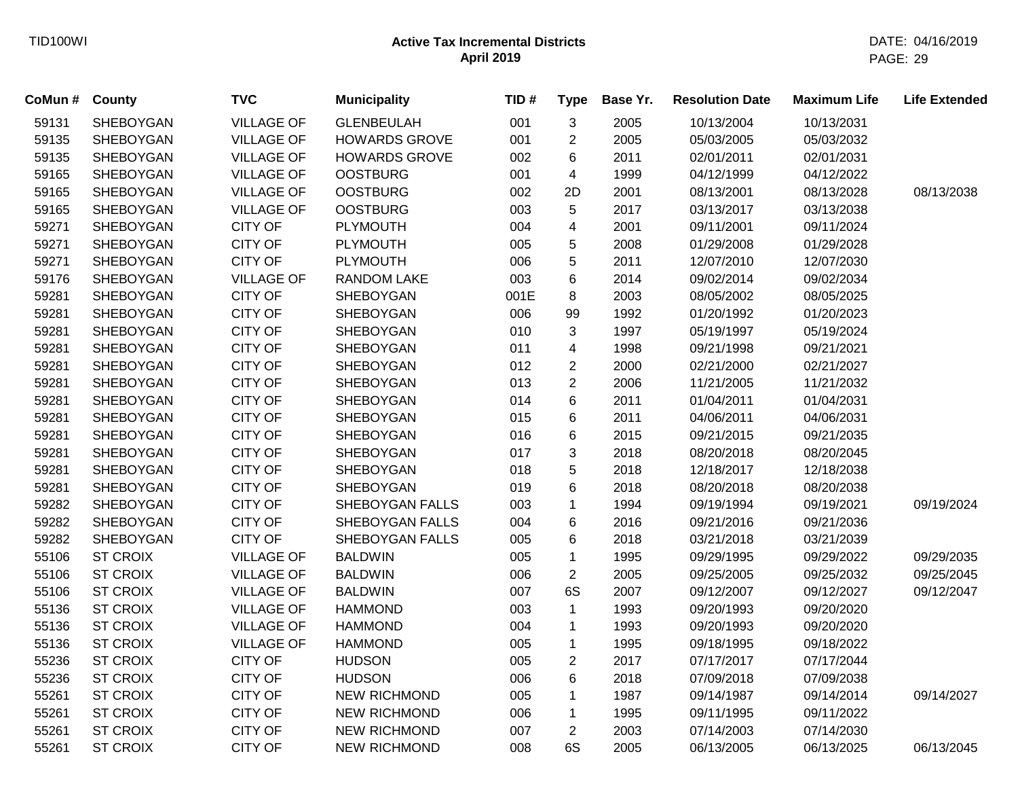| CoMun # | County           | <b>TVC</b>        | <b>Municipality</b>    | TID# | <b>Type</b>             | Base Yr. | <b>Resolution Date</b> | <b>Maximum Life</b> | <b>Life Extended</b> |
|---------|------------------|-------------------|------------------------|------|-------------------------|----------|------------------------|---------------------|----------------------|
| 59131   | SHEBOYGAN        | <b>VILLAGE OF</b> | <b>GLENBEULAH</b>      | 001  | 3                       | 2005     | 10/13/2004             | 10/13/2031          |                      |
| 59135   | <b>SHEBOYGAN</b> | <b>VILLAGE OF</b> | <b>HOWARDS GROVE</b>   | 001  | $\overline{2}$          | 2005     | 05/03/2005             | 05/03/2032          |                      |
| 59135   | <b>SHEBOYGAN</b> | <b>VILLAGE OF</b> | <b>HOWARDS GROVE</b>   | 002  | 6                       | 2011     | 02/01/2011             | 02/01/2031          |                      |
| 59165   | <b>SHEBOYGAN</b> | <b>VILLAGE OF</b> | <b>OOSTBURG</b>        | 001  | 4                       | 1999     | 04/12/1999             | 04/12/2022          |                      |
| 59165   | SHEBOYGAN        | <b>VILLAGE OF</b> | <b>OOSTBURG</b>        | 002  | 2D                      | 2001     | 08/13/2001             | 08/13/2028          | 08/13/2038           |
| 59165   | SHEBOYGAN        | <b>VILLAGE OF</b> | <b>OOSTBURG</b>        | 003  | 5                       | 2017     | 03/13/2017             | 03/13/2038          |                      |
| 59271   | SHEBOYGAN        | <b>CITY OF</b>    | <b>PLYMOUTH</b>        | 004  | 4                       | 2001     | 09/11/2001             | 09/11/2024          |                      |
| 59271   | <b>SHEBOYGAN</b> | <b>CITY OF</b>    | <b>PLYMOUTH</b>        | 005  | 5                       | 2008     | 01/29/2008             | 01/29/2028          |                      |
| 59271   | <b>SHEBOYGAN</b> | <b>CITY OF</b>    | <b>PLYMOUTH</b>        | 006  | 5                       | 2011     | 12/07/2010             | 12/07/2030          |                      |
| 59176   | <b>SHEBOYGAN</b> | <b>VILLAGE OF</b> | RANDOM LAKE            | 003  | 6                       | 2014     | 09/02/2014             | 09/02/2034          |                      |
| 59281   | <b>SHEBOYGAN</b> | <b>CITY OF</b>    | <b>SHEBOYGAN</b>       | 001E | 8                       | 2003     | 08/05/2002             | 08/05/2025          |                      |
| 59281   | <b>SHEBOYGAN</b> | <b>CITY OF</b>    | SHEBOYGAN              | 006  | 99                      | 1992     | 01/20/1992             | 01/20/2023          |                      |
| 59281   | SHEBOYGAN        | <b>CITY OF</b>    | SHEBOYGAN              | 010  | 3                       | 1997     | 05/19/1997             | 05/19/2024          |                      |
| 59281   | SHEBOYGAN        | CITY OF           | SHEBOYGAN              | 011  | $\overline{\mathbf{4}}$ | 1998     | 09/21/1998             | 09/21/2021          |                      |
| 59281   | SHEBOYGAN        | <b>CITY OF</b>    | SHEBOYGAN              | 012  | $\overline{2}$          | 2000     | 02/21/2000             | 02/21/2027          |                      |
| 59281   | <b>SHEBOYGAN</b> | <b>CITY OF</b>    | SHEBOYGAN              | 013  | $\overline{2}$          | 2006     | 11/21/2005             | 11/21/2032          |                      |
| 59281   | <b>SHEBOYGAN</b> | <b>CITY OF</b>    | SHEBOYGAN              | 014  | 6                       | 2011     | 01/04/2011             | 01/04/2031          |                      |
| 59281   | SHEBOYGAN        | <b>CITY OF</b>    | SHEBOYGAN              | 015  | 6                       | 2011     | 04/06/2011             | 04/06/2031          |                      |
| 59281   | <b>SHEBOYGAN</b> | <b>CITY OF</b>    | SHEBOYGAN              | 016  | 6                       | 2015     | 09/21/2015             | 09/21/2035          |                      |
| 59281   | SHEBOYGAN        | <b>CITY OF</b>    | SHEBOYGAN              | 017  | 3                       | 2018     | 08/20/2018             | 08/20/2045          |                      |
| 59281   | SHEBOYGAN        | <b>CITY OF</b>    | SHEBOYGAN              | 018  | 5                       | 2018     | 12/18/2017             | 12/18/2038          |                      |
| 59281   | SHEBOYGAN        | CITY OF           | SHEBOYGAN              | 019  | 6                       | 2018     | 08/20/2018             | 08/20/2038          |                      |
| 59282   | <b>SHEBOYGAN</b> | <b>CITY OF</b>    | <b>SHEBOYGAN FALLS</b> | 003  | $\mathbf{1}$            | 1994     | 09/19/1994             | 09/19/2021          | 09/19/2024           |
| 59282   | <b>SHEBOYGAN</b> | <b>CITY OF</b>    | <b>SHEBOYGAN FALLS</b> | 004  | 6                       | 2016     | 09/21/2016             | 09/21/2036          |                      |
| 59282   | <b>SHEBOYGAN</b> | <b>CITY OF</b>    | SHEBOYGAN FALLS        | 005  | 6                       | 2018     | 03/21/2018             | 03/21/2039          |                      |
| 55106   | <b>ST CROIX</b>  | <b>VILLAGE OF</b> | <b>BALDWIN</b>         | 005  | 1                       | 1995     | 09/29/1995             | 09/29/2022          | 09/29/2035           |
| 55106   | <b>ST CROIX</b>  | <b>VILLAGE OF</b> | <b>BALDWIN</b>         | 006  | $\overline{c}$          | 2005     | 09/25/2005             | 09/25/2032          | 09/25/2045           |
| 55106   | <b>ST CROIX</b>  | <b>VILLAGE OF</b> | <b>BALDWIN</b>         | 007  | 6S                      | 2007     | 09/12/2007             | 09/12/2027          | 09/12/2047           |
| 55136   | <b>ST CROIX</b>  | <b>VILLAGE OF</b> | <b>HAMMOND</b>         | 003  | $\mathbf 1$             | 1993     | 09/20/1993             | 09/20/2020          |                      |
| 55136   | <b>ST CROIX</b>  | <b>VILLAGE OF</b> | <b>HAMMOND</b>         | 004  | 1                       | 1993     | 09/20/1993             | 09/20/2020          |                      |
| 55136   | <b>ST CROIX</b>  | <b>VILLAGE OF</b> | <b>HAMMOND</b>         | 005  | 1                       | 1995     | 09/18/1995             | 09/18/2022          |                      |
| 55236   | <b>ST CROIX</b>  | <b>CITY OF</b>    | <b>HUDSON</b>          | 005  | $\overline{2}$          | 2017     | 07/17/2017             | 07/17/2044          |                      |
| 55236   | <b>ST CROIX</b>  | <b>CITY OF</b>    | <b>HUDSON</b>          | 006  | 6                       | 2018     | 07/09/2018             | 07/09/2038          |                      |
| 55261   | <b>ST CROIX</b>  | <b>CITY OF</b>    | <b>NEW RICHMOND</b>    | 005  | 1                       | 1987     | 09/14/1987             | 09/14/2014          | 09/14/2027           |
| 55261   | <b>ST CROIX</b>  | <b>CITY OF</b>    | <b>NEW RICHMOND</b>    | 006  | $\mathbf 1$             | 1995     | 09/11/1995             | 09/11/2022          |                      |
| 55261   | <b>ST CROIX</b>  | <b>CITY OF</b>    | <b>NEW RICHMOND</b>    | 007  | $\overline{c}$          | 2003     | 07/14/2003             | 07/14/2030          |                      |
| 55261   | <b>ST CROIX</b>  | <b>CITY OF</b>    | <b>NEW RICHMOND</b>    | 008  | 6S                      | 2005     | 06/13/2005             | 06/13/2025          | 06/13/2045           |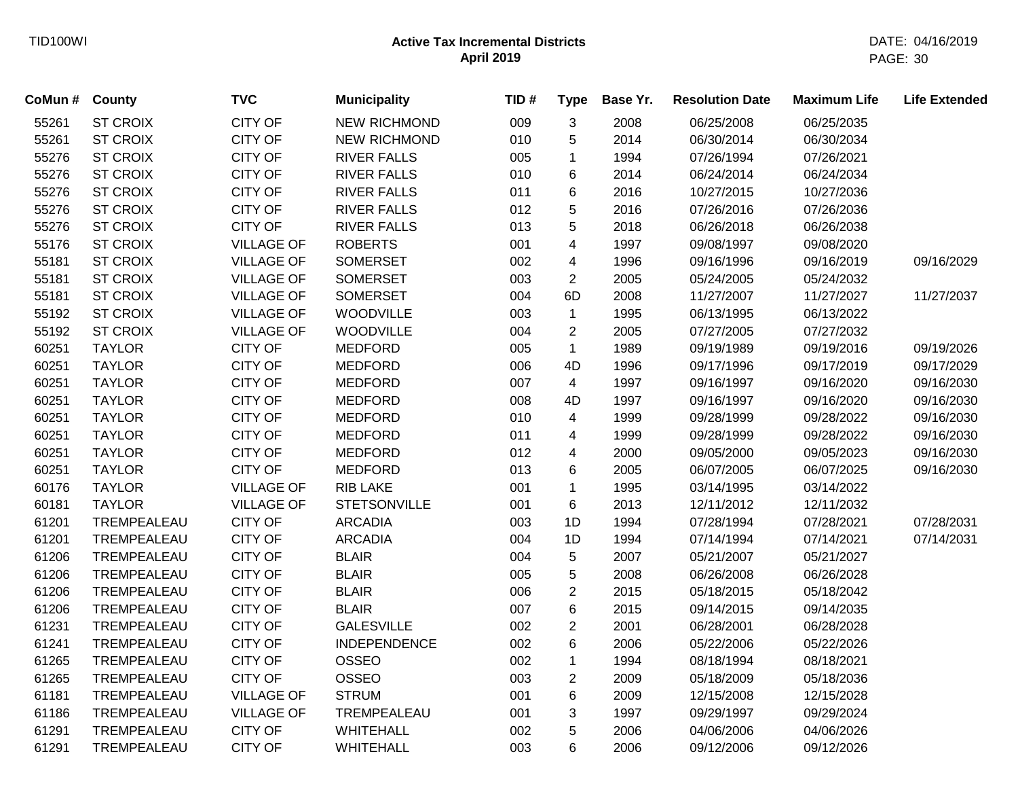| CoMun # County |                 | <b>TVC</b>        | <b>Municipality</b> | TID# | <b>Type</b>             | Base Yr. | <b>Resolution Date</b> | <b>Maximum Life</b> | <b>Life Extended</b> |
|----------------|-----------------|-------------------|---------------------|------|-------------------------|----------|------------------------|---------------------|----------------------|
| 55261          | <b>ST CROIX</b> | <b>CITY OF</b>    | <b>NEW RICHMOND</b> | 009  | 3                       | 2008     | 06/25/2008             | 06/25/2035          |                      |
| 55261          | <b>ST CROIX</b> | <b>CITY OF</b>    | <b>NEW RICHMOND</b> | 010  | 5                       | 2014     | 06/30/2014             | 06/30/2034          |                      |
| 55276          | <b>ST CROIX</b> | <b>CITY OF</b>    | <b>RIVER FALLS</b>  | 005  | 1                       | 1994     | 07/26/1994             | 07/26/2021          |                      |
| 55276          | <b>ST CROIX</b> | CITY OF           | <b>RIVER FALLS</b>  | 010  | 6                       | 2014     | 06/24/2014             | 06/24/2034          |                      |
| 55276          | <b>ST CROIX</b> | <b>CITY OF</b>    | <b>RIVER FALLS</b>  | 011  | 6                       | 2016     | 10/27/2015             | 10/27/2036          |                      |
| 55276          | <b>ST CROIX</b> | <b>CITY OF</b>    | <b>RIVER FALLS</b>  | 012  | 5                       | 2016     | 07/26/2016             | 07/26/2036          |                      |
| 55276          | <b>ST CROIX</b> | <b>CITY OF</b>    | <b>RIVER FALLS</b>  | 013  | 5                       | 2018     | 06/26/2018             | 06/26/2038          |                      |
| 55176          | <b>ST CROIX</b> | <b>VILLAGE OF</b> | <b>ROBERTS</b>      | 001  | 4                       | 1997     | 09/08/1997             | 09/08/2020          |                      |
| 55181          | <b>ST CROIX</b> | <b>VILLAGE OF</b> | <b>SOMERSET</b>     | 002  | 4                       | 1996     | 09/16/1996             | 09/16/2019          | 09/16/2029           |
| 55181          | <b>ST CROIX</b> | <b>VILLAGE OF</b> | <b>SOMERSET</b>     | 003  | $\overline{2}$          | 2005     | 05/24/2005             | 05/24/2032          |                      |
| 55181          | <b>ST CROIX</b> | <b>VILLAGE OF</b> | <b>SOMERSET</b>     | 004  | 6D                      | 2008     | 11/27/2007             | 11/27/2027          | 11/27/2037           |
| 55192          | <b>ST CROIX</b> | <b>VILLAGE OF</b> | <b>WOODVILLE</b>    | 003  | $\mathbf{1}$            | 1995     | 06/13/1995             | 06/13/2022          |                      |
| 55192          | <b>ST CROIX</b> | <b>VILLAGE OF</b> | <b>WOODVILLE</b>    | 004  | $\overline{c}$          | 2005     | 07/27/2005             | 07/27/2032          |                      |
| 60251          | <b>TAYLOR</b>   | <b>CITY OF</b>    | <b>MEDFORD</b>      | 005  | $\mathbf{1}$            | 1989     | 09/19/1989             | 09/19/2016          | 09/19/2026           |
| 60251          | <b>TAYLOR</b>   | CITY OF           | <b>MEDFORD</b>      | 006  | 4D                      | 1996     | 09/17/1996             | 09/17/2019          | 09/17/2029           |
| 60251          | <b>TAYLOR</b>   | CITY OF           | <b>MEDFORD</b>      | 007  | 4                       | 1997     | 09/16/1997             | 09/16/2020          | 09/16/2030           |
| 60251          | <b>TAYLOR</b>   | <b>CITY OF</b>    | <b>MEDFORD</b>      | 008  | 4D                      | 1997     | 09/16/1997             | 09/16/2020          | 09/16/2030           |
| 60251          | <b>TAYLOR</b>   | <b>CITY OF</b>    | <b>MEDFORD</b>      | 010  | $\overline{\mathbf{4}}$ | 1999     | 09/28/1999             | 09/28/2022          | 09/16/2030           |
| 60251          | <b>TAYLOR</b>   | CITY OF           | <b>MEDFORD</b>      | 011  | 4                       | 1999     | 09/28/1999             | 09/28/2022          | 09/16/2030           |
| 60251          | <b>TAYLOR</b>   | <b>CITY OF</b>    | <b>MEDFORD</b>      | 012  | 4                       | 2000     | 09/05/2000             | 09/05/2023          | 09/16/2030           |
| 60251          | <b>TAYLOR</b>   | <b>CITY OF</b>    | <b>MEDFORD</b>      | 013  | 6                       | 2005     | 06/07/2005             | 06/07/2025          | 09/16/2030           |
| 60176          | <b>TAYLOR</b>   | <b>VILLAGE OF</b> | <b>RIB LAKE</b>     | 001  | 1                       | 1995     | 03/14/1995             | 03/14/2022          |                      |
| 60181          | <b>TAYLOR</b>   | <b>VILLAGE OF</b> | <b>STETSONVILLE</b> | 001  | 6                       | 2013     | 12/11/2012             | 12/11/2032          |                      |
| 61201          | TREMPEALEAU     | <b>CITY OF</b>    | <b>ARCADIA</b>      | 003  | 1D                      | 1994     | 07/28/1994             | 07/28/2021          | 07/28/2031           |
| 61201          | TREMPEALEAU     | <b>CITY OF</b>    | <b>ARCADIA</b>      | 004  | 1D                      | 1994     | 07/14/1994             | 07/14/2021          | 07/14/2031           |
| 61206          | TREMPEALEAU     | <b>CITY OF</b>    | <b>BLAIR</b>        | 004  | 5                       | 2007     | 05/21/2007             | 05/21/2027          |                      |
| 61206          | TREMPEALEAU     | <b>CITY OF</b>    | <b>BLAIR</b>        | 005  | 5                       | 2008     | 06/26/2008             | 06/26/2028          |                      |
| 61206          | TREMPEALEAU     | <b>CITY OF</b>    | <b>BLAIR</b>        | 006  | $\overline{c}$          | 2015     | 05/18/2015             | 05/18/2042          |                      |
| 61206          | TREMPEALEAU     | CITY OF           | <b>BLAIR</b>        | 007  | 6                       | 2015     | 09/14/2015             | 09/14/2035          |                      |
| 61231          | TREMPEALEAU     | CITY OF           | <b>GALESVILLE</b>   | 002  | $\overline{2}$          | 2001     | 06/28/2001             | 06/28/2028          |                      |
| 61241          | TREMPEALEAU     | <b>CITY OF</b>    | <b>INDEPENDENCE</b> | 002  | 6                       | 2006     | 05/22/2006             | 05/22/2026          |                      |
| 61265          | TREMPEALEAU     | <b>CITY OF</b>    | <b>OSSEO</b>        | 002  | 1                       | 1994     | 08/18/1994             | 08/18/2021          |                      |
| 61265          | TREMPEALEAU     | <b>CITY OF</b>    | OSSEO               | 003  | $\overline{c}$          | 2009     | 05/18/2009             | 05/18/2036          |                      |
| 61181          | TREMPEALEAU     | <b>VILLAGE OF</b> | <b>STRUM</b>        | 001  | 6                       | 2009     | 12/15/2008             | 12/15/2028          |                      |
| 61186          | TREMPEALEAU     | <b>VILLAGE OF</b> | TREMPEALEAU         | 001  | 3                       | 1997     | 09/29/1997             | 09/29/2024          |                      |
| 61291          | TREMPEALEAU     | <b>CITY OF</b>    | WHITEHALL           | 002  | 5                       | 2006     | 04/06/2006             | 04/06/2026          |                      |
| 61291          | TREMPEALEAU     | <b>CITY OF</b>    | <b>WHITEHALL</b>    | 003  | 6                       | 2006     | 09/12/2006             | 09/12/2026          |                      |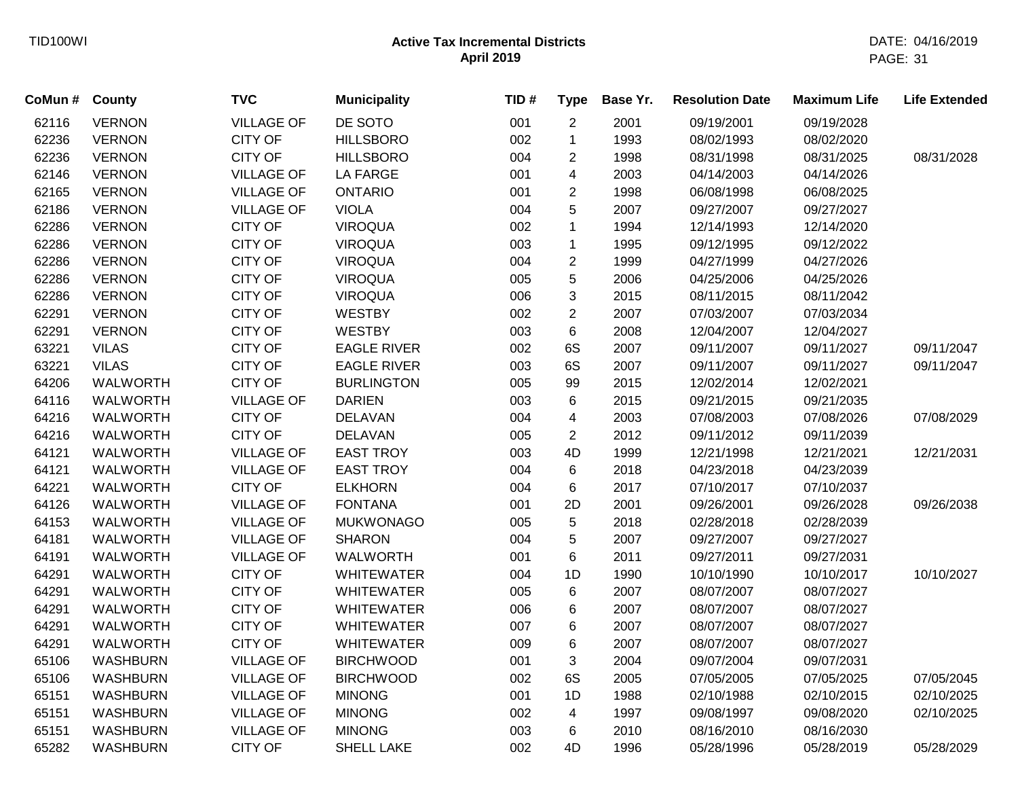| CoMun # | <b>County</b>   | <b>TVC</b>        | <b>Municipality</b> | TID# | <b>Type</b>    | Base Yr. | <b>Resolution Date</b> | <b>Maximum Life</b> | <b>Life Extended</b> |
|---------|-----------------|-------------------|---------------------|------|----------------|----------|------------------------|---------------------|----------------------|
| 62116   | <b>VERNON</b>   | <b>VILLAGE OF</b> | DE SOTO             | 001  | $\overline{c}$ | 2001     | 09/19/2001             | 09/19/2028          |                      |
| 62236   | <b>VERNON</b>   | <b>CITY OF</b>    | <b>HILLSBORO</b>    | 002  | $\mathbf 1$    | 1993     | 08/02/1993             | 08/02/2020          |                      |
| 62236   | <b>VERNON</b>   | <b>CITY OF</b>    | <b>HILLSBORO</b>    | 004  | $\overline{c}$ | 1998     | 08/31/1998             | 08/31/2025          | 08/31/2028           |
| 62146   | <b>VERNON</b>   | <b>VILLAGE OF</b> | <b>LA FARGE</b>     | 001  | 4              | 2003     | 04/14/2003             | 04/14/2026          |                      |
| 62165   | <b>VERNON</b>   | <b>VILLAGE OF</b> | <b>ONTARIO</b>      | 001  | $\overline{c}$ | 1998     | 06/08/1998             | 06/08/2025          |                      |
| 62186   | <b>VERNON</b>   | <b>VILLAGE OF</b> | <b>VIOLA</b>        | 004  | 5              | 2007     | 09/27/2007             | 09/27/2027          |                      |
| 62286   | <b>VERNON</b>   | <b>CITY OF</b>    | <b>VIROQUA</b>      | 002  | $\mathbf 1$    | 1994     | 12/14/1993             | 12/14/2020          |                      |
| 62286   | <b>VERNON</b>   | <b>CITY OF</b>    | <b>VIROQUA</b>      | 003  | $\mathbf{1}$   | 1995     | 09/12/1995             | 09/12/2022          |                      |
| 62286   | <b>VERNON</b>   | <b>CITY OF</b>    | <b>VIROQUA</b>      | 004  | $\overline{c}$ | 1999     | 04/27/1999             | 04/27/2026          |                      |
| 62286   | <b>VERNON</b>   | <b>CITY OF</b>    | <b>VIROQUA</b>      | 005  | 5              | 2006     | 04/25/2006             | 04/25/2026          |                      |
| 62286   | <b>VERNON</b>   | <b>CITY OF</b>    | <b>VIROQUA</b>      | 006  | 3              | 2015     | 08/11/2015             | 08/11/2042          |                      |
| 62291   | <b>VERNON</b>   | <b>CITY OF</b>    | <b>WESTBY</b>       | 002  | $\overline{2}$ | 2007     | 07/03/2007             | 07/03/2034          |                      |
| 62291   | <b>VERNON</b>   | <b>CITY OF</b>    | <b>WESTBY</b>       | 003  | 6              | 2008     | 12/04/2007             | 12/04/2027          |                      |
| 63221   | <b>VILAS</b>    | <b>CITY OF</b>    | <b>EAGLE RIVER</b>  | 002  | 6S             | 2007     | 09/11/2007             | 09/11/2027          | 09/11/2047           |
| 63221   | <b>VILAS</b>    | <b>CITY OF</b>    | <b>EAGLE RIVER</b>  | 003  | 6S             | 2007     | 09/11/2007             | 09/11/2027          | 09/11/2047           |
| 64206   | <b>WALWORTH</b> | <b>CITY OF</b>    | <b>BURLINGTON</b>   | 005  | 99             | 2015     | 12/02/2014             | 12/02/2021          |                      |
| 64116   | <b>WALWORTH</b> | <b>VILLAGE OF</b> | <b>DARIEN</b>       | 003  | 6              | 2015     | 09/21/2015             | 09/21/2035          |                      |
| 64216   | <b>WALWORTH</b> | <b>CITY OF</b>    | <b>DELAVAN</b>      | 004  | 4              | 2003     | 07/08/2003             | 07/08/2026          | 07/08/2029           |
| 64216   | <b>WALWORTH</b> | <b>CITY OF</b>    | <b>DELAVAN</b>      | 005  | $\overline{c}$ | 2012     | 09/11/2012             | 09/11/2039          |                      |
| 64121   | <b>WALWORTH</b> | <b>VILLAGE OF</b> | <b>EAST TROY</b>    | 003  | 4D             | 1999     | 12/21/1998             | 12/21/2021          | 12/21/2031           |
| 64121   | WALWORTH        | <b>VILLAGE OF</b> | <b>EAST TROY</b>    | 004  | 6              | 2018     | 04/23/2018             | 04/23/2039          |                      |
| 64221   | WALWORTH        | <b>CITY OF</b>    | <b>ELKHORN</b>      | 004  | 6              | 2017     | 07/10/2017             | 07/10/2037          |                      |
| 64126   | <b>WALWORTH</b> | <b>VILLAGE OF</b> | <b>FONTANA</b>      | 001  | 2D             | 2001     | 09/26/2001             | 09/26/2028          | 09/26/2038           |
| 64153   | <b>WALWORTH</b> | <b>VILLAGE OF</b> | <b>MUKWONAGO</b>    | 005  | 5              | 2018     | 02/28/2018             | 02/28/2039          |                      |
| 64181   | WALWORTH        | <b>VILLAGE OF</b> | <b>SHARON</b>       | 004  | 5              | 2007     | 09/27/2007             | 09/27/2027          |                      |
| 64191   | WALWORTH        | <b>VILLAGE OF</b> | <b>WALWORTH</b>     | 001  | 6              | 2011     | 09/27/2011             | 09/27/2031          |                      |
| 64291   | <b>WALWORTH</b> | <b>CITY OF</b>    | <b>WHITEWATER</b>   | 004  | 1D             | 1990     | 10/10/1990             | 10/10/2017          | 10/10/2027           |
| 64291   | <b>WALWORTH</b> | <b>CITY OF</b>    | <b>WHITEWATER</b>   | 005  | 6              | 2007     | 08/07/2007             | 08/07/2027          |                      |
| 64291   | <b>WALWORTH</b> | <b>CITY OF</b>    | <b>WHITEWATER</b>   | 006  | 6              | 2007     | 08/07/2007             | 08/07/2027          |                      |
| 64291   | <b>WALWORTH</b> | <b>CITY OF</b>    | <b>WHITEWATER</b>   | 007  | 6              | 2007     | 08/07/2007             | 08/07/2027          |                      |
| 64291   | <b>WALWORTH</b> | <b>CITY OF</b>    | <b>WHITEWATER</b>   | 009  | 6              | 2007     | 08/07/2007             | 08/07/2027          |                      |
| 65106   | <b>WASHBURN</b> | <b>VILLAGE OF</b> | <b>BIRCHWOOD</b>    | 001  | 3              | 2004     | 09/07/2004             | 09/07/2031          |                      |
| 65106   | <b>WASHBURN</b> | <b>VILLAGE OF</b> | <b>BIRCHWOOD</b>    | 002  | 6S             | 2005     | 07/05/2005             | 07/05/2025          | 07/05/2045           |
| 65151   | <b>WASHBURN</b> | <b>VILLAGE OF</b> | <b>MINONG</b>       | 001  | 1D             | 1988     | 02/10/1988             | 02/10/2015          | 02/10/2025           |
| 65151   | <b>WASHBURN</b> | <b>VILLAGE OF</b> | <b>MINONG</b>       | 002  | 4              | 1997     | 09/08/1997             | 09/08/2020          | 02/10/2025           |
| 65151   | <b>WASHBURN</b> | <b>VILLAGE OF</b> | <b>MINONG</b>       | 003  | 6              | 2010     | 08/16/2010             | 08/16/2030          |                      |
| 65282   | <b>WASHBURN</b> | <b>CITY OF</b>    | SHELL LAKE          | 002  | 4D             | 1996     | 05/28/1996             | 05/28/2019          | 05/28/2029           |
|         |                 |                   |                     |      |                |          |                        |                     |                      |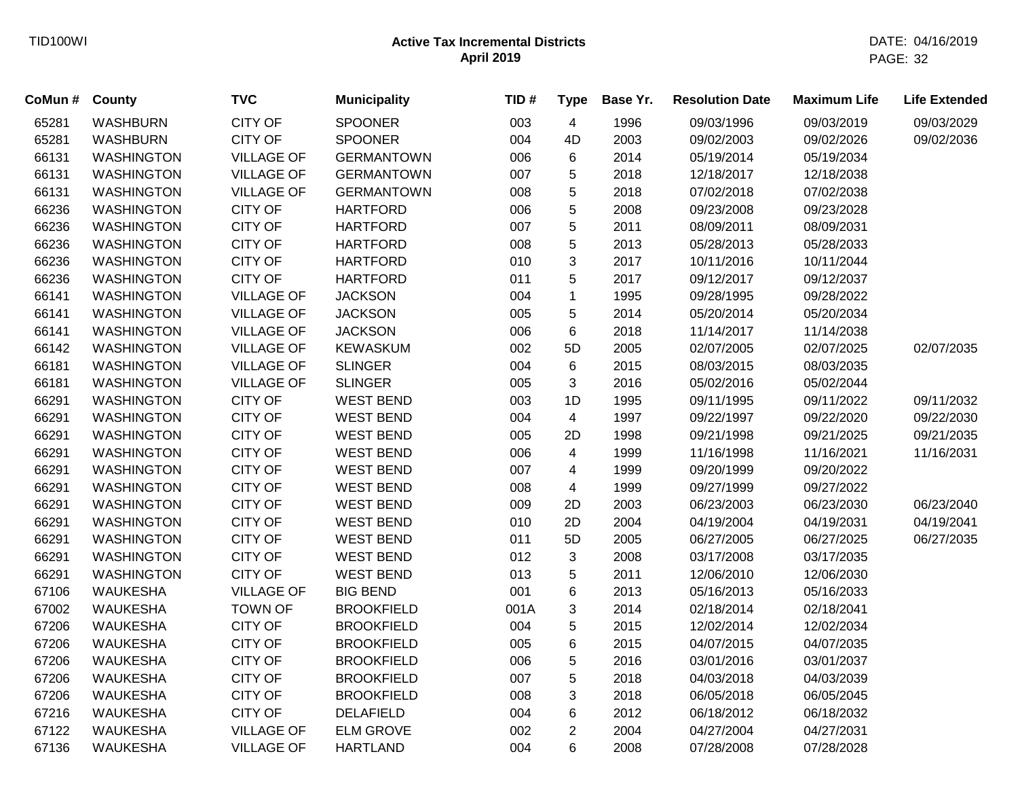| CoMun # | <b>County</b>     | <b>TVC</b>        | <b>Municipality</b> | TID# | <b>Type</b>    | Base Yr. | <b>Resolution Date</b> | <b>Maximum Life</b> | <b>Life Extended</b> |
|---------|-------------------|-------------------|---------------------|------|----------------|----------|------------------------|---------------------|----------------------|
| 65281   | <b>WASHBURN</b>   | <b>CITY OF</b>    | <b>SPOONER</b>      | 003  | 4              | 1996     | 09/03/1996             | 09/03/2019          | 09/03/2029           |
| 65281   | <b>WASHBURN</b>   | <b>CITY OF</b>    | <b>SPOONER</b>      | 004  | 4D             | 2003     | 09/02/2003             | 09/02/2026          | 09/02/2036           |
| 66131   | <b>WASHINGTON</b> | <b>VILLAGE OF</b> | <b>GERMANTOWN</b>   | 006  | 6              | 2014     | 05/19/2014             | 05/19/2034          |                      |
| 66131   | <b>WASHINGTON</b> | <b>VILLAGE OF</b> | <b>GERMANTOWN</b>   | 007  | 5              | 2018     | 12/18/2017             | 12/18/2038          |                      |
| 66131   | <b>WASHINGTON</b> | <b>VILLAGE OF</b> | <b>GERMANTOWN</b>   | 008  | 5              | 2018     | 07/02/2018             | 07/02/2038          |                      |
| 66236   | <b>WASHINGTON</b> | <b>CITY OF</b>    | <b>HARTFORD</b>     | 006  | 5              | 2008     | 09/23/2008             | 09/23/2028          |                      |
| 66236   | <b>WASHINGTON</b> | <b>CITY OF</b>    | <b>HARTFORD</b>     | 007  | 5              | 2011     | 08/09/2011             | 08/09/2031          |                      |
| 66236   | <b>WASHINGTON</b> | <b>CITY OF</b>    | <b>HARTFORD</b>     | 008  | 5              | 2013     | 05/28/2013             | 05/28/2033          |                      |
| 66236   | <b>WASHINGTON</b> | <b>CITY OF</b>    | <b>HARTFORD</b>     | 010  | 3              | 2017     | 10/11/2016             | 10/11/2044          |                      |
| 66236   | <b>WASHINGTON</b> | <b>CITY OF</b>    | <b>HARTFORD</b>     | 011  | 5              | 2017     | 09/12/2017             | 09/12/2037          |                      |
| 66141   | <b>WASHINGTON</b> | <b>VILLAGE OF</b> | <b>JACKSON</b>      | 004  | $\mathbf 1$    | 1995     | 09/28/1995             | 09/28/2022          |                      |
| 66141   | <b>WASHINGTON</b> | <b>VILLAGE OF</b> | <b>JACKSON</b>      | 005  | 5              | 2014     | 05/20/2014             | 05/20/2034          |                      |
| 66141   | <b>WASHINGTON</b> | <b>VILLAGE OF</b> | <b>JACKSON</b>      | 006  | 6              | 2018     | 11/14/2017             | 11/14/2038          |                      |
| 66142   | <b>WASHINGTON</b> | <b>VILLAGE OF</b> | <b>KEWASKUM</b>     | 002  | 5D             | 2005     | 02/07/2005             | 02/07/2025          | 02/07/2035           |
| 66181   | <b>WASHINGTON</b> | <b>VILLAGE OF</b> | <b>SLINGER</b>      | 004  | 6              | 2015     | 08/03/2015             | 08/03/2035          |                      |
| 66181   | <b>WASHINGTON</b> | <b>VILLAGE OF</b> | <b>SLINGER</b>      | 005  | 3              | 2016     | 05/02/2016             | 05/02/2044          |                      |
| 66291   | <b>WASHINGTON</b> | <b>CITY OF</b>    | <b>WEST BEND</b>    | 003  | 1D             | 1995     | 09/11/1995             | 09/11/2022          | 09/11/2032           |
| 66291   | <b>WASHINGTON</b> | <b>CITY OF</b>    | <b>WEST BEND</b>    | 004  | 4              | 1997     | 09/22/1997             | 09/22/2020          | 09/22/2030           |
| 66291   | <b>WASHINGTON</b> | <b>CITY OF</b>    | <b>WEST BEND</b>    | 005  | 2D             | 1998     | 09/21/1998             | 09/21/2025          | 09/21/2035           |
| 66291   | <b>WASHINGTON</b> | <b>CITY OF</b>    | <b>WEST BEND</b>    | 006  | 4              | 1999     | 11/16/1998             | 11/16/2021          | 11/16/2031           |
| 66291   | <b>WASHINGTON</b> | <b>CITY OF</b>    | <b>WEST BEND</b>    | 007  | 4              | 1999     | 09/20/1999             | 09/20/2022          |                      |
| 66291   | <b>WASHINGTON</b> | <b>CITY OF</b>    | <b>WEST BEND</b>    | 008  | 4              | 1999     | 09/27/1999             | 09/27/2022          |                      |
| 66291   | <b>WASHINGTON</b> | <b>CITY OF</b>    | <b>WEST BEND</b>    | 009  | 2D             | 2003     | 06/23/2003             | 06/23/2030          | 06/23/2040           |
| 66291   | <b>WASHINGTON</b> | <b>CITY OF</b>    | <b>WEST BEND</b>    | 010  | 2D             | 2004     | 04/19/2004             | 04/19/2031          | 04/19/2041           |
| 66291   | <b>WASHINGTON</b> | <b>CITY OF</b>    | <b>WEST BEND</b>    | 011  | 5D             | 2005     | 06/27/2005             | 06/27/2025          | 06/27/2035           |
| 66291   | <b>WASHINGTON</b> | <b>CITY OF</b>    | <b>WEST BEND</b>    | 012  | 3              | 2008     | 03/17/2008             | 03/17/2035          |                      |
| 66291   | <b>WASHINGTON</b> | <b>CITY OF</b>    | <b>WEST BEND</b>    | 013  | 5              | 2011     | 12/06/2010             | 12/06/2030          |                      |
| 67106   | <b>WAUKESHA</b>   | <b>VILLAGE OF</b> | <b>BIG BEND</b>     | 001  | 6              | 2013     | 05/16/2013             | 05/16/2033          |                      |
| 67002   | <b>WAUKESHA</b>   | <b>TOWN OF</b>    | <b>BROOKFIELD</b>   | 001A | 3              | 2014     | 02/18/2014             | 02/18/2041          |                      |
| 67206   | <b>WAUKESHA</b>   | <b>CITY OF</b>    | <b>BROOKFIELD</b>   | 004  | 5              | 2015     | 12/02/2014             | 12/02/2034          |                      |
| 67206   | <b>WAUKESHA</b>   | <b>CITY OF</b>    | <b>BROOKFIELD</b>   | 005  | 6              | 2015     | 04/07/2015             | 04/07/2035          |                      |
| 67206   | <b>WAUKESHA</b>   | <b>CITY OF</b>    | <b>BROOKFIELD</b>   | 006  | 5              | 2016     | 03/01/2016             | 03/01/2037          |                      |
| 67206   | <b>WAUKESHA</b>   | <b>CITY OF</b>    | <b>BROOKFIELD</b>   | 007  | 5              | 2018     | 04/03/2018             | 04/03/2039          |                      |
| 67206   | <b>WAUKESHA</b>   | <b>CITY OF</b>    | <b>BROOKFIELD</b>   | 008  | 3              | 2018     | 06/05/2018             | 06/05/2045          |                      |
| 67216   | <b>WAUKESHA</b>   | <b>CITY OF</b>    | <b>DELAFIELD</b>    | 004  | 6              | 2012     | 06/18/2012             | 06/18/2032          |                      |
| 67122   | <b>WAUKESHA</b>   | <b>VILLAGE OF</b> | <b>ELM GROVE</b>    | 002  | $\overline{2}$ | 2004     | 04/27/2004             | 04/27/2031          |                      |
| 67136   | WAUKESHA          | <b>VILLAGE OF</b> | <b>HARTLAND</b>     | 004  | 6              | 2008     | 07/28/2008             | 07/28/2028          |                      |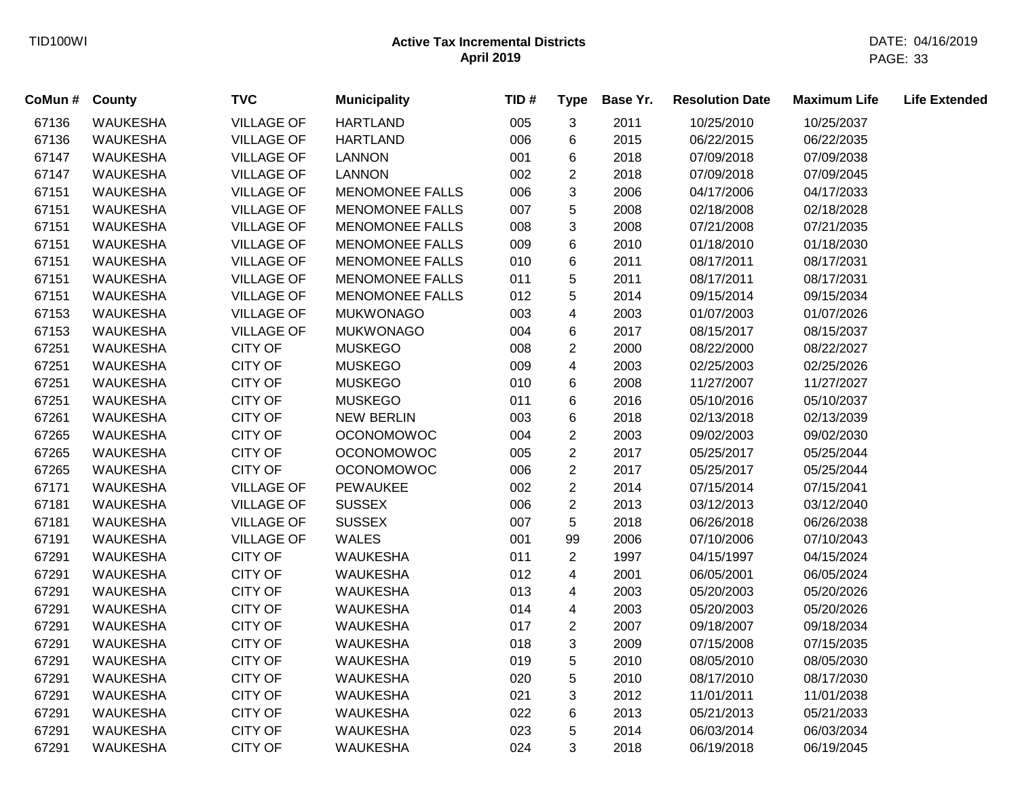| CoMun # | County          | <b>TVC</b>        | <b>Municipality</b>    | TID# | <b>Type</b>             | Base Yr. | <b>Resolution Date</b> | <b>Maximum Life</b> | <b>Life Extended</b> |
|---------|-----------------|-------------------|------------------------|------|-------------------------|----------|------------------------|---------------------|----------------------|
| 67136   | <b>WAUKESHA</b> | <b>VILLAGE OF</b> | <b>HARTLAND</b>        | 005  | $\mathbf{3}$            | 2011     | 10/25/2010             | 10/25/2037          |                      |
| 67136   | <b>WAUKESHA</b> | <b>VILLAGE OF</b> | <b>HARTLAND</b>        | 006  | 6                       | 2015     | 06/22/2015             | 06/22/2035          |                      |
| 67147   | <b>WAUKESHA</b> | <b>VILLAGE OF</b> | <b>LANNON</b>          | 001  | 6                       | 2018     | 07/09/2018             | 07/09/2038          |                      |
| 67147   | <b>WAUKESHA</b> | <b>VILLAGE OF</b> | <b>LANNON</b>          | 002  | $\overline{2}$          | 2018     | 07/09/2018             | 07/09/2045          |                      |
| 67151   | <b>WAUKESHA</b> | <b>VILLAGE OF</b> | <b>MENOMONEE FALLS</b> | 006  | 3                       | 2006     | 04/17/2006             | 04/17/2033          |                      |
| 67151   | <b>WAUKESHA</b> | <b>VILLAGE OF</b> | <b>MENOMONEE FALLS</b> | 007  | 5                       | 2008     | 02/18/2008             | 02/18/2028          |                      |
| 67151   | <b>WAUKESHA</b> | <b>VILLAGE OF</b> | <b>MENOMONEE FALLS</b> | 008  | 3                       | 2008     | 07/21/2008             | 07/21/2035          |                      |
| 67151   | <b>WAUKESHA</b> | <b>VILLAGE OF</b> | <b>MENOMONEE FALLS</b> | 009  | 6                       | 2010     | 01/18/2010             | 01/18/2030          |                      |
| 67151   | <b>WAUKESHA</b> | <b>VILLAGE OF</b> | <b>MENOMONEE FALLS</b> | 010  | 6                       | 2011     | 08/17/2011             | 08/17/2031          |                      |
| 67151   | <b>WAUKESHA</b> | <b>VILLAGE OF</b> | <b>MENOMONEE FALLS</b> | 011  | 5                       | 2011     | 08/17/2011             | 08/17/2031          |                      |
| 67151   | <b>WAUKESHA</b> | <b>VILLAGE OF</b> | <b>MENOMONEE FALLS</b> | 012  | 5                       | 2014     | 09/15/2014             | 09/15/2034          |                      |
| 67153   | <b>WAUKESHA</b> | <b>VILLAGE OF</b> | <b>MUKWONAGO</b>       | 003  | $\overline{\mathbf{4}}$ | 2003     | 01/07/2003             | 01/07/2026          |                      |
| 67153   | <b>WAUKESHA</b> | <b>VILLAGE OF</b> | <b>MUKWONAGO</b>       | 004  | 6                       | 2017     | 08/15/2017             | 08/15/2037          |                      |
| 67251   | <b>WAUKESHA</b> | <b>CITY OF</b>    | <b>MUSKEGO</b>         | 008  | $\overline{2}$          | 2000     | 08/22/2000             | 08/22/2027          |                      |
| 67251   | <b>WAUKESHA</b> | CITY OF           | <b>MUSKEGO</b>         | 009  | 4                       | 2003     | 02/25/2003             | 02/25/2026          |                      |
| 67251   | <b>WAUKESHA</b> | CITY OF           | <b>MUSKEGO</b>         | 010  | 6                       | 2008     | 11/27/2007             | 11/27/2027          |                      |
| 67251   | <b>WAUKESHA</b> | CITY OF           | <b>MUSKEGO</b>         | 011  | 6                       | 2016     | 05/10/2016             | 05/10/2037          |                      |
| 67261   | <b>WAUKESHA</b> | CITY OF           | <b>NEW BERLIN</b>      | 003  | 6                       | 2018     | 02/13/2018             | 02/13/2039          |                      |
| 67265   | <b>WAUKESHA</b> | CITY OF           | <b>OCONOMOWOC</b>      | 004  | $\overline{2}$          | 2003     | 09/02/2003             | 09/02/2030          |                      |
| 67265   | <b>WAUKESHA</b> | <b>CITY OF</b>    | <b>OCONOMOWOC</b>      | 005  | $\overline{2}$          | 2017     | 05/25/2017             | 05/25/2044          |                      |
| 67265   | <b>WAUKESHA</b> | CITY OF           | <b>OCONOMOWOC</b>      | 006  | $\overline{c}$          | 2017     | 05/25/2017             | 05/25/2044          |                      |
| 67171   | <b>WAUKESHA</b> | <b>VILLAGE OF</b> | PEWAUKEE               | 002  | $\overline{c}$          | 2014     | 07/15/2014             | 07/15/2041          |                      |
| 67181   | <b>WAUKESHA</b> | <b>VILLAGE OF</b> | <b>SUSSEX</b>          | 006  | $\overline{c}$          | 2013     | 03/12/2013             | 03/12/2040          |                      |
| 67181   | <b>WAUKESHA</b> | <b>VILLAGE OF</b> | <b>SUSSEX</b>          | 007  | 5                       | 2018     | 06/26/2018             | 06/26/2038          |                      |
| 67191   | WAUKESHA        | <b>VILLAGE OF</b> | <b>WALES</b>           | 001  | 99                      | 2006     | 07/10/2006             | 07/10/2043          |                      |
| 67291   | WAUKESHA        | CITY OF           | <b>WAUKESHA</b>        | 011  | $\overline{2}$          | 1997     | 04/15/1997             | 04/15/2024          |                      |
| 67291   | <b>WAUKESHA</b> | CITY OF           | <b>WAUKESHA</b>        | 012  | $\overline{\mathbf{4}}$ | 2001     | 06/05/2001             | 06/05/2024          |                      |
| 67291   | <b>WAUKESHA</b> | CITY OF           | <b>WAUKESHA</b>        | 013  | 4                       | 2003     | 05/20/2003             | 05/20/2026          |                      |
| 67291   | <b>WAUKESHA</b> | CITY OF           | <b>WAUKESHA</b>        | 014  | 4                       | 2003     | 05/20/2003             | 05/20/2026          |                      |
| 67291   | WAUKESHA        | CITY OF           | <b>WAUKESHA</b>        | 017  | $\sqrt{2}$              | 2007     | 09/18/2007             | 09/18/2034          |                      |
| 67291   | WAUKESHA        | CITY OF           | <b>WAUKESHA</b>        | 018  | 3                       | 2009     | 07/15/2008             | 07/15/2035          |                      |
| 67291   | <b>WAUKESHA</b> | <b>CITY OF</b>    | <b>WAUKESHA</b>        | 019  | 5                       | 2010     | 08/05/2010             | 08/05/2030          |                      |
| 67291   | <b>WAUKESHA</b> | CITY OF           | <b>WAUKESHA</b>        | 020  | 5                       | 2010     | 08/17/2010             | 08/17/2030          |                      |
| 67291   | WAUKESHA        | CITY OF           | WAUKESHA               | 021  | 3                       | 2012     | 11/01/2011             | 11/01/2038          |                      |
| 67291   | <b>WAUKESHA</b> | CITY OF           | <b>WAUKESHA</b>        | 022  | 6                       | 2013     | 05/21/2013             | 05/21/2033          |                      |
| 67291   | <b>WAUKESHA</b> | CITY OF           | <b>WAUKESHA</b>        | 023  | 5                       | 2014     | 06/03/2014             | 06/03/2034          |                      |
| 67291   | <b>WAUKESHA</b> | <b>CITY OF</b>    | <b>WAUKESHA</b>        | 024  | 3                       | 2018     | 06/19/2018             | 06/19/2045          |                      |
|         |                 |                   |                        |      |                         |          |                        |                     |                      |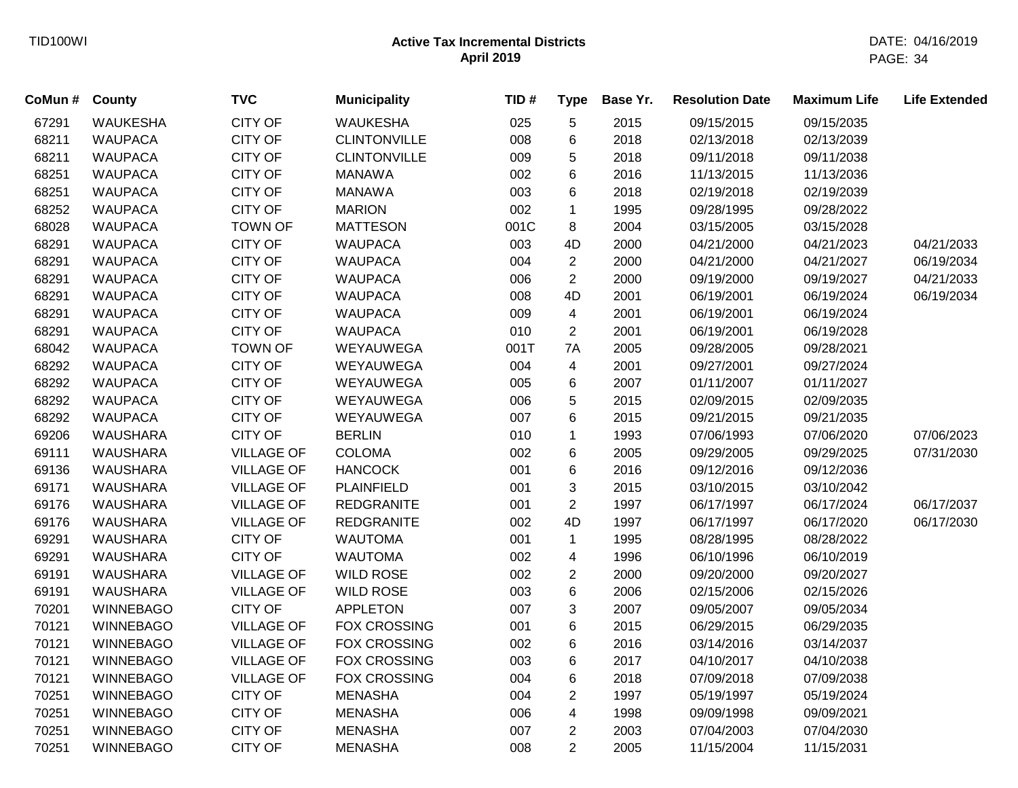| CoMun # County |                  | <b>TVC</b>        | <b>Municipality</b> | TID# | <b>Type</b>    | Base Yr. | <b>Resolution Date</b> | <b>Maximum Life</b> | <b>Life Extended</b> |
|----------------|------------------|-------------------|---------------------|------|----------------|----------|------------------------|---------------------|----------------------|
| 67291          | <b>WAUKESHA</b>  | <b>CITY OF</b>    | <b>WAUKESHA</b>     | 025  | 5              | 2015     | 09/15/2015             | 09/15/2035          |                      |
| 68211          | <b>WAUPACA</b>   | <b>CITY OF</b>    | <b>CLINTONVILLE</b> | 008  | 6              | 2018     | 02/13/2018             | 02/13/2039          |                      |
| 68211          | <b>WAUPACA</b>   | <b>CITY OF</b>    | <b>CLINTONVILLE</b> | 009  | 5              | 2018     | 09/11/2018             | 09/11/2038          |                      |
| 68251          | <b>WAUPACA</b>   | CITY OF           | <b>MANAWA</b>       | 002  | 6              | 2016     | 11/13/2015             | 11/13/2036          |                      |
| 68251          | <b>WAUPACA</b>   | CITY OF           | <b>MANAWA</b>       | 003  | 6              | 2018     | 02/19/2018             | 02/19/2039          |                      |
| 68252          | <b>WAUPACA</b>   | <b>CITY OF</b>    | <b>MARION</b>       | 002  | 1              | 1995     | 09/28/1995             | 09/28/2022          |                      |
| 68028          | <b>WAUPACA</b>   | <b>TOWN OF</b>    | <b>MATTESON</b>     | 001C | 8              | 2004     | 03/15/2005             | 03/15/2028          |                      |
| 68291          | <b>WAUPACA</b>   | CITY OF           | <b>WAUPACA</b>      | 003  | 4D             | 2000     | 04/21/2000             | 04/21/2023          | 04/21/2033           |
| 68291          | <b>WAUPACA</b>   | CITY OF           | <b>WAUPACA</b>      | 004  | $\overline{c}$ | 2000     | 04/21/2000             | 04/21/2027          | 06/19/2034           |
| 68291          | <b>WAUPACA</b>   | CITY OF           | <b>WAUPACA</b>      | 006  | $\overline{2}$ | 2000     | 09/19/2000             | 09/19/2027          | 04/21/2033           |
| 68291          | <b>WAUPACA</b>   | CITY OF           | <b>WAUPACA</b>      | 008  | 4D             | 2001     | 06/19/2001             | 06/19/2024          | 06/19/2034           |
| 68291          | <b>WAUPACA</b>   | CITY OF           | <b>WAUPACA</b>      | 009  | 4              | 2001     | 06/19/2001             | 06/19/2024          |                      |
| 68291          | <b>WAUPACA</b>   | <b>CITY OF</b>    | <b>WAUPACA</b>      | 010  | $\overline{2}$ | 2001     | 06/19/2001             | 06/19/2028          |                      |
| 68042          | <b>WAUPACA</b>   | <b>TOWN OF</b>    | WEYAUWEGA           | 001T | 7A             | 2005     | 09/28/2005             | 09/28/2021          |                      |
| 68292          | <b>WAUPACA</b>   | CITY OF           | WEYAUWEGA           | 004  | $\overline{4}$ | 2001     | 09/27/2001             | 09/27/2024          |                      |
| 68292          | <b>WAUPACA</b>   | CITY OF           | WEYAUWEGA           | 005  | 6              | 2007     | 01/11/2007             | 01/11/2027          |                      |
| 68292          | <b>WAUPACA</b>   | CITY OF           | WEYAUWEGA           | 006  | 5              | 2015     | 02/09/2015             | 02/09/2035          |                      |
| 68292          | <b>WAUPACA</b>   | CITY OF           | WEYAUWEGA           | 007  | 6              | 2015     | 09/21/2015             | 09/21/2035          |                      |
| 69206          | <b>WAUSHARA</b>  | <b>CITY OF</b>    | <b>BERLIN</b>       | 010  | $\mathbf{1}$   | 1993     | 07/06/1993             | 07/06/2020          | 07/06/2023           |
| 69111          | <b>WAUSHARA</b>  | <b>VILLAGE OF</b> | <b>COLOMA</b>       | 002  | 6              | 2005     | 09/29/2005             | 09/29/2025          | 07/31/2030           |
| 69136          | <b>WAUSHARA</b>  | <b>VILLAGE OF</b> | <b>HANCOCK</b>      | 001  | 6              | 2016     | 09/12/2016             | 09/12/2036          |                      |
| 69171          | WAUSHARA         | <b>VILLAGE OF</b> | <b>PLAINFIELD</b>   | 001  | 3              | 2015     | 03/10/2015             | 03/10/2042          |                      |
| 69176          | <b>WAUSHARA</b>  | <b>VILLAGE OF</b> | <b>REDGRANITE</b>   | 001  | $\overline{2}$ | 1997     | 06/17/1997             | 06/17/2024          | 06/17/2037           |
| 69176          | <b>WAUSHARA</b>  | <b>VILLAGE OF</b> | <b>REDGRANITE</b>   | 002  | 4D             | 1997     | 06/17/1997             | 06/17/2020          | 06/17/2030           |
| 69291          | <b>WAUSHARA</b>  | <b>CITY OF</b>    | <b>WAUTOMA</b>      | 001  | $\mathbf{1}$   | 1995     | 08/28/1995             | 08/28/2022          |                      |
| 69291          | <b>WAUSHARA</b>  | <b>CITY OF</b>    | <b>WAUTOMA</b>      | 002  | 4              | 1996     | 06/10/1996             | 06/10/2019          |                      |
| 69191          | <b>WAUSHARA</b>  | <b>VILLAGE OF</b> | <b>WILD ROSE</b>    | 002  | $\overline{c}$ | 2000     | 09/20/2000             | 09/20/2027          |                      |
| 69191          | <b>WAUSHARA</b>  | <b>VILLAGE OF</b> | <b>WILD ROSE</b>    | 003  | 6              | 2006     | 02/15/2006             | 02/15/2026          |                      |
| 70201          | <b>WINNEBAGO</b> | <b>CITY OF</b>    | <b>APPLETON</b>     | 007  | 3              | 2007     | 09/05/2007             | 09/05/2034          |                      |
| 70121          | <b>WINNEBAGO</b> | <b>VILLAGE OF</b> | <b>FOX CROSSING</b> | 001  | 6              | 2015     | 06/29/2015             | 06/29/2035          |                      |
| 70121          | <b>WINNEBAGO</b> | <b>VILLAGE OF</b> | FOX CROSSING        | 002  | 6              | 2016     | 03/14/2016             | 03/14/2037          |                      |
| 70121          | <b>WINNEBAGO</b> | <b>VILLAGE OF</b> | <b>FOX CROSSING</b> | 003  | 6              | 2017     | 04/10/2017             | 04/10/2038          |                      |
| 70121          | <b>WINNEBAGO</b> | <b>VILLAGE OF</b> | <b>FOX CROSSING</b> | 004  | 6              | 2018     | 07/09/2018             | 07/09/2038          |                      |
| 70251          | <b>WINNEBAGO</b> | <b>CITY OF</b>    | <b>MENASHA</b>      | 004  | $\overline{2}$ | 1997     | 05/19/1997             | 05/19/2024          |                      |
| 70251          | <b>WINNEBAGO</b> | <b>CITY OF</b>    | <b>MENASHA</b>      | 006  | 4              | 1998     | 09/09/1998             | 09/09/2021          |                      |
| 70251          | <b>WINNEBAGO</b> | <b>CITY OF</b>    | <b>MENASHA</b>      | 007  | $\overline{2}$ | 2003     | 07/04/2003             | 07/04/2030          |                      |
| 70251          | <b>WINNEBAGO</b> | <b>CITY OF</b>    | <b>MENASHA</b>      | 008  | $\overline{2}$ | 2005     | 11/15/2004             | 11/15/2031          |                      |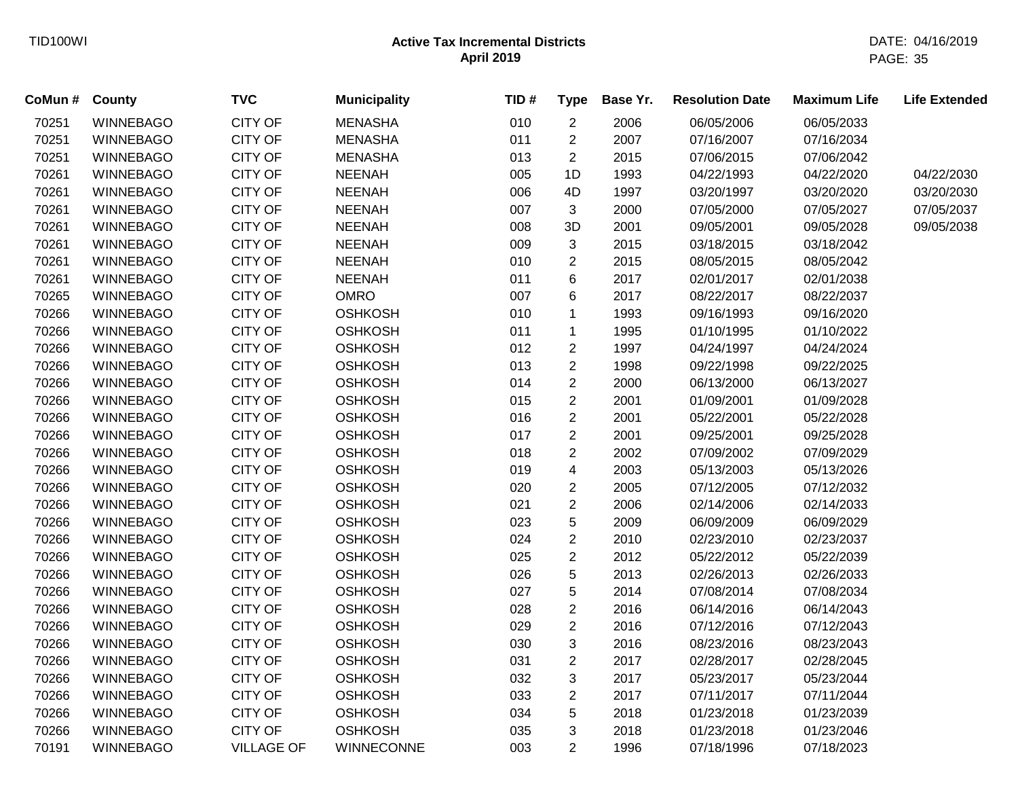| CoMun # | County           | <b>TVC</b>        | <b>Municipality</b> | TID# | <b>Type</b>    | Base Yr. | <b>Resolution Date</b> | <b>Maximum Life</b> | <b>Life Extended</b> |
|---------|------------------|-------------------|---------------------|------|----------------|----------|------------------------|---------------------|----------------------|
| 70251   | <b>WINNEBAGO</b> | <b>CITY OF</b>    | <b>MENASHA</b>      | 010  | $\overline{2}$ | 2006     | 06/05/2006             | 06/05/2033          |                      |
| 70251   | <b>WINNEBAGO</b> | <b>CITY OF</b>    | <b>MENASHA</b>      | 011  | $\overline{c}$ | 2007     | 07/16/2007             | 07/16/2034          |                      |
| 70251   | <b>WINNEBAGO</b> | <b>CITY OF</b>    | <b>MENASHA</b>      | 013  | $\overline{c}$ | 2015     | 07/06/2015             | 07/06/2042          |                      |
| 70261   | <b>WINNEBAGO</b> | <b>CITY OF</b>    | <b>NEENAH</b>       | 005  | 1D             | 1993     | 04/22/1993             | 04/22/2020          | 04/22/2030           |
| 70261   | <b>WINNEBAGO</b> | <b>CITY OF</b>    | <b>NEENAH</b>       | 006  | 4D             | 1997     | 03/20/1997             | 03/20/2020          | 03/20/2030           |
| 70261   | <b>WINNEBAGO</b> | <b>CITY OF</b>    | <b>NEENAH</b>       | 007  | 3              | 2000     | 07/05/2000             | 07/05/2027          | 07/05/2037           |
| 70261   | <b>WINNEBAGO</b> | <b>CITY OF</b>    | <b>NEENAH</b>       | 008  | 3D             | 2001     | 09/05/2001             | 09/05/2028          | 09/05/2038           |
| 70261   | <b>WINNEBAGO</b> | <b>CITY OF</b>    | <b>NEENAH</b>       | 009  | 3              | 2015     | 03/18/2015             | 03/18/2042          |                      |
| 70261   | <b>WINNEBAGO</b> | <b>CITY OF</b>    | <b>NEENAH</b>       | 010  | $\overline{2}$ | 2015     | 08/05/2015             | 08/05/2042          |                      |
| 70261   | <b>WINNEBAGO</b> | <b>CITY OF</b>    | <b>NEENAH</b>       | 011  | 6              | 2017     | 02/01/2017             | 02/01/2038          |                      |
| 70265   | <b>WINNEBAGO</b> | <b>CITY OF</b>    | <b>OMRO</b>         | 007  | 6              | 2017     | 08/22/2017             | 08/22/2037          |                      |
| 70266   | <b>WINNEBAGO</b> | <b>CITY OF</b>    | <b>OSHKOSH</b>      | 010  | $\mathbf{1}$   | 1993     | 09/16/1993             | 09/16/2020          |                      |
| 70266   | <b>WINNEBAGO</b> | <b>CITY OF</b>    | <b>OSHKOSH</b>      | 011  | $\mathbf{1}$   | 1995     | 01/10/1995             | 01/10/2022          |                      |
| 70266   | <b>WINNEBAGO</b> | <b>CITY OF</b>    | <b>OSHKOSH</b>      | 012  | $\overline{2}$ | 1997     | 04/24/1997             | 04/24/2024          |                      |
| 70266   | <b>WINNEBAGO</b> | <b>CITY OF</b>    | <b>OSHKOSH</b>      | 013  | $\overline{c}$ | 1998     | 09/22/1998             | 09/22/2025          |                      |
| 70266   | <b>WINNEBAGO</b> | <b>CITY OF</b>    | <b>OSHKOSH</b>      | 014  | $\overline{2}$ | 2000     | 06/13/2000             | 06/13/2027          |                      |
| 70266   | <b>WINNEBAGO</b> | <b>CITY OF</b>    | <b>OSHKOSH</b>      | 015  | $\overline{2}$ | 2001     | 01/09/2001             | 01/09/2028          |                      |
| 70266   | <b>WINNEBAGO</b> | <b>CITY OF</b>    | <b>OSHKOSH</b>      | 016  | $\overline{c}$ | 2001     | 05/22/2001             | 05/22/2028          |                      |
| 70266   | <b>WINNEBAGO</b> | <b>CITY OF</b>    | <b>OSHKOSH</b>      | 017  | $\overline{c}$ | 2001     | 09/25/2001             | 09/25/2028          |                      |
| 70266   | <b>WINNEBAGO</b> | <b>CITY OF</b>    | <b>OSHKOSH</b>      | 018  | $\overline{2}$ | 2002     | 07/09/2002             | 07/09/2029          |                      |
| 70266   | <b>WINNEBAGO</b> | <b>CITY OF</b>    | <b>OSHKOSH</b>      | 019  | 4              | 2003     | 05/13/2003             | 05/13/2026          |                      |
| 70266   | <b>WINNEBAGO</b> | <b>CITY OF</b>    | <b>OSHKOSH</b>      | 020  | $\overline{c}$ | 2005     | 07/12/2005             | 07/12/2032          |                      |
| 70266   | <b>WINNEBAGO</b> | <b>CITY OF</b>    | <b>OSHKOSH</b>      | 021  | $\overline{c}$ | 2006     | 02/14/2006             | 02/14/2033          |                      |
| 70266   | <b>WINNEBAGO</b> | <b>CITY OF</b>    | <b>OSHKOSH</b>      | 023  | 5              | 2009     | 06/09/2009             | 06/09/2029          |                      |
| 70266   | <b>WINNEBAGO</b> | <b>CITY OF</b>    | <b>OSHKOSH</b>      | 024  | $\overline{c}$ | 2010     | 02/23/2010             | 02/23/2037          |                      |
| 70266   | <b>WINNEBAGO</b> | <b>CITY OF</b>    | <b>OSHKOSH</b>      | 025  | $\overline{c}$ | 2012     | 05/22/2012             | 05/22/2039          |                      |
| 70266   | <b>WINNEBAGO</b> | <b>CITY OF</b>    | <b>OSHKOSH</b>      | 026  | 5              | 2013     | 02/26/2013             | 02/26/2033          |                      |
| 70266   | <b>WINNEBAGO</b> | <b>CITY OF</b>    | <b>OSHKOSH</b>      | 027  | 5              | 2014     | 07/08/2014             | 07/08/2034          |                      |
| 70266   | <b>WINNEBAGO</b> | <b>CITY OF</b>    | <b>OSHKOSH</b>      | 028  | $\overline{c}$ | 2016     | 06/14/2016             | 06/14/2043          |                      |
| 70266   | <b>WINNEBAGO</b> | <b>CITY OF</b>    | <b>OSHKOSH</b>      | 029  | $\overline{2}$ | 2016     | 07/12/2016             | 07/12/2043          |                      |
| 70266   | <b>WINNEBAGO</b> | <b>CITY OF</b>    | <b>OSHKOSH</b>      | 030  | 3              | 2016     | 08/23/2016             | 08/23/2043          |                      |
| 70266   | <b>WINNEBAGO</b> | <b>CITY OF</b>    | <b>OSHKOSH</b>      | 031  | $\overline{2}$ | 2017     | 02/28/2017             | 02/28/2045          |                      |
| 70266   | <b>WINNEBAGO</b> | <b>CITY OF</b>    | <b>OSHKOSH</b>      | 032  | 3              | 2017     | 05/23/2017             | 05/23/2044          |                      |
| 70266   | <b>WINNEBAGO</b> | <b>CITY OF</b>    | <b>OSHKOSH</b>      | 033  | $\overline{c}$ | 2017     | 07/11/2017             | 07/11/2044          |                      |
| 70266   | <b>WINNEBAGO</b> | <b>CITY OF</b>    | <b>OSHKOSH</b>      | 034  | 5              | 2018     | 01/23/2018             | 01/23/2039          |                      |
| 70266   | <b>WINNEBAGO</b> | <b>CITY OF</b>    | <b>OSHKOSH</b>      | 035  | 3              | 2018     | 01/23/2018             | 01/23/2046          |                      |
| 70191   | <b>WINNEBAGO</b> | <b>VILLAGE OF</b> | WINNECONNE          | 003  | $\overline{2}$ | 1996     | 07/18/1996             | 07/18/2023          |                      |